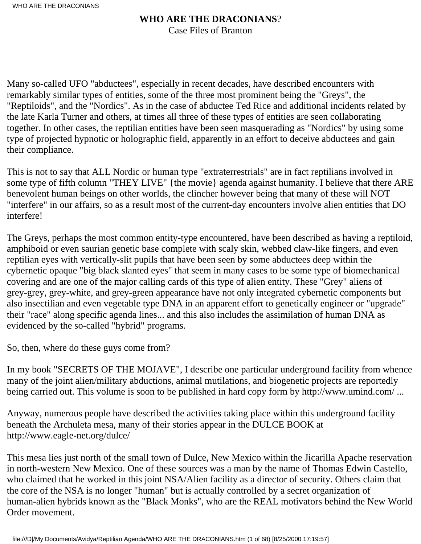# **WHO ARE THE DRACONIANS**?

Case Files of Branton

Many so-called UFO "abductees", especially in recent decades, have described encounters with remarkably similar types of entities, some of the three most prominent being the "Greys", the "Reptiloids", and the "Nordics". As in the case of abductee Ted Rice and additional incidents related by the late Karla Turner and others, at times all three of these types of entities are seen collaborating together. In other cases, the reptilian entities have been seen masquerading as "Nordics" by using some type of projected hypnotic or holographic field, apparently in an effort to deceive abductees and gain their compliance.

This is not to say that ALL Nordic or human type "extraterrestrials" are in fact reptilians involved in some type of fifth column "THEY LIVE" {the movie} agenda against humanity. I believe that there ARE benevolent human beings on other worlds, the clincher however being that many of these will NOT "interfere" in our affairs, so as a result most of the current-day encounters involve alien entities that DO interfere!

The Greys, perhaps the most common entity-type encountered, have been described as having a reptiloid, amphiboid or even saurian genetic base complete with scaly skin, webbed claw-like fingers, and even reptilian eyes with vertically-slit pupils that have been seen by some abductees deep within the cybernetic opaque "big black slanted eyes" that seem in many cases to be some type of biomechanical covering and are one of the major calling cards of this type of alien entity. These "Grey" aliens of grey-grey, grey-white, and grey-green appearance have not only integrated cybernetic components but also insectilian and even vegetable type DNA in an apparent effort to genetically engineer or "upgrade" their "race" along specific agenda lines... and this also includes the assimilation of human DNA as evidenced by the so-called "hybrid" programs.

So, then, where do these guys come from?

In my book "SECRETS OF THE MOJAVE", I describe one particular underground facility from whence many of the joint alien/military abductions, animal mutilations, and biogenetic projects are reportedly being carried out. This volume is soon to be published in hard copy form by http://www.umind.com/...

Anyway, numerous people have described the activities taking place within this underground facility beneath the Archuleta mesa, many of their stories appear in the DULCE BOOK at http://www.eagle-net.org/dulce/

This mesa lies just north of the small town of Dulce, New Mexico within the Jicarilla Apache reservation in north-western New Mexico. One of these sources was a man by the name of Thomas Edwin Castello, who claimed that he worked in this joint NSA/Alien facility as a director of security. Others claim that the core of the NSA is no longer "human" but is actually controlled by a secret organization of human-alien hybrids known as the "Black Monks", who are the REAL motivators behind the New World Order movement.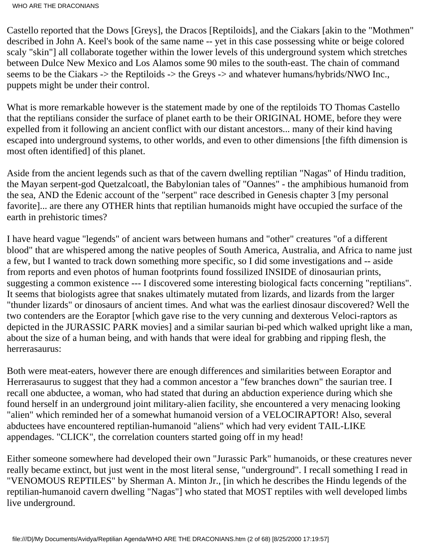Castello reported that the Dows [Greys], the Dracos [Reptiloids], and the Ciakars [akin to the "Mothmen" described in John A. Keel's book of the same name -- yet in this case possessing white or beige colored scaly "skin"] all collaborate together within the lower levels of this underground system which stretches between Dulce New Mexico and Los Alamos some 90 miles to the south-east. The chain of command seems to be the Ciakars -> the Reptiloids -> the Greys -> and whatever humans/hybrids/NWO Inc., puppets might be under their control.

What is more remarkable however is the statement made by one of the reptiloids TO Thomas Castello that the reptilians consider the surface of planet earth to be their ORIGINAL HOME, before they were expelled from it following an ancient conflict with our distant ancestors... many of their kind having escaped into underground systems, to other worlds, and even to other dimensions [the fifth dimension is most often identified] of this planet.

Aside from the ancient legends such as that of the cavern dwelling reptilian "Nagas" of Hindu tradition, the Mayan serpent-god Quetzalcoatl, the Babylonian tales of "Oannes" - the amphibious humanoid from the sea, AND the Edenic account of the "serpent" race described in Genesis chapter 3 [my personal favorite]... are there any OTHER hints that reptilian humanoids might have occupied the surface of the earth in prehistoric times?

I have heard vague "legends" of ancient wars between humans and "other" creatures "of a different blood" that are whispered among the native peoples of South America, Australia, and Africa to name just a few, but I wanted to track down something more specific, so I did some investigations and -- aside from reports and even photos of human footprints found fossilized INSIDE of dinosaurian prints, suggesting a common existence --- I discovered some interesting biological facts concerning "reptilians". It seems that biologists agree that snakes ultimately mutated from lizards, and lizards from the larger "thunder lizards" or dinosaurs of ancient times. And what was the earliest dinosaur discovered? Well the two contenders are the Eoraptor [which gave rise to the very cunning and dexterous Veloci-raptors as depicted in the JURASSIC PARK movies] and a similar saurian bi-ped which walked upright like a man, about the size of a human being, and with hands that were ideal for grabbing and ripping flesh, the herrerasaurus:

Both were meat-eaters, however there are enough differences and similarities between Eoraptor and Herrerasaurus to suggest that they had a common ancestor a "few branches down" the saurian tree. I recall one abductee, a woman, who had stated that during an abduction experience during which she found herself in an underground joint military-alien facility, she encountered a very menacing looking "alien" which reminded her of a somewhat humanoid version of a VELOCIRAPTOR! Also, several abductees have encountered reptilian-humanoid "aliens" which had very evident TAIL-LIKE appendages. "CLICK", the correlation counters started going off in my head!

Either someone somewhere had developed their own "Jurassic Park" humanoids, or these creatures never really became extinct, but just went in the most literal sense, "underground". I recall something I read in "VENOMOUS REPTILES" by Sherman A. Minton Jr., [in which he describes the Hindu legends of the reptilian-humanoid cavern dwelling "Nagas"] who stated that MOST reptiles with well developed limbs live underground.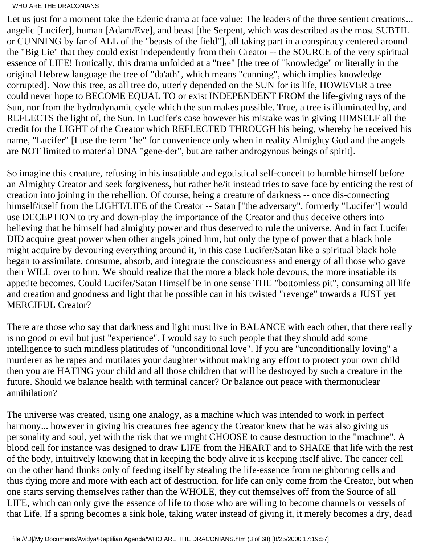Let us just for a moment take the Edenic drama at face value: The leaders of the three sentient creations... angelic [Lucifer], human [Adam/Eve], and beast [the Serpent, which was described as the most SUBTIL or CUNNING by far of ALL of the "beasts of the field"], all taking part in a conspiracy centered around the "Big Lie" that they could exist independently from their Creator -- the SOURCE of the very spiritual essence of LIFE! Ironically, this drama unfolded at a "tree" [the tree of "knowledge" or literally in the original Hebrew language the tree of "da'ath", which means "cunning", which implies knowledge corrupted]. Now this tree, as all tree do, utterly depended on the SUN for its life, HOWEVER a tree could never hope to BECOME EQUAL TO or exist INDEPENDENT FROM the life-giving rays of the Sun, nor from the hydrodynamic cycle which the sun makes possible. True, a tree is illuminated by, and REFLECTS the light of, the Sun. In Lucifer's case however his mistake was in giving HIMSELF all the credit for the LIGHT of the Creator which REFLECTED THROUGH his being, whereby he received his name, "Lucifer" [I use the term "he" for convenience only when in reality Almighty God and the angels are NOT limited to material DNA "gene-der", but are rather androgynous beings of spirit].

So imagine this creature, refusing in his insatiable and egotistical self-conceit to humble himself before an Almighty Creator and seek forgiveness, but rather he/it instead tries to save face by enticing the rest of creation into joining in the rebellion. Of course, being a creature of darkness -- once dis-connecting himself/itself from the LIGHT/LIFE of the Creator -- Satan ["the adversary", formerly "Lucifer"] would use DECEPTION to try and down-play the importance of the Creator and thus deceive others into believing that he himself had almighty power and thus deserved to rule the universe. And in fact Lucifer DID acquire great power when other angels joined him, but only the type of power that a black hole might acquire by devouring everything around it, in this case Lucifer/Satan like a spiritual black hole began to assimilate, consume, absorb, and integrate the consciousness and energy of all those who gave their WILL over to him. We should realize that the more a black hole devours, the more insatiable its appetite becomes. Could Lucifer/Satan Himself be in one sense THE "bottomless pit", consuming all life and creation and goodness and light that he possible can in his twisted "revenge" towards a JUST yet MERCIFUL Creator?

There are those who say that darkness and light must live in BALANCE with each other, that there really is no good or evil but just "experience". I would say to such people that they should add some intelligence to such mindless platitudes of "unconditional love". If you are "unconditionally loving" a murderer as he rapes and mutilates your daughter without making any effort to protect your own child then you are HATING your child and all those children that will be destroyed by such a creature in the future. Should we balance health with terminal cancer? Or balance out peace with thermonuclear annihilation?

The universe was created, using one analogy, as a machine which was intended to work in perfect harmony... however in giving his creatures free agency the Creator knew that he was also giving us personality and soul, yet with the risk that we might CHOOSE to cause destruction to the "machine". A blood cell for instance was designed to draw LIFE from the HEART and to SHARE that life with the rest of the body, intuitively knowing that in keeping the body alive it is keeping itself alive. The cancer cell on the other hand thinks only of feeding itself by stealing the life-essence from neighboring cells and thus dying more and more with each act of destruction, for life can only come from the Creator, but when one starts serving themselves rather than the WHOLE, they cut themselves off from the Source of all LIFE, which can only give the essence of life to those who are willing to become channels or vessels of that Life. If a spring becomes a sink hole, taking water instead of giving it, it merely becomes a dry, dead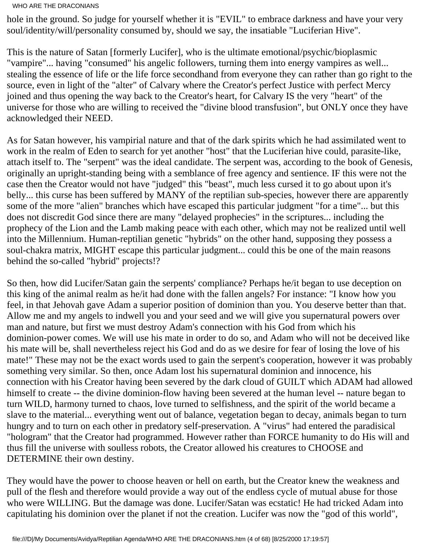hole in the ground. So judge for yourself whether it is "EVIL" to embrace darkness and have your very soul/identity/will/personality consumed by, should we say, the insatiable "Luciferian Hive".

This is the nature of Satan [formerly Lucifer], who is the ultimate emotional/psychic/bioplasmic "vampire"... having "consumed" his angelic followers, turning them into energy vampires as well... stealing the essence of life or the life force secondhand from everyone they can rather than go right to the source, even in light of the "alter" of Calvary where the Creator's perfect Justice with perfect Mercy joined and thus opening the way back to the Creator's heart, for Calvary IS the very "heart" of the universe for those who are willing to received the "divine blood transfusion", but ONLY once they have acknowledged their NEED.

As for Satan however, his vampirial nature and that of the dark spirits which he had assimilated went to work in the realm of Eden to search for yet another "host" that the Luciferian hive could, parasite-like, attach itself to. The "serpent" was the ideal candidate. The serpent was, according to the book of Genesis, originally an upright-standing being with a semblance of free agency and sentience. IF this were not the case then the Creator would not have "judged" this "beast", much less cursed it to go about upon it's belly... this curse has been suffered by MANY of the reptilian sub-species, however there are apparently some of the more "alien" branches which have escaped this particular judgment "for a time"... but this does not discredit God since there are many "delayed prophecies" in the scriptures... including the prophecy of the Lion and the Lamb making peace with each other, which may not be realized until well into the Millennium. Human-reptilian genetic "hybrids" on the other hand, supposing they possess a soul-chakra matrix, MIGHT escape this particular judgment... could this be one of the main reasons behind the so-called "hybrid" projects!?

So then, how did Lucifer/Satan gain the serpents' compliance? Perhaps he/it began to use deception on this king of the animal realm as he/it had done with the fallen angels? For instance: "I know how you feel, in that Jehovah gave Adam a superior position of dominion than you. You deserve better than that. Allow me and my angels to indwell you and your seed and we will give you supernatural powers over man and nature, but first we must destroy Adam's connection with his God from which his dominion-power comes. We will use his mate in order to do so, and Adam who will not be deceived like his mate will be, shall nevertheless reject his God and do as we desire for fear of losing the love of his mate!" These may not be the exact words used to gain the serpent's cooperation, however it was probably something very similar. So then, once Adam lost his supernatural dominion and innocence, his connection with his Creator having been severed by the dark cloud of GUILT which ADAM had allowed himself to create -- the divine dominion-flow having been severed at the human level -- nature began to turn WILD, harmony turned to chaos, love turned to selfishness, and the spirit of the world became a slave to the material... everything went out of balance, vegetation began to decay, animals began to turn hungry and to turn on each other in predatory self-preservation. A "virus" had entered the paradisical "hologram" that the Creator had programmed. However rather than FORCE humanity to do His will and thus fill the universe with soulless robots, the Creator allowed his creatures to CHOOSE and DETERMINE their own destiny.

They would have the power to choose heaven or hell on earth, but the Creator knew the weakness and pull of the flesh and therefore would provide a way out of the endless cycle of mutual abuse for those who were WILLING. But the damage was done. Lucifer/Satan was ecstatic! He had tricked Adam into capitulating his dominion over the planet if not the creation. Lucifer was now the "god of this world",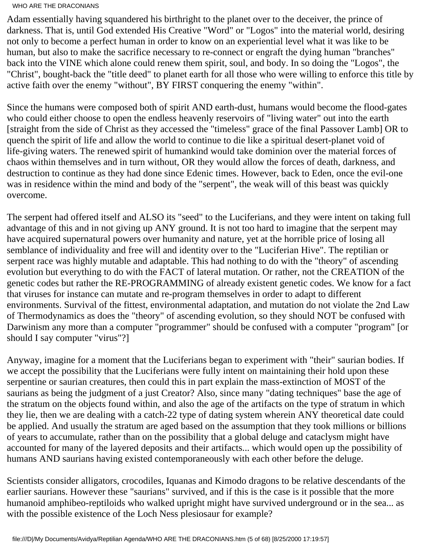Adam essentially having squandered his birthright to the planet over to the deceiver, the prince of darkness. That is, until God extended His Creative "Word" or "Logos" into the material world, desiring not only to become a perfect human in order to know on an experiential level what it was like to be human, but also to make the sacrifice necessary to re-connect or engraft the dying human "branches" back into the VINE which alone could renew them spirit, soul, and body. In so doing the "Logos", the "Christ", bought-back the "title deed" to planet earth for all those who were willing to enforce this title by active faith over the enemy "without", BY FIRST conquering the enemy "within".

Since the humans were composed both of spirit AND earth-dust, humans would become the flood-gates who could either choose to open the endless heavenly reservoirs of "living water" out into the earth [straight from the side of Christ as they accessed the "timeless" grace of the final Passover Lamb] OR to quench the spirit of life and allow the world to continue to die like a spiritual desert-planet void of life-giving waters. The renewed spirit of humankind would take dominion over the material forces of chaos within themselves and in turn without, OR they would allow the forces of death, darkness, and destruction to continue as they had done since Edenic times. However, back to Eden, once the evil-one was in residence within the mind and body of the "serpent", the weak will of this beast was quickly overcome.

The serpent had offered itself and ALSO its "seed" to the Luciferians, and they were intent on taking full advantage of this and in not giving up ANY ground. It is not too hard to imagine that the serpent may have acquired supernatural powers over humanity and nature, yet at the horrible price of losing all semblance of individuality and free will and identity over to the "Luciferian Hive". The reptilian or serpent race was highly mutable and adaptable. This had nothing to do with the "theory" of ascending evolution but everything to do with the FACT of lateral mutation. Or rather, not the CREATION of the genetic codes but rather the RE-PROGRAMMING of already existent genetic codes. We know for a fact that viruses for instance can mutate and re-program themselves in order to adapt to different environments. Survival of the fittest, environmental adaptation, and mutation do not violate the 2nd Law of Thermodynamics as does the "theory" of ascending evolution, so they should NOT be confused with Darwinism any more than a computer "programmer" should be confused with a computer "program" [or should I say computer "virus"?]

Anyway, imagine for a moment that the Luciferians began to experiment with "their" saurian bodies. If we accept the possibility that the Luciferians were fully intent on maintaining their hold upon these serpentine or saurian creatures, then could this in part explain the mass-extinction of MOST of the saurians as being the judgment of a just Creator? Also, since many "dating techniques" base the age of the stratum on the objects found within, and also the age of the artifacts on the type of stratum in which they lie, then we are dealing with a catch-22 type of dating system wherein ANY theoretical date could be applied. And usually the stratum are aged based on the assumption that they took millions or billions of years to accumulate, rather than on the possibility that a global deluge and cataclysm might have accounted for many of the layered deposits and their artifacts... which would open up the possibility of humans AND saurians having existed contemporaneously with each other before the deluge.

Scientists consider alligators, crocodiles, Iquanas and Kimodo dragons to be relative descendants of the earlier saurians. However these "saurians" survived, and if this is the case is it possible that the more humanoid amphibeo-reptiloids who walked upright might have survived underground or in the sea... as with the possible existence of the Loch Ness plesiosaur for example?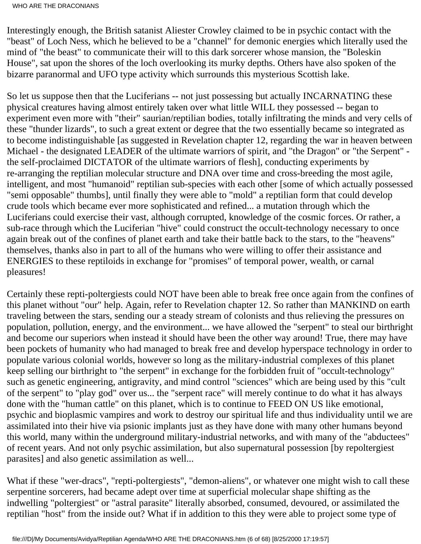Interestingly enough, the British satanist Aliester Crowley claimed to be in psychic contact with the "beast" of Loch Ness, which he believed to be a "channel" for demonic energies which literally used the mind of "the beast" to communicate their will to this dark sorcerer whose mansion, the "Boleskin House", sat upon the shores of the loch overlooking its murky depths. Others have also spoken of the bizarre paranormal and UFO type activity which surrounds this mysterious Scottish lake.

So let us suppose then that the Luciferians -- not just possessing but actually INCARNATING these physical creatures having almost entirely taken over what little WILL they possessed -- began to experiment even more with "their" saurian/reptilian bodies, totally infiltrating the minds and very cells of these "thunder lizards", to such a great extent or degree that the two essentially became so integrated as to become indistinguishable [as suggested in Revelation chapter 12, regarding the war in heaven between Michael - the designated LEADER of the ultimate warriors of spirit, and "the Dragon" or "the Serpent" the self-proclaimed DICTATOR of the ultimate warriors of flesh], conducting experiments by re-arranging the reptilian molecular structure and DNA over time and cross-breeding the most agile, intelligent, and most "humanoid" reptilian sub-species with each other [some of which actually possessed "semi opposable" thumbs], until finally they were able to "mold" a reptilian form that could develop crude tools which became ever more sophisticated and refined... a mutation through which the Luciferians could exercise their vast, although corrupted, knowledge of the cosmic forces. Or rather, a sub-race through which the Luciferian "hive" could construct the occult-technology necessary to once again break out of the confines of planet earth and take their battle back to the stars, to the "heavens" themselves, thanks also in part to all of the humans who were willing to offer their assistance and ENERGIES to these reptiloids in exchange for "promises" of temporal power, wealth, or carnal pleasures!

Certainly these repti-poltergiests could NOT have been able to break free once again from the confines of this planet without "our" help. Again, refer to Revelation chapter 12. So rather than MANKIND on earth traveling between the stars, sending our a steady stream of colonists and thus relieving the pressures on population, pollution, energy, and the environment... we have allowed the "serpent" to steal our birthright and become our superiors when instead it should have been the other way around! True, there may have been pockets of humanity who had managed to break free and develop hyperspace technology in order to populate various colonial worlds, however so long as the military-industrial complexes of this planet keep selling our birthright to "the serpent" in exchange for the forbidden fruit of "occult-technology" such as genetic engineering, antigravity, and mind control "sciences" which are being used by this "cult of the serpent" to "play god" over us... the "serpent race" will merely continue to do what it has always done with the "human cattle" on this planet, which is to continue to FEED ON US like emotional, psychic and bioplasmic vampires and work to destroy our spiritual life and thus individuality until we are assimilated into their hive via psionic implants just as they have done with many other humans beyond this world, many within the underground military-industrial networks, and with many of the "abductees" of recent years. And not only psychic assimilation, but also supernatural possession [by repoltergiest parasites] and also genetic assimilation as well...

What if these "wer-dracs", "repti-poltergiests", "demon-aliens", or whatever one might wish to call these serpentine sorcerers, had became adept over time at superficial molecular shape shifting as the indwelling "poltergiest" or "astral parasite" literally absorbed, consumed, devoured, or assimilated the reptilian "host" from the inside out? What if in addition to this they were able to project some type of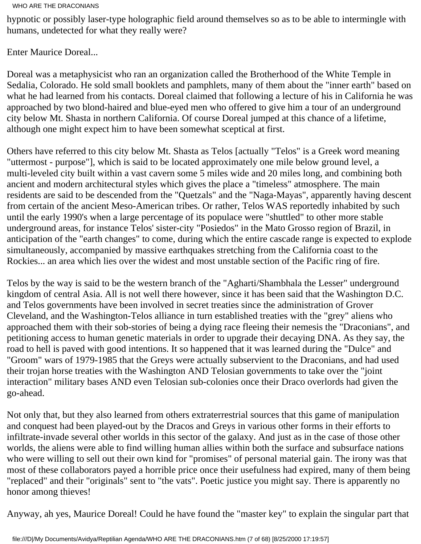```
WHO ARE THE DRACONIANS
```
hypnotic or possibly laser-type holographic field around themselves so as to be able to intermingle with humans, undetected for what they really were?

Enter Maurice Doreal...

Doreal was a metaphysicist who ran an organization called the Brotherhood of the White Temple in Sedalia, Colorado. He sold small booklets and pamphlets, many of them about the "inner earth" based on what he had learned from his contacts. Doreal claimed that following a lecture of his in California he was approached by two blond-haired and blue-eyed men who offered to give him a tour of an underground city below Mt. Shasta in northern California. Of course Doreal jumped at this chance of a lifetime, although one might expect him to have been somewhat sceptical at first.

Others have referred to this city below Mt. Shasta as Telos [actually "Telos" is a Greek word meaning "uttermost - purpose"], which is said to be located approximately one mile below ground level, a multi-leveled city built within a vast cavern some 5 miles wide and 20 miles long, and combining both ancient and modern architectural styles which gives the place a "timeless" atmosphere. The main residents are said to be descended from the "Quetzals" and the "Naga-Mayas", apparently having descent from certain of the ancient Meso-American tribes. Or rather, Telos WAS reportedly inhabited by such until the early 1990's when a large percentage of its populace were "shuttled" to other more stable underground areas, for instance Telos' sister-city "Posiedos" in the Mato Grosso region of Brazil, in anticipation of the "earth changes" to come, during which the entire cascade range is expected to explode simultaneously, accompanied by massive earthquakes stretching from the California coast to the Rockies... an area which lies over the widest and most unstable section of the Pacific ring of fire.

Telos by the way is said to be the western branch of the "Agharti/Shambhala the Lesser" underground kingdom of central Asia. All is not well there however, since it has been said that the Washington D.C. and Telos governments have been involved in secret treaties since the administration of Grover Cleveland, and the Washington-Telos alliance in turn established treaties with the "grey" aliens who approached them with their sob-stories of being a dying race fleeing their nemesis the "Draconians", and petitioning access to human genetic materials in order to upgrade their decaying DNA. As they say, the road to hell is paved with good intentions. It so happened that it was learned during the "Dulce" and "Groom" wars of 1979-1985 that the Greys were actually subservient to the Draconians, and had used their trojan horse treaties with the Washington AND Telosian governments to take over the "joint interaction" military bases AND even Telosian sub-colonies once their Draco overlords had given the go-ahead.

Not only that, but they also learned from others extraterrestrial sources that this game of manipulation and conquest had been played-out by the Dracos and Greys in various other forms in their efforts to infiltrate-invade several other worlds in this sector of the galaxy. And just as in the case of those other worlds, the aliens were able to find willing human allies within both the surface and subsurface nations who were willing to sell out their own kind for "promises" of personal material gain. The irony was that most of these collaborators payed a horrible price once their usefulness had expired, many of them being "replaced" and their "originals" sent to "the vats". Poetic justice you might say. There is apparently no honor among thieves!

Anyway, ah yes, Maurice Doreal! Could he have found the "master key" to explain the singular part that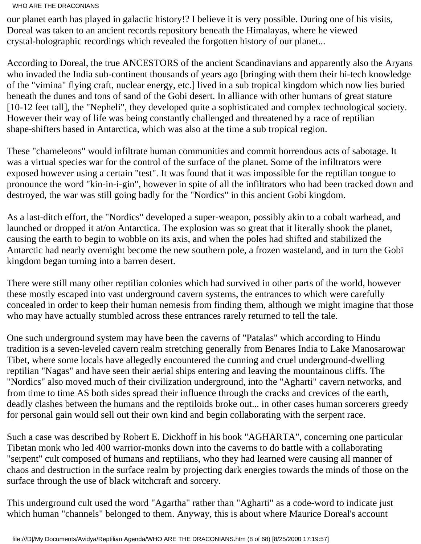our planet earth has played in galactic history!? I believe it is very possible. During one of his visits, Doreal was taken to an ancient records repository beneath the Himalayas, where he viewed crystal-holographic recordings which revealed the forgotten history of our planet...

According to Doreal, the true ANCESTORS of the ancient Scandinavians and apparently also the Aryans who invaded the India sub-continent thousands of years ago [bringing with them their hi-tech knowledge of the "vimina" flying craft, nuclear energy, etc.] lived in a sub tropical kingdom which now lies buried beneath the dunes and tons of sand of the Gobi desert. In alliance with other humans of great stature [10-12 feet tall], the "Nepheli", they developed quite a sophisticated and complex technological society. However their way of life was being constantly challenged and threatened by a race of reptilian shape-shifters based in Antarctica, which was also at the time a sub tropical region.

These "chameleons" would infiltrate human communities and commit horrendous acts of sabotage. It was a virtual species war for the control of the surface of the planet. Some of the infiltrators were exposed however using a certain "test". It was found that it was impossible for the reptilian tongue to pronounce the word "kin-in-i-gin", however in spite of all the infiltrators who had been tracked down and destroyed, the war was still going badly for the "Nordics" in this ancient Gobi kingdom.

As a last-ditch effort, the "Nordics" developed a super-weapon, possibly akin to a cobalt warhead, and launched or dropped it at/on Antarctica. The explosion was so great that it literally shook the planet, causing the earth to begin to wobble on its axis, and when the poles had shifted and stabilized the Antarctic had nearly overnight become the new southern pole, a frozen wasteland, and in turn the Gobi kingdom began turning into a barren desert.

There were still many other reptilian colonies which had survived in other parts of the world, however these mostly escaped into vast underground cavern systems, the entrances to which were carefully concealed in order to keep their human nemesis from finding them, although we might imagine that those who may have actually stumbled across these entrances rarely returned to tell the tale.

One such underground system may have been the caverns of "Patalas" which according to Hindu tradition is a seven-leveled cavern realm stretching generally from Benares India to Lake Manosarowar Tibet, where some locals have allegedly encountered the cunning and cruel underground-dwelling reptilian "Nagas" and have seen their aerial ships entering and leaving the mountainous cliffs. The "Nordics" also moved much of their civilization underground, into the "Agharti" cavern networks, and from time to time AS both sides spread their influence through the cracks and crevices of the earth, deadly clashes between the humans and the reptiloids broke out... in other cases human sorcerers greedy for personal gain would sell out their own kind and begin collaborating with the serpent race.

Such a case was described by Robert E. Dickhoff in his book "AGHARTA", concerning one particular Tibetan monk who led 400 warrior-monks down into the caverns to do battle with a collaborating "serpent" cult composed of humans and reptilians, who they had learned were causing all manner of chaos and destruction in the surface realm by projecting dark energies towards the minds of those on the surface through the use of black witchcraft and sorcery.

This underground cult used the word "Agartha" rather than "Agharti" as a code-word to indicate just which human "channels" belonged to them. Anyway, this is about where Maurice Doreal's account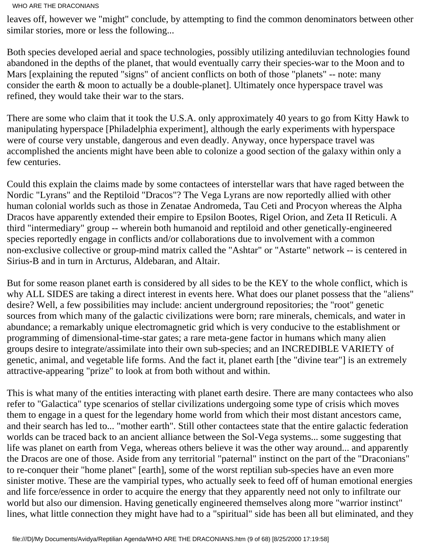leaves off, however we "might" conclude, by attempting to find the common denominators between other similar stories, more or less the following...

Both species developed aerial and space technologies, possibly utilizing antediluvian technologies found abandoned in the depths of the planet, that would eventually carry their species-war to the Moon and to Mars [explaining the reputed "signs" of ancient conflicts on both of those "planets" -- note: many consider the earth & moon to actually be a double-planet]. Ultimately once hyperspace travel was refined, they would take their war to the stars.

There are some who claim that it took the U.S.A. only approximately 40 years to go from Kitty Hawk to manipulating hyperspace [Philadelphia experiment], although the early experiments with hyperspace were of course very unstable, dangerous and even deadly. Anyway, once hyperspace travel was accomplished the ancients might have been able to colonize a good section of the galaxy within only a few centuries.

Could this explain the claims made by some contactees of interstellar wars that have raged between the Nordic "Lyrans" and the Reptiloid "Dracos"? The Vega Lyrans are now reportedly allied with other human colonial worlds such as those in Zenatae Andromeda, Tau Ceti and Procyon whereas the Alpha Dracos have apparently extended their empire to Epsilon Bootes, Rigel Orion, and Zeta II Reticuli. A third "intermediary" group -- wherein both humanoid and reptiloid and other genetically-engineered species reportedly engage in conflicts and/or collaborations due to involvement with a common non-exclusive collective or group-mind matrix called the "Ashtar" or "Astarte" network -- is centered in Sirius-B and in turn in Arcturus, Aldebaran, and Altair.

But for some reason planet earth is considered by all sides to be the KEY to the whole conflict, which is why ALL SIDES are taking a direct interest in events here. What does our planet possess that the "aliens" desire? Well, a few possibilities may include: ancient underground repositories; the "root" genetic sources from which many of the galactic civilizations were born; rare minerals, chemicals, and water in abundance; a remarkably unique electromagnetic grid which is very conducive to the establishment or programming of dimensional-time-star gates; a rare meta-gene factor in humans which many alien groups desire to integrate/assimilate into their own sub-species; and an INCREDIBLE VARIETY of genetic, animal, and vegetable life forms. And the fact it, planet earth [the "divine tear"] is an extremely attractive-appearing "prize" to look at from both without and within.

This is what many of the entities interacting with planet earth desire. There are many contactees who also refer to "Galactica" type scenarios of stellar civilizations undergoing some type of crisis which moves them to engage in a quest for the legendary home world from which their most distant ancestors came, and their search has led to... "mother earth". Still other contactees state that the entire galactic federation worlds can be traced back to an ancient alliance between the Sol-Vega systems... some suggesting that life was planet on earth from Vega, whereas others believe it was the other way around... and apparently the Dracos are one of those. Aside from any territorial "paternal" instinct on the part of the "Draconians" to re-conquer their "home planet" [earth], some of the worst reptilian sub-species have an even more sinister motive. These are the vampirial types, who actually seek to feed off of human emotional energies and life force/essence in order to acquire the energy that they apparently need not only to infiltrate our world but also our dimension. Having genetically engineered themselves along more "warrior instinct" lines, what little connection they might have had to a "spiritual" side has been all but eliminated, and they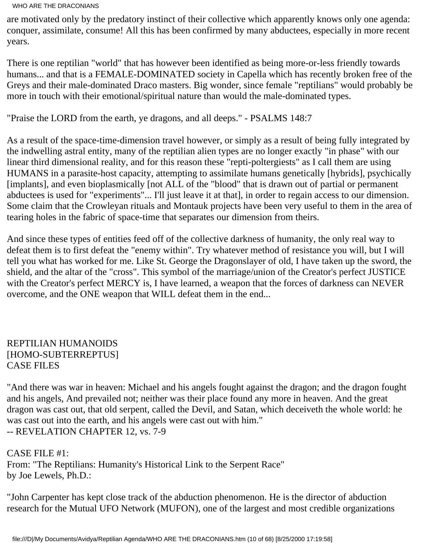are motivated only by the predatory instinct of their collective which apparently knows only one agenda: conquer, assimilate, consume! All this has been confirmed by many abductees, especially in more recent years.

There is one reptilian "world" that has however been identified as being more-or-less friendly towards humans... and that is a FEMALE-DOMINATED society in Capella which has recently broken free of the Greys and their male-dominated Draco masters. Big wonder, since female "reptilians" would probably be more in touch with their emotional/spiritual nature than would the male-dominated types.

"Praise the LORD from the earth, ye dragons, and all deeps." - PSALMS 148:7

As a result of the space-time-dimension travel however, or simply as a result of being fully integrated by the indwelling astral entity, many of the reptilian alien types are no longer exactly "in phase" with our linear third dimensional reality, and for this reason these "repti-poltergiests" as I call them are using HUMANS in a parasite-host capacity, attempting to assimilate humans genetically [hybrids], psychically [implants], and even bioplasmically [not ALL of the "blood" that is drawn out of partial or permanent abductees is used for "experiments"... I'll just leave it at that], in order to regain access to our dimension. Some claim that the Crowleyan rituals and Montauk projects have been very useful to them in the area of tearing holes in the fabric of space-time that separates our dimension from theirs.

And since these types of entities feed off of the collective darkness of humanity, the only real way to defeat them is to first defeat the "enemy within". Try whatever method of resistance you will, but I will tell you what has worked for me. Like St. George the Dragonslayer of old, I have taken up the sword, the shield, and the altar of the "cross". This symbol of the marriage/union of the Creator's perfect JUSTICE with the Creator's perfect MERCY is, I have learned, a weapon that the forces of darkness can NEVER overcome, and the ONE weapon that WILL defeat them in the end...

### REPTILIAN HUMANOIDS [HOMO-SUBTERREPTUS] CASE FILES

"And there was war in heaven: Michael and his angels fought against the dragon; and the dragon fought and his angels, And prevailed not; neither was their place found any more in heaven. And the great dragon was cast out, that old serpent, called the Devil, and Satan, which deceiveth the whole world: he was cast out into the earth, and his angels were cast out with him." -- REVELATION CHAPTER 12, vs. 7-9

CASE FILE #1: From: "The Reptilians: Humanity's Historical Link to the Serpent Race" by Joe Lewels, Ph.D.:

"John Carpenter has kept close track of the abduction phenomenon. He is the director of abduction research for the Mutual UFO Network (MUFON), one of the largest and most credible organizations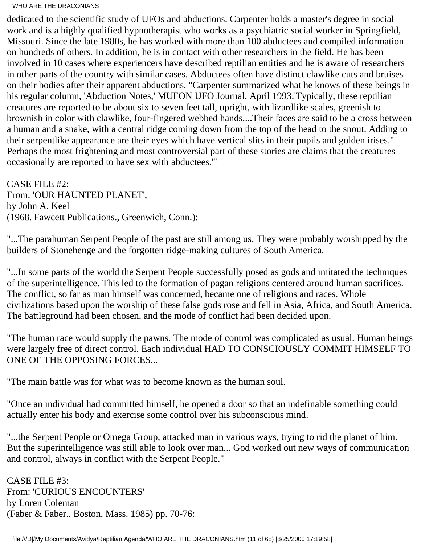dedicated to the scientific study of UFOs and abductions. Carpenter holds a master's degree in social work and is a highly qualified hypnotherapist who works as a psychiatric social worker in Springfield, Missouri. Since the late 1980s, he has worked with more than 100 abductees and compiled information on hundreds of others. In addition, he is in contact with other researchers in the field. He has been involved in 10 cases where experiencers have described reptilian entities and he is aware of researchers in other parts of the country with similar cases. Abductees often have distinct clawlike cuts and bruises on their bodies after their apparent abductions. "Carpenter summarized what he knows of these beings in his regular column, 'Abduction Notes,' MUFON UFO Journal, April 1993:'Typically, these reptilian creatures are reported to be about six to seven feet tall, upright, with lizardlike scales, greenish to brownish in color with clawlike, four-fingered webbed hands....Their faces are said to be a cross between a human and a snake, with a central ridge coming down from the top of the head to the snout. Adding to their serpentlike appearance are their eyes which have vertical slits in their pupils and golden irises." Perhaps the most frightening and most controversial part of these stories are claims that the creatures occasionally are reported to have sex with abductees.'"

CASE FILE #2: From: 'OUR HAUNTED PLANET', by John A. Keel (1968. Fawcett Publications., Greenwich, Conn.):

"...The parahuman Serpent People of the past are still among us. They were probably worshipped by the builders of Stonehenge and the forgotten ridge-making cultures of South America.

"...In some parts of the world the Serpent People successfully posed as gods and imitated the techniques of the superintelligence. This led to the formation of pagan religions centered around human sacrifices. The conflict, so far as man himself was concerned, became one of religions and races. Whole civilizations based upon the worship of these false gods rose and fell in Asia, Africa, and South America. The battleground had been chosen, and the mode of conflict had been decided upon.

"The human race would supply the pawns. The mode of control was complicated as usual. Human beings were largely free of direct control. Each individual HAD TO CONSCIOUSLY COMMIT HIMSELF TO ONE OF THE OPPOSING FORCES...

"The main battle was for what was to become known as the human soul.

"Once an individual had committed himself, he opened a door so that an indefinable something could actually enter his body and exercise some control over his subconscious mind.

"...the Serpent People or Omega Group, attacked man in various ways, trying to rid the planet of him. But the superintelligence was still able to look over man... God worked out new ways of communication and control, always in conflict with the Serpent People."

CASE FILE #3: From: 'CURIOUS ENCOUNTERS' by Loren Coleman (Faber & Faber., Boston, Mass. 1985) pp. 70-76: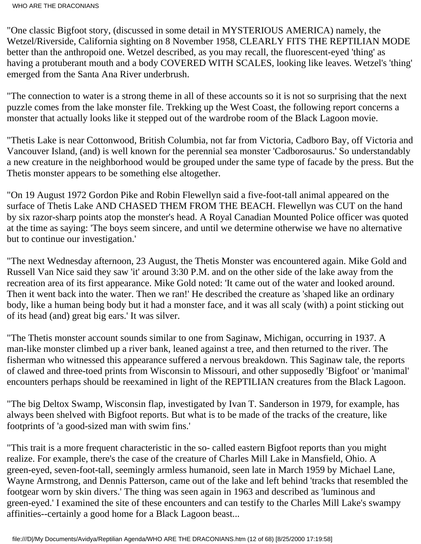"One classic Bigfoot story, (discussed in some detail in MYSTERIOUS AMERICA) namely, the Wetzel/Riverside, California sighting on 8 November 1958, CLEARLY FITS THE REPTILIAN MODE better than the anthropoid one. Wetzel described, as you may recall, the fluorescent-eyed 'thing' as having a protuberant mouth and a body COVERED WITH SCALES, looking like leaves. Wetzel's 'thing' emerged from the Santa Ana River underbrush.

"The connection to water is a strong theme in all of these accounts so it is not so surprising that the next puzzle comes from the lake monster file. Trekking up the West Coast, the following report concerns a monster that actually looks like it stepped out of the wardrobe room of the Black Lagoon movie.

"Thetis Lake is near Cottonwood, British Columbia, not far from Victoria, Cadboro Bay, off Victoria and Vancouver Island, (and) is well known for the perennial sea monster 'Cadborosaurus.' So understandably a new creature in the neighborhood would be grouped under the same type of facade by the press. But the Thetis monster appears to be something else altogether.

"On 19 August 1972 Gordon Pike and Robin Flewellyn said a five-foot-tall animal appeared on the surface of Thetis Lake AND CHASED THEM FROM THE BEACH. Flewellyn was CUT on the hand by six razor-sharp points atop the monster's head. A Royal Canadian Mounted Police officer was quoted at the time as saying: 'The boys seem sincere, and until we determine otherwise we have no alternative but to continue our investigation.'

"The next Wednesday afternoon, 23 August, the Thetis Monster was encountered again. Mike Gold and Russell Van Nice said they saw 'it' around 3:30 P.M. and on the other side of the lake away from the recreation area of its first appearance. Mike Gold noted: 'It came out of the water and looked around. Then it went back into the water. Then we ran!' He described the creature as 'shaped like an ordinary body, like a human being body but it had a monster face, and it was all scaly (with) a point sticking out of its head (and) great big ears.' It was silver.

"The Thetis monster account sounds similar to one from Saginaw, Michigan, occurring in 1937. A man-like monster climbed up a river bank, leaned against a tree, and then returned to the river. The fisherman who witnessed this appearance suffered a nervous breakdown. This Saginaw tale, the reports of clawed and three-toed prints from Wisconsin to Missouri, and other supposedly 'Bigfoot' or 'manimal' encounters perhaps should be reexamined in light of the REPTILIAN creatures from the Black Lagoon.

"The big Deltox Swamp, Wisconsin flap, investigated by Ivan T. Sanderson in 1979, for example, has always been shelved with Bigfoot reports. But what is to be made of the tracks of the creature, like footprints of 'a good-sized man with swim fins.'

"This trait is a more frequent characteristic in the so- called eastern Bigfoot reports than you might realize. For example, there's the case of the creature of Charles Mill Lake in Mansfield, Ohio. A green-eyed, seven-foot-tall, seemingly armless humanoid, seen late in March 1959 by Michael Lane, Wayne Armstrong, and Dennis Patterson, came out of the lake and left behind 'tracks that resembled the footgear worn by skin divers.' The thing was seen again in 1963 and described as 'luminous and green-eyed.' I examined the site of these encounters and can testify to the Charles Mill Lake's swampy affinities--certainly a good home for a Black Lagoon beast...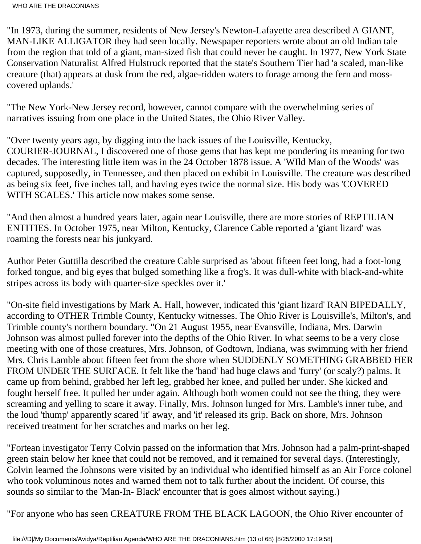"In 1973, during the summer, residents of New Jersey's Newton-Lafayette area described A GIANT, MAN-LIKE ALLIGATOR they had seen locally. Newspaper reporters wrote about an old Indian tale from the region that told of a giant, man-sized fish that could never be caught. In 1977, New York State Conservation Naturalist Alfred Hulstruck reported that the state's Southern Tier had 'a scaled, man-like creature (that) appears at dusk from the red, algae-ridden waters to forage among the fern and mosscovered uplands.'

"The New York-New Jersey record, however, cannot compare with the overwhelming series of narratives issuing from one place in the United States, the Ohio River Valley.

"Over twenty years ago, by digging into the back issues of the Louisville, Kentucky, COURIER-JOURNAL, I discovered one of those gems that has kept me pondering its meaning for two decades. The interesting little item was in the 24 October 1878 issue. A 'WIld Man of the Woods' was captured, supposedly, in Tennessee, and then placed on exhibit in Louisville. The creature was described as being six feet, five inches tall, and having eyes twice the normal size. His body was 'COVERED WITH SCALES.' This article now makes some sense.

"And then almost a hundred years later, again near Louisville, there are more stories of REPTILIAN ENTITIES. In October 1975, near Milton, Kentucky, Clarence Cable reported a 'giant lizard' was roaming the forests near his junkyard.

Author Peter Guttilla described the creature Cable surprised as 'about fifteen feet long, had a foot-long forked tongue, and big eyes that bulged something like a frog's. It was dull-white with black-and-white stripes across its body with quarter-size speckles over it.'

"On-site field investigations by Mark A. Hall, however, indicated this 'giant lizard' RAN BIPEDALLY, according to OTHER Trimble County, Kentucky witnesses. The Ohio River is Louisville's, Milton's, and Trimble county's northern boundary. "On 21 August 1955, near Evansville, Indiana, Mrs. Darwin Johnson was almost pulled forever into the depths of the Ohio River. In what seems to be a very close meeting with one of those creatures, Mrs. Johnson, of Godtown, Indiana, was swimming with her friend Mrs. Chris Lamble about fifteen feet from the shore when SUDDENLY SOMETHING GRABBED HER FROM UNDER THE SURFACE. It felt like the 'hand' had huge claws and 'furry' (or scaly?) palms. It came up from behind, grabbed her left leg, grabbed her knee, and pulled her under. She kicked and fought herself free. It pulled her under again. Although both women could not see the thing, they were screaming and yelling to scare it away. Finally, Mrs. Johnson lunged for Mrs. Lamble's inner tube, and the loud 'thump' apparently scared 'it' away, and 'it' released its grip. Back on shore, Mrs. Johnson received treatment for her scratches and marks on her leg.

"Fortean investigator Terry Colvin passed on the information that Mrs. Johnson had a palm-print-shaped green stain below her knee that could not be removed, and it remained for several days. (Interestingly, Colvin learned the Johnsons were visited by an individual who identified himself as an Air Force colonel who took voluminous notes and warned them not to talk further about the incident. Of course, this sounds so similar to the 'Man-In- Black' encounter that is goes almost without saying.)

"For anyone who has seen CREATURE FROM THE BLACK LAGOON, the Ohio River encounter of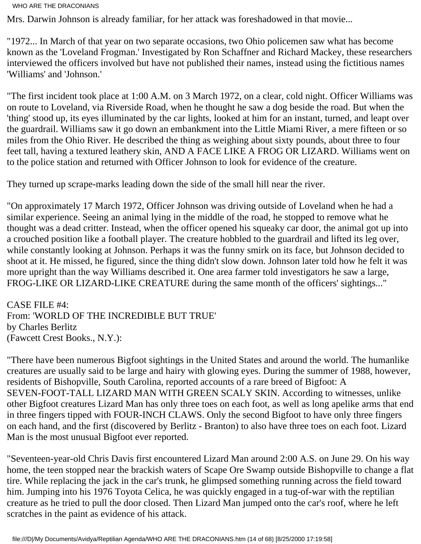Mrs. Darwin Johnson is already familiar, for her attack was foreshadowed in that movie...

"1972... In March of that year on two separate occasions, two Ohio policemen saw what has become known as the 'Loveland Frogman.' Investigated by Ron Schaffner and Richard Mackey, these researchers interviewed the officers involved but have not published their names, instead using the fictitious names 'Williams' and 'Johnson.'

"The first incident took place at 1:00 A.M. on 3 March 1972, on a clear, cold night. Officer Williams was on route to Loveland, via Riverside Road, when he thought he saw a dog beside the road. But when the 'thing' stood up, its eyes illuminated by the car lights, looked at him for an instant, turned, and leapt over the guardrail. Williams saw it go down an embankment into the Little Miami River, a mere fifteen or so miles from the Ohio River. He described the thing as weighing about sixty pounds, about three to four feet tall, having a textured leathery skin, AND A FACE LIKE A FROG OR LIZARD. Williams went on to the police station and returned with Officer Johnson to look for evidence of the creature.

They turned up scrape-marks leading down the side of the small hill near the river.

"On approximately 17 March 1972, Officer Johnson was driving outside of Loveland when he had a similar experience. Seeing an animal lying in the middle of the road, he stopped to remove what he thought was a dead critter. Instead, when the officer opened his squeaky car door, the animal got up into a crouched position like a football player. The creature hobbled to the guardrail and lifted its leg over, while constantly looking at Johnson. Perhaps it was the funny smirk on its face, but Johnson decided to shoot at it. He missed, he figured, since the thing didn't slow down. Johnson later told how he felt it was more upright than the way Williams described it. One area farmer told investigators he saw a large, FROG-LIKE OR LIZARD-LIKE CREATURE during the same month of the officers' sightings..."

CASE FILE #4: From: 'WORLD OF THE INCREDIBLE BUT TRUE' by Charles Berlitz (Fawcett Crest Books., N.Y.):

"There have been numerous Bigfoot sightings in the United States and around the world. The humanlike creatures are usually said to be large and hairy with glowing eyes. During the summer of 1988, however, residents of Bishopville, South Carolina, reported accounts of a rare breed of Bigfoot: A SEVEN-FOOT-TALL LIZARD MAN WITH GREEN SCALY SKIN. According to witnesses, unlike other Bigfoot creatures Lizard Man has only three toes on each foot, as well as long apelike arms that end in three fingers tipped with FOUR-INCH CLAWS. Only the second Bigfoot to have only three fingers on each hand, and the first (discovered by Berlitz - Branton) to also have three toes on each foot. Lizard Man is the most unusual Bigfoot ever reported.

"Seventeen-year-old Chris Davis first encountered Lizard Man around 2:00 A.S. on June 29. On his way home, the teen stopped near the brackish waters of Scape Ore Swamp outside Bishopville to change a flat tire. While replacing the jack in the car's trunk, he glimpsed something running across the field toward him. Jumping into his 1976 Toyota Celica, he was quickly engaged in a tug-of-war with the reptilian creature as he tried to pull the door closed. Then Lizard Man jumped onto the car's roof, where he left scratches in the paint as evidence of his attack.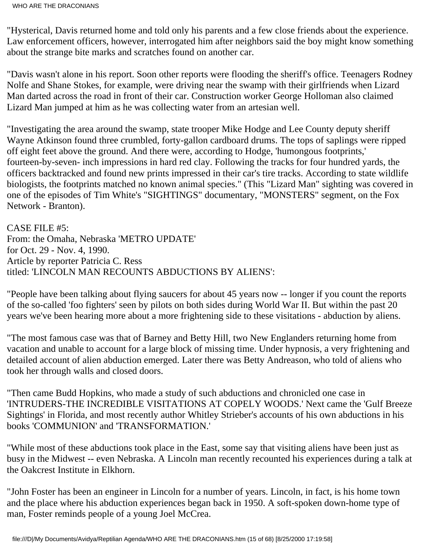"Hysterical, Davis returned home and told only his parents and a few close friends about the experience. Law enforcement officers, however, interrogated him after neighbors said the boy might know something about the strange bite marks and scratches found on another car.

"Davis wasn't alone in his report. Soon other reports were flooding the sheriff's office. Teenagers Rodney Nolfe and Shane Stokes, for example, were driving near the swamp with their girlfriends when Lizard Man darted across the road in front of their car. Construction worker George Holloman also claimed Lizard Man jumped at him as he was collecting water from an artesian well.

"Investigating the area around the swamp, state trooper Mike Hodge and Lee County deputy sheriff Wayne Atkinson found three crumbled, forty-gallon cardboard drums. The tops of saplings were ripped off eight feet above the ground. And there were, according to Hodge, 'humongous footprints,' fourteen-by-seven- inch impressions in hard red clay. Following the tracks for four hundred yards, the officers backtracked and found new prints impressed in their car's tire tracks. According to state wildlife biologists, the footprints matched no known animal species." (This "Lizard Man" sighting was covered in one of the episodes of Tim White's "SIGHTINGS" documentary, "MONSTERS" segment, on the Fox Network - Branton).

CASE FILE #5: From: the Omaha, Nebraska 'METRO UPDATE' for Oct. 29 - Nov. 4, 1990. Article by reporter Patricia C. Ress titled: 'LINCOLN MAN RECOUNTS ABDUCTIONS BY ALIENS':

"People have been talking about flying saucers for about 45 years now -- longer if you count the reports of the so-called 'foo fighters' seen by pilots on both sides during World War II. But within the past 20 years we've been hearing more about a more frightening side to these visitations - abduction by aliens.

"The most famous case was that of Barney and Betty Hill, two New Englanders returning home from vacation and unable to account for a large block of missing time. Under hypnosis, a very frightening and detailed account of alien abduction emerged. Later there was Betty Andreason, who told of aliens who took her through walls and closed doors.

"Then came Budd Hopkins, who made a study of such abductions and chronicled one case in 'INTRUDERS-THE INCREDIBLE VISITATIONS AT COPELY WOODS.' Next came the 'Gulf Breeze Sightings' in Florida, and most recently author Whitley Strieber's accounts of his own abductions in his books 'COMMUNION' and 'TRANSFORMATION.'

"While most of these abductions took place in the East, some say that visiting aliens have been just as busy in the Midwest -- even Nebraska. A Lincoln man recently recounted his experiences during a talk at the Oakcrest Institute in Elkhorn.

"John Foster has been an engineer in Lincoln for a number of years. Lincoln, in fact, is his home town and the place where his abduction experiences began back in 1950. A soft-spoken down-home type of man, Foster reminds people of a young Joel McCrea.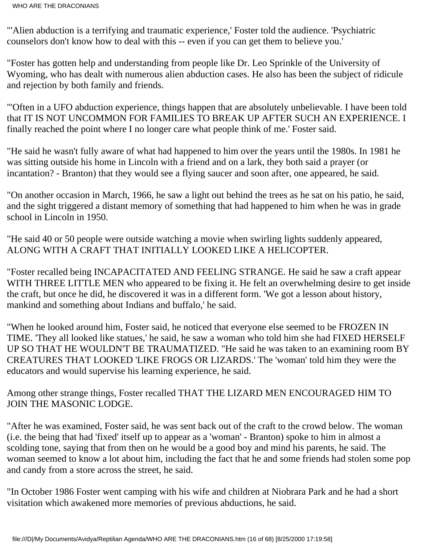"'Alien abduction is a terrifying and traumatic experience,' Foster told the audience. 'Psychiatric counselors don't know how to deal with this -- even if you can get them to believe you.'

"Foster has gotten help and understanding from people like Dr. Leo Sprinkle of the University of Wyoming, who has dealt with numerous alien abduction cases. He also has been the subject of ridicule and rejection by both family and friends.

"'Often in a UFO abduction experience, things happen that are absolutely unbelievable. I have been told that IT IS NOT UNCOMMON FOR FAMILIES TO BREAK UP AFTER SUCH AN EXPERIENCE. I finally reached the point where I no longer care what people think of me.' Foster said.

"He said he wasn't fully aware of what had happened to him over the years until the 1980s. In 1981 he was sitting outside his home in Lincoln with a friend and on a lark, they both said a prayer (or incantation? - Branton) that they would see a flying saucer and soon after, one appeared, he said.

"On another occasion in March, 1966, he saw a light out behind the trees as he sat on his patio, he said, and the sight triggered a distant memory of something that had happened to him when he was in grade school in Lincoln in 1950.

"He said 40 or 50 people were outside watching a movie when swirling lights suddenly appeared, ALONG WITH A CRAFT THAT INITIALLY LOOKED LIKE A HELICOPTER.

"Foster recalled being INCAPACITATED AND FEELING STRANGE. He said he saw a craft appear WITH THREE LITTLE MEN who appeared to be fixing it. He felt an overwhelming desire to get inside the craft, but once he did, he discovered it was in a different form. 'We got a lesson about history, mankind and something about Indians and buffalo,' he said.

"When he looked around him, Foster said, he noticed that everyone else seemed to be FROZEN IN TIME. 'They all looked like statues,' he said, he saw a woman who told him she had FIXED HERSELF UP SO THAT HE WOULDN'T BE TRAUMATIZED. "He said he was taken to an examining room BY CREATURES THAT LOOKED 'LIKE FROGS OR LIZARDS.' The 'woman' told him they were the educators and would supervise his learning experience, he said.

Among other strange things, Foster recalled THAT THE LIZARD MEN ENCOURAGED HIM TO JOIN THE MASONIC LODGE.

"After he was examined, Foster said, he was sent back out of the craft to the crowd below. The woman (i.e. the being that had 'fixed' itself up to appear as a 'woman' - Branton) spoke to him in almost a scolding tone, saying that from then on he would be a good boy and mind his parents, he said. The woman seemed to know a lot about him, including the fact that he and some friends had stolen some pop and candy from a store across the street, he said.

"In October 1986 Foster went camping with his wife and children at Niobrara Park and he had a short visitation which awakened more memories of previous abductions, he said.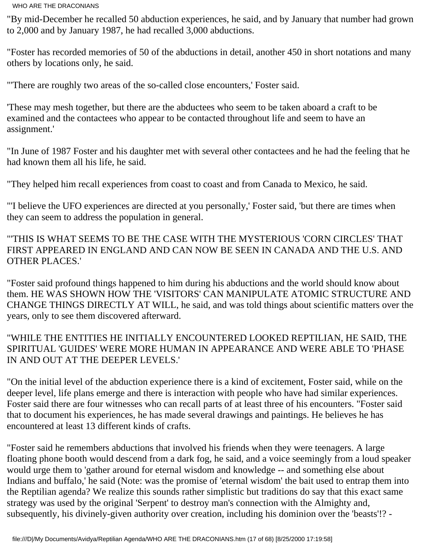"By mid-December he recalled 50 abduction experiences, he said, and by January that number had grown to 2,000 and by January 1987, he had recalled 3,000 abductions.

"Foster has recorded memories of 50 of the abductions in detail, another 450 in short notations and many others by locations only, he said.

"'There are roughly two areas of the so-called close encounters,' Foster said.

'These may mesh together, but there are the abductees who seem to be taken aboard a craft to be examined and the contactees who appear to be contacted throughout life and seem to have an assignment.'

"In June of 1987 Foster and his daughter met with several other contactees and he had the feeling that he had known them all his life, he said.

"They helped him recall experiences from coast to coast and from Canada to Mexico, he said.

"'I believe the UFO experiences are directed at you personally,' Foster said, 'but there are times when they can seem to address the population in general.

### "'THIS IS WHAT SEEMS TO BE THE CASE WITH THE MYSTERIOUS 'CORN CIRCLES' THAT FIRST APPEARED IN ENGLAND AND CAN NOW BE SEEN IN CANADA AND THE U.S. AND OTHER PLACES.'

"Foster said profound things happened to him during his abductions and the world should know about them. HE WAS SHOWN HOW THE 'VISITORS' CAN MANIPULATE ATOMIC STRUCTURE AND CHANGE THINGS DIRECTLY AT WILL, he said, and was told things about scientific matters over the years, only to see them discovered afterward.

### "WHILE THE ENTITIES HE INITIALLY ENCOUNTERED LOOKED REPTILIAN, HE SAID, THE SPIRITUAL 'GUIDES' WERE MORE HUMAN IN APPEARANCE AND WERE ABLE TO 'PHASE IN AND OUT AT THE DEEPER LEVELS.'

"On the initial level of the abduction experience there is a kind of excitement, Foster said, while on the deeper level, life plans emerge and there is interaction with people who have had similar experiences. Foster said there are four witnesses who can recall parts of at least three of his encounters. "Foster said that to document his experiences, he has made several drawings and paintings. He believes he has encountered at least 13 different kinds of crafts.

"Foster said he remembers abductions that involved his friends when they were teenagers. A large floating phone booth would descend from a dark fog, he said, and a voice seemingly from a loud speaker would urge them to 'gather around for eternal wisdom and knowledge -- and something else about Indians and buffalo,' he said (Note: was the promise of 'eternal wisdom' the bait used to entrap them into the Reptilian agenda? We realize this sounds rather simplistic but traditions do say that this exact same strategy was used by the original 'Serpent' to destroy man's connection with the Almighty and, subsequently, his divinely-given authority over creation, including his dominion over the 'beasts'!? -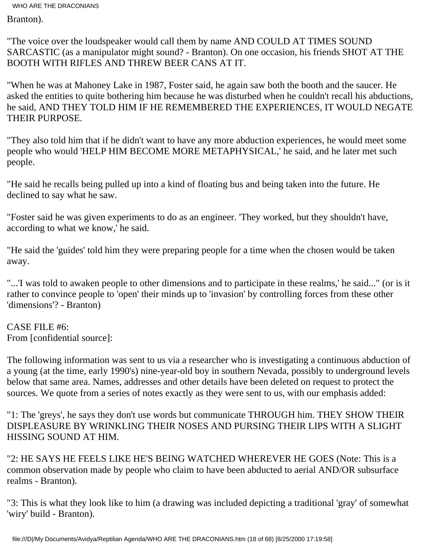Branton).

"The voice over the loudspeaker would call them by name AND COULD AT TIMES SOUND SARCASTIC (as a manipulator might sound? - Branton). On one occasion, his friends SHOT AT THE BOOTH WITH RIFLES AND THREW BEER CANS AT IT.

"When he was at Mahoney Lake in 1987, Foster said, he again saw both the booth and the saucer. He asked the entities to quite bothering him because he was disturbed when he couldn't recall his abductions, he said, AND THEY TOLD HIM IF HE REMEMBERED THE EXPERIENCES, IT WOULD NEGATE THEIR PURPOSE.

"They also told him that if he didn't want to have any more abduction experiences, he would meet some people who would 'HELP HIM BECOME MORE METAPHYSICAL,' he said, and he later met such people.

"He said he recalls being pulled up into a kind of floating bus and being taken into the future. He declined to say what he saw.

"Foster said he was given experiments to do as an engineer. 'They worked, but they shouldn't have, according to what we know,' he said.

"He said the 'guides' told him they were preparing people for a time when the chosen would be taken away.

"...'I was told to awaken people to other dimensions and to participate in these realms,' he said..." (or is it rather to convince people to 'open' their minds up to 'invasion' by controlling forces from these other 'dimensions'? - Branton)

CASE FILE #6: From [confidential source]:

The following information was sent to us via a researcher who is investigating a continuous abduction of a young (at the time, early 1990's) nine-year-old boy in southern Nevada, possibly to underground levels below that same area. Names, addresses and other details have been deleted on request to protect the sources. We quote from a series of notes exactly as they were sent to us, with our emphasis added:

"1: The 'greys', he says they don't use words but communicate THROUGH him. THEY SHOW THEIR DISPLEASURE BY WRINKLING THEIR NOSES AND PURSING THEIR LIPS WITH A SLIGHT HISSING SOUND AT HIM.

"2: HE SAYS HE FEELS LIKE HE'S BEING WATCHED WHEREVER HE GOES (Note: This is a common observation made by people who claim to have been abducted to aerial AND/OR subsurface realms - Branton).

"3: This is what they look like to him (a drawing was included depicting a traditional 'gray' of somewhat 'wiry' build - Branton).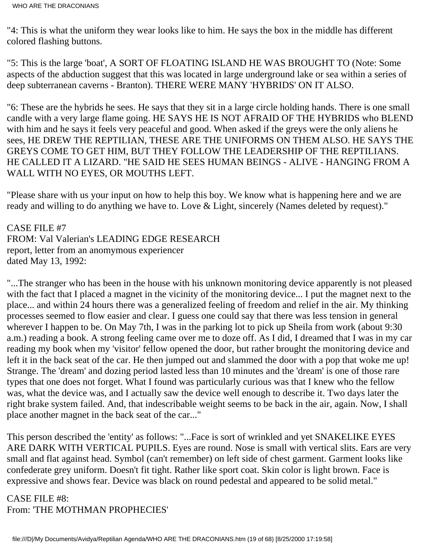"4: This is what the uniform they wear looks like to him. He says the box in the middle has different colored flashing buttons.

"5: This is the large 'boat', A SORT OF FLOATING ISLAND HE WAS BROUGHT TO (Note: Some aspects of the abduction suggest that this was located in large underground lake or sea within a series of deep subterranean caverns - Branton). THERE WERE MANY 'HYBRIDS' ON IT ALSO.

"6: These are the hybrids he sees. He says that they sit in a large circle holding hands. There is one small candle with a very large flame going. HE SAYS HE IS NOT AFRAID OF THE HYBRIDS who BLEND with him and he says it feels very peaceful and good. When asked if the greys were the only aliens he sees, HE DREW THE REPTILIAN, THESE ARE THE UNIFORMS ON THEM ALSO. HE SAYS THE GREYS COME TO GET HIM, BUT THEY FOLLOW THE LEADERSHIP OF THE REPTILIANS. HE CALLED IT A LIZARD. "HE SAID HE SEES HUMAN BEINGS - ALIVE - HANGING FROM A WALL WITH NO EYES, OR MOUTHS LEFT.

"Please share with us your input on how to help this boy. We know what is happening here and we are ready and willing to do anything we have to. Love & Light, sincerely (Names deleted by request)."

CASE FILE #7 FROM: Val Valerian's LEADING EDGE RESEARCH report, letter from an anomymous experiencer dated May 13, 1992:

"...The stranger who has been in the house with his unknown monitoring device apparently is not pleased with the fact that I placed a magnet in the vicinity of the monitoring device... I put the magnet next to the place... and within 24 hours there was a generalized feeling of freedom and relief in the air. My thinking processes seemed to flow easier and clear. I guess one could say that there was less tension in general wherever I happen to be. On May 7th, I was in the parking lot to pick up Sheila from work (about 9:30) a.m.) reading a book. A strong feeling came over me to doze off. As I did, I dreamed that I was in my car reading my book when my 'visitor' fellow opened the door, but rather brought the monitoring device and left it in the back seat of the car. He then jumped out and slammed the door with a pop that woke me up! Strange. The 'dream' and dozing period lasted less than 10 minutes and the 'dream' is one of those rare types that one does not forget. What I found was particularly curious was that I knew who the fellow was, what the device was, and I actually saw the device well enough to describe it. Two days later the right brake system failed. And, that indescribable weight seems to be back in the air, again. Now, I shall place another magnet in the back seat of the car..."

This person described the 'entity' as follows: "...Face is sort of wrinkled and yet SNAKELIKE EYES ARE DARK WITH VERTICAL PUPILS. Eyes are round. Nose is small with vertical slits. Ears are very small and flat against head. Symbol (can't remember) on left side of chest garment. Garment looks like confederate grey uniform. Doesn't fit tight. Rather like sport coat. Skin color is light brown. Face is expressive and shows fear. Device was black on round pedestal and appeared to be solid metal."

CASE FILE #8: From: 'THE MOTHMAN PROPHECIES'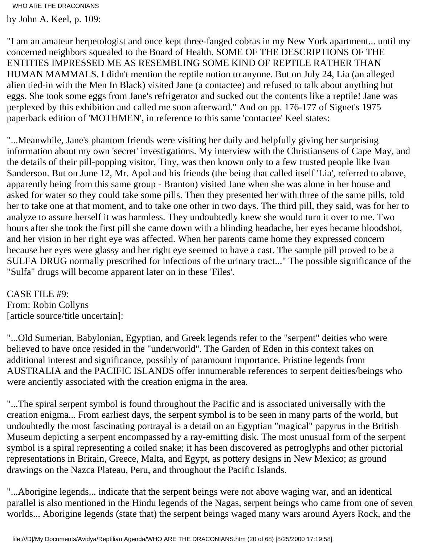by John A. Keel, p. 109:

"I am an amateur herpetologist and once kept three-fanged cobras in my New York apartment... until my concerned neighbors squealed to the Board of Health. SOME OF THE DESCRIPTIONS OF THE ENTITIES IMPRESSED ME AS RESEMBLING SOME KIND OF REPTILE RATHER THAN HUMAN MAMMALS. I didn't mention the reptile notion to anyone. But on July 24, Lia (an alleged alien tied-in with the Men In Black) visited Jane (a contactee) and refused to talk about anything but eggs. She took some eggs from Jane's refrigerator and sucked out the contents like a reptile! Jane was perplexed by this exhibition and called me soon afterward." And on pp. 176-177 of Signet's 1975 paperback edition of 'MOTHMEN', in reference to this same 'contactee' Keel states:

"...Meanwhile, Jane's phantom friends were visiting her daily and helpfully giving her surprising information about my own 'secret' investigations. My interview with the Christiansens of Cape May, and the details of their pill-popping visitor, Tiny, was then known only to a few trusted people like Ivan Sanderson. But on June 12, Mr. Apol and his friends (the being that called itself 'Lia', referred to above, apparently being from this same group - Branton) visited Jane when she was alone in her house and asked for water so they could take some pills. Then they presented her with three of the same pills, told her to take one at that moment, and to take one other in two days. The third pill, they said, was for her to analyze to assure herself it was harmless. They undoubtedly knew she would turn it over to me. Two hours after she took the first pill she came down with a blinding headache, her eyes became bloodshot, and her vision in her right eye was affected. When her parents came home they expressed concern because her eyes were glassy and her right eye seemed to have a cast. The sample pill proved to be a SULFA DRUG normally prescribed for infections of the urinary tract..." The possible significance of the "Sulfa" drugs will become apparent later on in these 'Files'.

CASE FILE #9: From: Robin Collyns [article source/title uncertain]:

"...Old Sumerian, Babylonian, Egyptian, and Greek legends refer to the "serpent" deities who were believed to have once resided in the "underworld". The Garden of Eden in this context takes on additional interest and significance, possibly of paramount importance. Pristine legends from AUSTRALIA and the PACIFIC ISLANDS offer innumerable references to serpent deities/beings who were anciently associated with the creation enigma in the area.

"...The spiral serpent symbol is found throughout the Pacific and is associated universally with the creation enigma... From earliest days, the serpent symbol is to be seen in many parts of the world, but undoubtedly the most fascinating portrayal is a detail on an Egyptian "magical" papyrus in the British Museum depicting a serpent encompassed by a ray-emitting disk. The most unusual form of the serpent symbol is a spiral representing a coiled snake; it has been discovered as petroglyphs and other pictorial representations in Britain, Greece, Malta, and Egypt, as pottery designs in New Mexico; as ground drawings on the Nazca Plateau, Peru, and throughout the Pacific Islands.

"...Aborigine legends... indicate that the serpent beings were not above waging war, and an identical parallel is also mentioned in the Hindu legends of the Nagas, serpent beings who came from one of seven worlds... Aborigine legends (state that) the serpent beings waged many wars around Ayers Rock, and the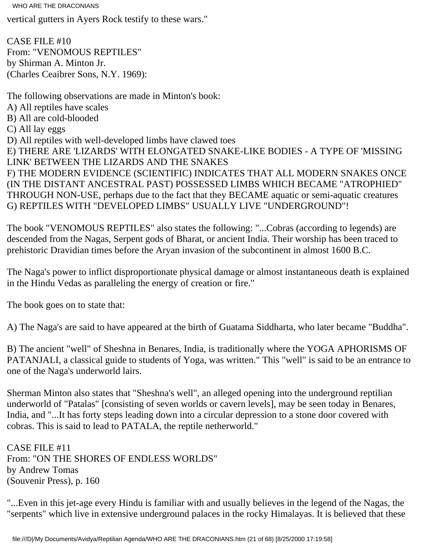vertical gutters in Ayers Rock testify to these wars."

CASE FILE #10 From: "VENOMOUS REPTILES" by Shirman A. Minton Jr. (Charles Ceaibrer Sons, N.Y. 1969):

The following observations are made in Minton's book: A) All reptiles have scales B) All are cold-blooded C) All lay eggs D) All reptiles with well-developed limbs have clawed toes E) THERE ARE 'LIZARDS' WITH ELONGATED SNAKE-LIKE BODIES - A TYPE OF 'MISSING LINK' BETWEEN THE LIZARDS AND THE SNAKES F) THE MODERN EVIDENCE (SCIENTIFIC) INDICATES THAT ALL MODERN SNAKES ONCE (IN THE DISTANT ANCESTRAL PAST) POSSESSED LIMBS WHICH BECAME "ATROPHIED" THROUGH NON-USE, perhaps due to the fact that they BECAME aquatic or semi-aquatic creatures G) REPTILES WITH "DEVELOPED LIMBS" USUALLY LIVE "UNDERGROUND"!

The book "VENOMOUS REPTILES" also states the following: "...Cobras (according to legends) are descended from the Nagas, Serpent gods of Bharat, or ancient India. Their worship has been traced to prehistoric Dravidian times before the Aryan invasion of the subcontinent in almost 1600 B.C.

The Naga's power to inflict disproportionate physical damage or almost instantaneous death is explained in the Hindu Vedas as paralleling the energy of creation or fire."

The book goes on to state that:

A) The Naga's are said to have appeared at the birth of Guatama Siddharta, who later became "Buddha".

B) The ancient "well" of Sheshna in Benares, India, is traditionally where the YOGA APHORISMS OF PATANJALI, a classical guide to students of Yoga, was written." This "well" is said to be an entrance to one of the Naga's underworld lairs.

Sherman Minton also states that "Sheshna's well", an alleged opening into the underground reptilian underworld of "Patalas" [consisting of seven worlds or cavern levels], may be seen today in Benares, India, and "...It has forty steps leading down into a circular depression to a stone door covered with cobras. This is said to lead to PATALA, the reptile netherworld."

CASE FILE #11 From: "ON THE SHORES OF ENDLESS WORLDS" by Andrew Tomas (Souvenir Press), p. 160

"...Even in this jet-age every Hindu is familiar with and usually believes in the legend of the Nagas, the "serpents" which live in extensive underground palaces in the rocky Himalayas. It is believed that these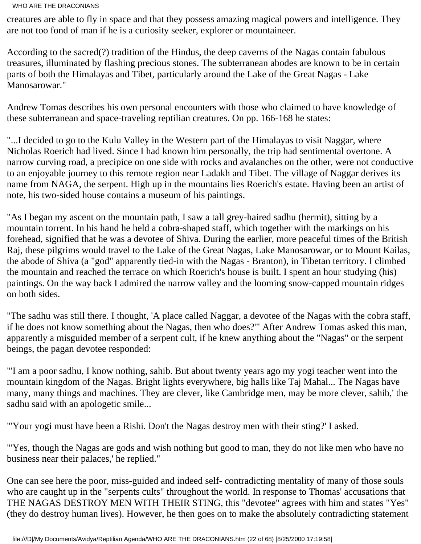creatures are able to fly in space and that they possess amazing magical powers and intelligence. They are not too fond of man if he is a curiosity seeker, explorer or mountaineer.

According to the sacred(?) tradition of the Hindus, the deep caverns of the Nagas contain fabulous treasures, illuminated by flashing precious stones. The subterranean abodes are known to be in certain parts of both the Himalayas and Tibet, particularly around the Lake of the Great Nagas - Lake Manosarowar."

Andrew Tomas describes his own personal encounters with those who claimed to have knowledge of these subterranean and space-traveling reptilian creatures. On pp. 166-168 he states:

"...I decided to go to the Kulu Valley in the Western part of the Himalayas to visit Naggar, where Nicholas Roerich had lived. Since I had known him personally, the trip had sentimental overtone. A narrow curving road, a precipice on one side with rocks and avalanches on the other, were not conductive to an enjoyable journey to this remote region near Ladakh and Tibet. The village of Naggar derives its name from NAGA, the serpent. High up in the mountains lies Roerich's estate. Having been an artist of note, his two-sided house contains a museum of his paintings.

"As I began my ascent on the mountain path, I saw a tall grey-haired sadhu (hermit), sitting by a mountain torrent. In his hand he held a cobra-shaped staff, which together with the markings on his forehead, signified that he was a devotee of Shiva. During the earlier, more peaceful times of the British Raj, these pilgrims would travel to the Lake of the Great Nagas, Lake Manosarowar, or to Mount Kailas, the abode of Shiva (a "god" apparently tied-in with the Nagas - Branton), in Tibetan territory. I climbed the mountain and reached the terrace on which Roerich's house is built. I spent an hour studying (his) paintings. On the way back I admired the narrow valley and the looming snow-capped mountain ridges on both sides.

"The sadhu was still there. I thought, 'A place called Naggar, a devotee of the Nagas with the cobra staff, if he does not know something about the Nagas, then who does?'" After Andrew Tomas asked this man, apparently a misguided member of a serpent cult, if he knew anything about the "Nagas" or the serpent beings, the pagan devotee responded:

"'I am a poor sadhu, I know nothing, sahib. But about twenty years ago my yogi teacher went into the mountain kingdom of the Nagas. Bright lights everywhere, big halls like Taj Mahal... The Nagas have many, many things and machines. They are clever, like Cambridge men, may be more clever, sahib,' the sadhu said with an apologetic smile...

"'Your yogi must have been a Rishi. Don't the Nagas destroy men with their sting?' I asked.

"'Yes, though the Nagas are gods and wish nothing but good to man, they do not like men who have no business near their palaces,' he replied."

One can see here the poor, miss-guided and indeed self- contradicting mentality of many of those souls who are caught up in the "serpents cults" throughout the world. In response to Thomas' accusations that THE NAGAS DESTROY MEN WITH THEIR STING, this "devotee" agrees with him and states "Yes" (they do destroy human lives). However, he then goes on to make the absolutely contradicting statement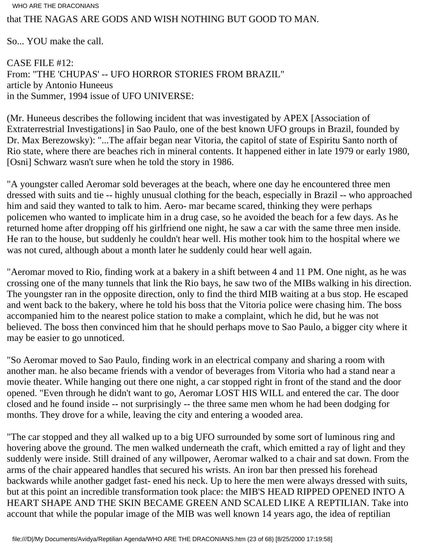### that THE NAGAS ARE GODS AND WISH NOTHING BUT GOOD TO MAN.

So... YOU make the call.

CASE FILE #12: From: "THE 'CHUPAS' -- UFO HORROR STORIES FROM BRAZIL" article by Antonio Huneeus in the Summer, 1994 issue of UFO UNIVERSE:

(Mr. Huneeus describes the following incident that was investigated by APEX [Association of Extraterrestrial Investigations] in Sao Paulo, one of the best known UFO groups in Brazil, founded by Dr. Max Berezowsky): "...The affair began near Vitoria, the capitol of state of Espiritu Santo north of Rio state, where there are beaches rich in mineral contents. It happened either in late 1979 or early 1980, [Osni] Schwarz wasn't sure when he told the story in 1986.

"A youngster called Aeromar sold beverages at the beach, where one day he encountered three men dressed with suits and tie -- highly unusual clothing for the beach, especially in Brazil -- who approached him and said they wanted to talk to him. Aero- mar became scared, thinking they were perhaps policemen who wanted to implicate him in a drug case, so he avoided the beach for a few days. As he returned home after dropping off his girlfriend one night, he saw a car with the same three men inside. He ran to the house, but suddenly he couldn't hear well. His mother took him to the hospital where we was not cured, although about a month later he suddenly could hear well again.

"Aeromar moved to Rio, finding work at a bakery in a shift between 4 and 11 PM. One night, as he was crossing one of the many tunnels that link the Rio bays, he saw two of the MIBs walking in his direction. The youngster ran in the opposite direction, only to find the third MIB waiting at a bus stop. He escaped and went back to the bakery, where he told his boss that the Vitoria police were chasing him. The boss accompanied him to the nearest police station to make a complaint, which he did, but he was not believed. The boss then convinced him that he should perhaps move to Sao Paulo, a bigger city where it may be easier to go unnoticed.

"So Aeromar moved to Sao Paulo, finding work in an electrical company and sharing a room with another man. he also became friends with a vendor of beverages from Vitoria who had a stand near a movie theater. While hanging out there one night, a car stopped right in front of the stand and the door opened. "Even through he didn't want to go, Aeromar LOST HIS WILL and entered the car. The door closed and he found inside -- not surprisingly -- the three same men whom he had been dodging for months. They drove for a while, leaving the city and entering a wooded area.

"The car stopped and they all walked up to a big UFO surrounded by some sort of luminous ring and hovering above the ground. The men walked underneath the craft, which emitted a ray of light and they suddenly were inside. Still drained of any willpower, Aeromar walked to a chair and sat down. From the arms of the chair appeared handles that secured his wrists. An iron bar then pressed his forehead backwards while another gadget fast- ened his neck. Up to here the men were always dressed with suits, but at this point an incredible transformation took place: the MIB'S HEAD RIPPED OPENED INTO A HEART SHAPE AND THE SKIN BECAME GREEN AND SCALED LIKE A REPTILIAN. Take into account that while the popular image of the MIB was well known 14 years ago, the idea of reptilian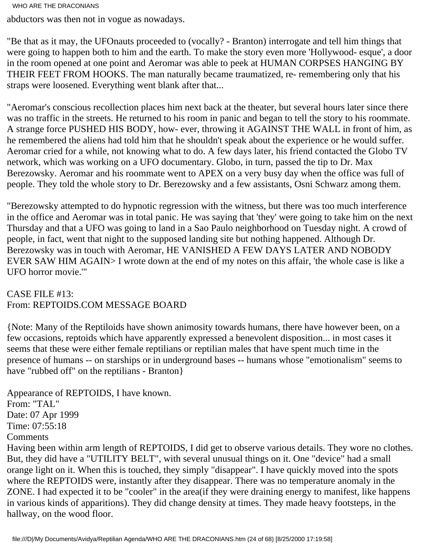abductors was then not in vogue as nowadays.

"Be that as it may, the UFOnauts proceeded to (vocally? - Branton) interrogate and tell him things that were going to happen both to him and the earth. To make the story even more 'Hollywood- esque', a door in the room opened at one point and Aeromar was able to peek at HUMAN CORPSES HANGING BY THEIR FEET FROM HOOKS. The man naturally became traumatized, re- remembering only that his straps were loosened. Everything went blank after that...

"Aeromar's conscious recollection places him next back at the theater, but several hours later since there was no traffic in the streets. He returned to his room in panic and began to tell the story to his roommate. A strange force PUSHED HIS BODY, how- ever, throwing it AGAINST THE WALL in front of him, as he remembered the aliens had told him that he shouldn't speak about the experience or he would suffer. Aeromar cried for a while, not knowing what to do. A few days later, his friend contacted the Globo TV network, which was working on a UFO documentary. Globo, in turn, passed the tip to Dr. Max Berezowsky. Aeromar and his roommate went to APEX on a very busy day when the office was full of people. They told the whole story to Dr. Berezowsky and a few assistants, Osni Schwarz among them.

"Berezowsky attempted to do hypnotic regression with the witness, but there was too much interference in the office and Aeromar was in total panic. He was saying that 'they' were going to take him on the next Thursday and that a UFO was going to land in a Sao Paulo neighborhood on Tuesday night. A crowd of people, in fact, went that night to the supposed landing site but nothing happened. Although Dr. Berezowsky was in touch with Aeromar, HE VANISHED A FEW DAYS LATER AND NOBODY EVER SAW HIM AGAIN> I wrote down at the end of my notes on this affair, 'the whole case is like a UFO horror movie.'"

CASE FILE #13: From: REPTOIDS.COM MESSAGE BOARD

{Note: Many of the Reptiloids have shown animosity towards humans, there have however been, on a few occasions, reptoids which have apparently expressed a benevolent disposition... in most cases it seems that these were either female reptilians or reptilian males that have spent much time in the presence of humans -- on starships or in underground bases -- humans whose "emotionalism" seems to have "rubbed off" on the reptilians - Branton}

Appearance of REPTOIDS, I have known. From: "TAL" Date: 07 Apr 1999 Time: 07:55:18 **Comments** 

Having been within arm length of REPTOIDS, I did get to observe various details. They wore no clothes. But, they did have a "UTILITY BELT", with several unusual things on it. One "device" had a small orange light on it. When this is touched, they simply "disappear". I have quickly moved into the spots where the REPTOIDS were, instantly after they disappear. There was no temperature anomaly in the ZONE. I had expected it to be "cooler" in the area(if they were draining energy to manifest, like happens in various kinds of apparitions). They did change density at times. They made heavy footsteps, in the hallway, on the wood floor.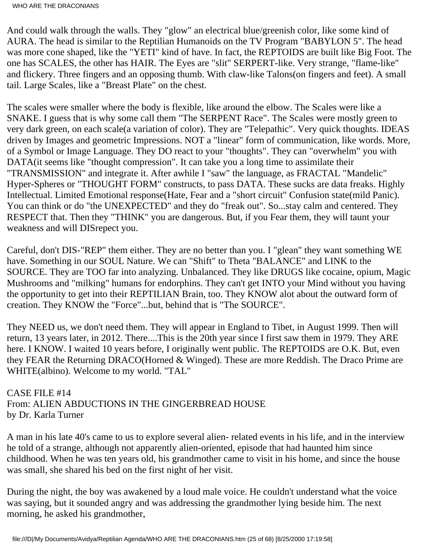And could walk through the walls. They "glow" an electrical blue/greenish color, like some kind of AURA. The head is similar to the Reptilian Humanoids on the TV Program "BABYLON 5". The head was more cone shaped, like the "YETI" kind of have. In fact, the REPTOIDS are built like Big Foot. The one has SCALES, the other has HAIR. The Eyes are "slit" SERPERT-like. Very strange, "flame-like" and flickery. Three fingers and an opposing thumb. With claw-like Talons(on fingers and feet). A small tail. Large Scales, like a "Breast Plate" on the chest.

The scales were smaller where the body is flexible, like around the elbow. The Scales were like a SNAKE. I guess that is why some call them "The SERPENT Race". The Scales were mostly green to very dark green, on each scale(a variation of color). They are "Telepathic". Very quick thoughts. IDEAS driven by Images and geometric Impressions. NOT a "linear" form of communication, like words. More, of a Symbol or Image Language. They DO react to your "thoughts". They can "overwhelm" you with DATA(it seems like "thought compression". It can take you a long time to assimilate their "TRANSMISSION" and integrate it. After awhile I "saw" the language, as FRACTAL "Mandelic" Hyper-Spheres or "THOUGHT FORM" constructs, to pass DATA. These sucks are data freaks. Highly Intellectual. Limited Emotional response(Hate, Fear and a "short circuit" Confusion state(mild Panic). You can think or do "the UNEXPECTED" and they do "freak out". So...stay calm and centered. They RESPECT that. Then they "THINK" you are dangerous. But, if you Fear them, they will taunt your weakness and will DISrepect you.

Careful, don't DIS-"REP" them either. They are no better than you. I "glean" they want something WE have. Something in our SOUL Nature. We can "Shift" to Theta "BALANCE" and LINK to the SOURCE. They are TOO far into analyzing. Unbalanced. They like DRUGS like cocaine, opium, Magic Mushrooms and "milking" humans for endorphins. They can't get INTO your Mind without you having the opportunity to get into their REPTILIAN Brain, too. They KNOW alot about the outward form of creation. They KNOW the "Force"...but, behind that is "The SOURCE".

They NEED us, we don't need them. They will appear in England to Tibet, in August 1999. Then will return, 13 years later, in 2012. There....This is the 20th year since I first saw them in 1979. They ARE here. I KNOW. I waited 10 years before, I originally went public. The REPTOIDS are O.K. But, even they FEAR the Returning DRACO(Horned & Winged). These are more Reddish. The Draco Prime are WHITE(albino). Welcome to my world. "TAL"

CASE FILE #14 From: ALIEN ABDUCTIONS IN THE GINGERBREAD HOUSE by Dr. Karla Turner

A man in his late 40's came to us to explore several alien- related events in his life, and in the interview he told of a strange, although not apparently alien-oriented, episode that had haunted him since childhood. When he was ten years old, his grandmother came to visit in his home, and since the house was small, she shared his bed on the first night of her visit.

During the night, the boy was awakened by a loud male voice. He couldn't understand what the voice was saying, but it sounded angry and was addressing the grandmother lying beside him. The next morning, he asked his grandmother,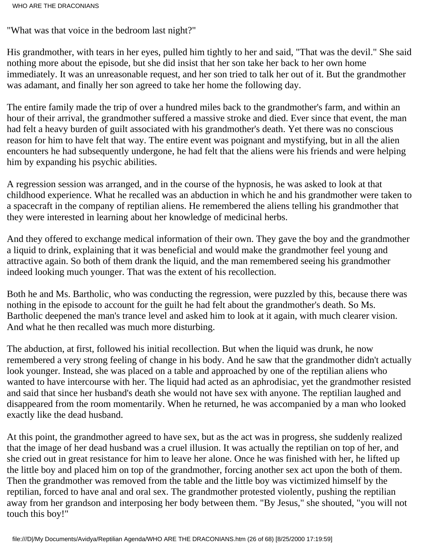"What was that voice in the bedroom last night?"

His grandmother, with tears in her eyes, pulled him tightly to her and said, "That was the devil." She said nothing more about the episode, but she did insist that her son take her back to her own home immediately. It was an unreasonable request, and her son tried to talk her out of it. But the grandmother was adamant, and finally her son agreed to take her home the following day.

The entire family made the trip of over a hundred miles back to the grandmother's farm, and within an hour of their arrival, the grandmother suffered a massive stroke and died. Ever since that event, the man had felt a heavy burden of guilt associated with his grandmother's death. Yet there was no conscious reason for him to have felt that way. The entire event was poignant and mystifying, but in all the alien encounters he had subsequently undergone, he had felt that the aliens were his friends and were helping him by expanding his psychic abilities.

A regression session was arranged, and in the course of the hypnosis, he was asked to look at that childhood experience. What he recalled was an abduction in which he and his grandmother were taken to a spacecraft in the company of reptilian aliens. He remembered the aliens telling his grandmother that they were interested in learning about her knowledge of medicinal herbs.

And they offered to exchange medical information of their own. They gave the boy and the grandmother a liquid to drink, explaining that it was beneficial and would make the grandmother feel young and attractive again. So both of them drank the liquid, and the man remembered seeing his grandmother indeed looking much younger. That was the extent of his recollection.

Both he and Ms. Bartholic, who was conducting the regression, were puzzled by this, because there was nothing in the episode to account for the guilt he had felt about the grandmother's death. So Ms. Bartholic deepened the man's trance level and asked him to look at it again, with much clearer vision. And what he then recalled was much more disturbing.

The abduction, at first, followed his initial recollection. But when the liquid was drunk, he now remembered a very strong feeling of change in his body. And he saw that the grandmother didn't actually look younger. Instead, she was placed on a table and approached by one of the reptilian aliens who wanted to have intercourse with her. The liquid had acted as an aphrodisiac, yet the grandmother resisted and said that since her husband's death she would not have sex with anyone. The reptilian laughed and disappeared from the room momentarily. When he returned, he was accompanied by a man who looked exactly like the dead husband.

At this point, the grandmother agreed to have sex, but as the act was in progress, she suddenly realized that the image of her dead husband was a cruel illusion. It was actually the reptilian on top of her, and she cried out in great resistance for him to leave her alone. Once he was finished with her, he lifted up the little boy and placed him on top of the grandmother, forcing another sex act upon the both of them. Then the grandmother was removed from the table and the little boy was victimized himself by the reptilian, forced to have anal and oral sex. The grandmother protested violently, pushing the reptilian away from her grandson and interposing her body between them. "By Jesus," she shouted, "you will not touch this boy!"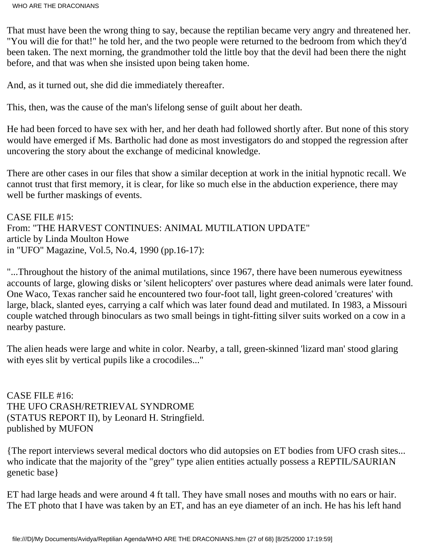That must have been the wrong thing to say, because the reptilian became very angry and threatened her. "You will die for that!" he told her, and the two people were returned to the bedroom from which they'd been taken. The next morning, the grandmother told the little boy that the devil had been there the night before, and that was when she insisted upon being taken home.

And, as it turned out, she did die immediately thereafter.

This, then, was the cause of the man's lifelong sense of guilt about her death.

He had been forced to have sex with her, and her death had followed shortly after. But none of this story would have emerged if Ms. Bartholic had done as most investigators do and stopped the regression after uncovering the story about the exchange of medicinal knowledge.

There are other cases in our files that show a similar deception at work in the initial hypnotic recall. We cannot trust that first memory, it is clear, for like so much else in the abduction experience, there may well be further maskings of events.

CASE FILE #15: From: "THE HARVEST CONTINUES: ANIMAL MUTILATION UPDATE" article by Linda Moulton Howe in "UFO" Magazine, Vol.5, No.4, 1990 (pp.16-17):

"...Throughout the history of the animal mutilations, since 1967, there have been numerous eyewitness accounts of large, glowing disks or 'silent helicopters' over pastures where dead animals were later found. One Waco, Texas rancher said he encountered two four-foot tall, light green-colored 'creatures' with large, black, slanted eyes, carrying a calf which was later found dead and mutilated. In 1983, a Missouri couple watched through binoculars as two small beings in tight-fitting silver suits worked on a cow in a nearby pasture.

The alien heads were large and white in color. Nearby, a tall, green-skinned 'lizard man' stood glaring with eyes slit by vertical pupils like a crocodiles..."

CASE FILE #16: THE UFO CRASH/RETRIEVAL SYNDROME (STATUS REPORT II), by Leonard H. Stringfield. published by MUFON

{The report interviews several medical doctors who did autopsies on ET bodies from UFO crash sites... who indicate that the majority of the "grey" type alien entities actually possess a REPTIL/SAURIAN genetic base}

ET had large heads and were around 4 ft tall. They have small noses and mouths with no ears or hair. The ET photo that I have was taken by an ET, and has an eye diameter of an inch. He has his left hand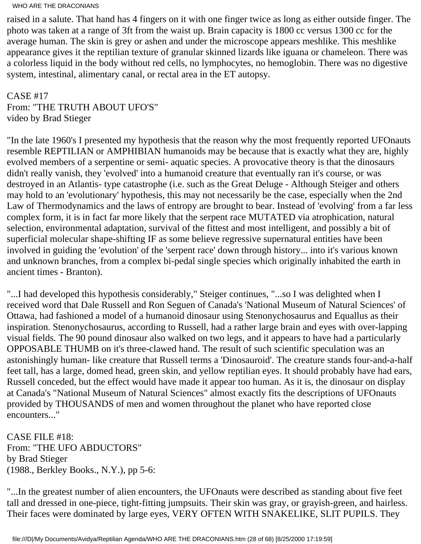raised in a salute. That hand has 4 fingers on it with one finger twice as long as either outside finger. The photo was taken at a range of 3ft from the waist up. Brain capacity is 1800 cc versus 1300 cc for the average human. The skin is grey or ashen and under the microscope appears meshlike. This meshlike appearance gives it the reptilian texture of granular skinned lizards like iguana or chameleon. There was a colorless liquid in the body without red cells, no lymphocytes, no hemoglobin. There was no digestive system, intestinal, alimentary canal, or rectal area in the ET autopsy.

# CASE #17 From: "THE TRUTH ABOUT UFO'S" video by Brad Stieger

"In the late 1960's I presented my hypothesis that the reason why the most frequently reported UFOnauts resemble REPTILIAN or AMPHIBIAN humanoids may be because that is exactly what they are, highly evolved members of a serpentine or semi- aquatic species. A provocative theory is that the dinosaurs didn't really vanish, they 'evolved' into a humanoid creature that eventually ran it's course, or was destroyed in an Atlantis- type catastrophe (i.e. such as the Great Deluge - Although Steiger and others may hold to an 'evolutionary' hypothesis, this may not necessarily be the case, especially when the 2nd Law of Thermodynamics and the laws of entropy are brought to bear. Instead of 'evolving' from a far less complex form, it is in fact far more likely that the serpent race MUTATED via atrophication, natural selection, environmental adaptation, survival of the fittest and most intelligent, and possibly a bit of superficial molecular shape-shifting IF as some believe regressive supernatural entities have been involved in guiding the 'evolution' of the 'serpent race' down through history... into it's various known and unknown branches, from a complex bi-pedal single species which originally inhabited the earth in ancient times - Branton).

"...I had developed this hypothesis considerably," Steiger continues, "...so I was delighted when I received word that Dale Russell and Ron Seguen of Canada's 'National Museum of Natural Sciences' of Ottawa, had fashioned a model of a humanoid dinosaur using Stenonychosaurus and Equallus as their inspiration. Stenonychosaurus, according to Russell, had a rather large brain and eyes with over-lapping visual fields. The 90 pound dinosaur also walked on two legs, and it appears to have had a particularly OPPOSABLE THUMB on it's three-clawed hand. The result of such scientific speculation was an astonishingly human- like creature that Russell terms a 'Dinosauroid'. The creature stands four-and-a-half feet tall, has a large, domed head, green skin, and yellow reptilian eyes. It should probably have had ears, Russell conceded, but the effect would have made it appear too human. As it is, the dinosaur on display at Canada's "National Museum of Natural Sciences" almost exactly fits the descriptions of UFOnauts provided by THOUSANDS of men and women throughout the planet who have reported close encounters..."

CASE FILE #18: From: "THE UFO ABDUCTORS" by Brad Stieger (1988., Berkley Books., N.Y.), pp 5-6:

"...In the greatest number of alien encounters, the UFOnauts were described as standing about five feet tall and dressed in one-piece, tight-fitting jumpsuits. Their skin was gray, or grayish-green, and hairless. Their faces were dominated by large eyes, VERY OFTEN WITH SNAKELIKE, SLIT PUPILS. They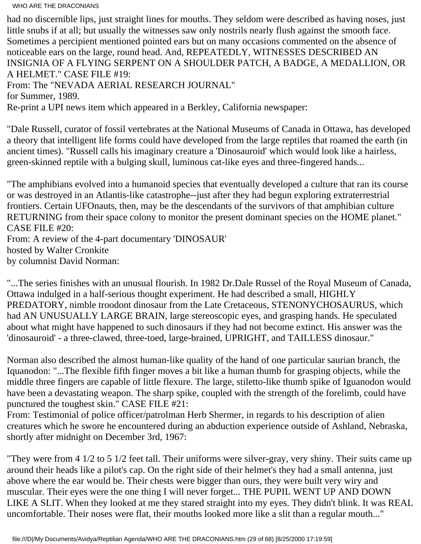had no discernible lips, just straight lines for mouths. They seldom were described as having noses, just little snubs if at all; but usually the witnesses saw only nostrils nearly flush against the smooth face. Sometimes a percipient mentioned pointed ears but on many occasions commented on the absence of noticeable ears on the large, round head. And, REPEATEDLY, WITNESSES DESCRIBED AN INSIGNIA OF A FLYING SERPENT ON A SHOULDER PATCH, A BADGE, A MEDALLION, OR A HELMET." CASE FILE #19: From: The "NEVADA AERIAL RESEARCH JOURNAL" for Summer, 1989. Re-print a UPI news item which appeared in a Berkley, California newspaper:

"Dale Russell, curator of fossil vertebrates at the National Museums of Canada in Ottawa, has developed a theory that intelligent life forms could have developed from the large reptiles that roamed the earth (in ancient times). "Russell calls his imaginary creature a 'Dinosauroid' which would look like a hairless, green-skinned reptile with a bulging skull, luminous cat-like eyes and three-fingered hands...

"The amphibians evolved into a humanoid species that eventually developed a culture that ran its course or was destroyed in an Atlantis-like catastrophe--just after they had begun exploring extraterrestrial frontiers. Certain UFOnauts, then, may be the descendants of the survivors of that amphibian culture RETURNING from their space colony to monitor the present dominant species on the HOME planet." CASE FILE #20: From: A review of the 4-part documentary 'DINOSAUR' hosted by Walter Cronkite

by columnist David Norman:

"...The series finishes with an unusual flourish. In 1982 Dr.Dale Russel of the Royal Museum of Canada, Ottawa indulged in a half-serious thought experiment. He had described a small, HIGHLY PREDATORY, nimble troodont dinosaur from the Late Cretaceous, STENONYCHOSAURUS, which had AN UNUSUALLY LARGE BRAIN, large stereoscopic eyes, and grasping hands. He speculated about what might have happened to such dinosaurs if they had not become extinct. His answer was the 'dinosauroid' - a three-clawed, three-toed, large-brained, UPRIGHT, and TAILLESS dinosaur."

Norman also described the almost human-like quality of the hand of one particular saurian branch, the Iquanodon: "...The flexible fifth finger moves a bit like a human thumb for grasping objects, while the middle three fingers are capable of little flexure. The large, stiletto-like thumb spike of Iguanodon would have been a devastating weapon. The sharp spike, coupled with the strength of the forelimb, could have punctured the toughest skin." CASE FILE #21:

From: Testimonial of police officer/patrolman Herb Shermer, in regards to his description of alien creatures which he swore he encountered during an abduction experience outside of Ashland, Nebraska, shortly after midnight on December 3rd, 1967:

"They were from 4 1/2 to 5 1/2 feet tall. Their uniforms were silver-gray, very shiny. Their suits came up around their heads like a pilot's cap. On the right side of their helmet's they had a small antenna, just above where the ear would be. Their chests were bigger than ours, they were built very wiry and muscular. Their eyes were the one thing I will never forget... THE PUPIL WENT UP AND DOWN LIKE A SLIT. When they looked at me they stared straight into my eyes. They didn't blink. It was REAL uncomfortable. Their noses were flat, their mouths looked more like a slit than a regular mouth..."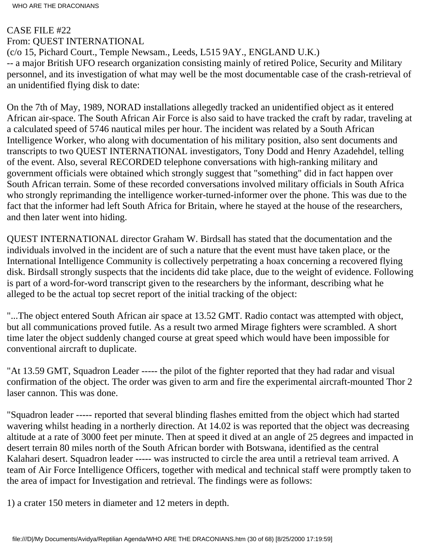### CASE FILE #22 From: QUEST INTERNATIONAL

(c/o 15, Pichard Court., Temple Newsam., Leeds, L515 9AY., ENGLAND U.K.) -- a major British UFO research organization consisting mainly of retired Police, Security and Military personnel, and its investigation of what may well be the most documentable case of the crash-retrieval of an unidentified flying disk to date:

On the 7th of May, 1989, NORAD installations allegedly tracked an unidentified object as it entered African air-space. The South African Air Force is also said to have tracked the craft by radar, traveling at a calculated speed of 5746 nautical miles per hour. The incident was related by a South African Intelligence Worker, who along with documentation of his military position, also sent documents and transcripts to two QUEST INTERNATIONAL investigators, Tony Dodd and Henry Azadehdel, telling of the event. Also, several RECORDED telephone conversations with high-ranking military and government officials were obtained which strongly suggest that "something" did in fact happen over South African terrain. Some of these recorded conversations involved military officials in South Africa who strongly reprimanding the intelligence worker-turned-informer over the phone. This was due to the fact that the informer had left South Africa for Britain, where he stayed at the house of the researchers, and then later went into hiding.

QUEST INTERNATIONAL director Graham W. Birdsall has stated that the documentation and the individuals involved in the incident are of such a nature that the event must have taken place, or the International Intelligence Community is collectively perpetrating a hoax concerning a recovered flying disk. Birdsall strongly suspects that the incidents did take place, due to the weight of evidence. Following is part of a word-for-word transcript given to the researchers by the informant, describing what he alleged to be the actual top secret report of the initial tracking of the object:

"...The object entered South African air space at 13.52 GMT. Radio contact was attempted with object, but all communications proved futile. As a result two armed Mirage fighters were scrambled. A short time later the object suddenly changed course at great speed which would have been impossible for conventional aircraft to duplicate.

"At 13.59 GMT, Squadron Leader ----- the pilot of the fighter reported that they had radar and visual confirmation of the object. The order was given to arm and fire the experimental aircraft-mounted Thor 2 laser cannon. This was done.

"Squadron leader ----- reported that several blinding flashes emitted from the object which had started wavering whilst heading in a northerly direction. At 14.02 is was reported that the object was decreasing altitude at a rate of 3000 feet per minute. Then at speed it dived at an angle of 25 degrees and impacted in desert terrain 80 miles north of the South African border with Botswana, identified as the central Kalahari desert. Squadron leader ----- was instructed to circle the area until a retrieval team arrived. A team of Air Force Intelligence Officers, together with medical and technical staff were promptly taken to the area of impact for Investigation and retrieval. The findings were as follows:

1) a crater 150 meters in diameter and 12 meters in depth.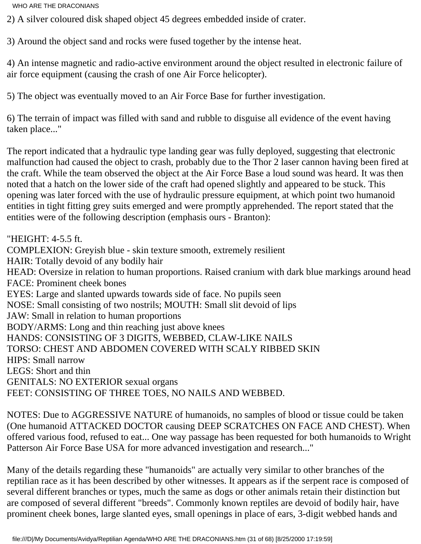2) A silver coloured disk shaped object 45 degrees embedded inside of crater.

3) Around the object sand and rocks were fused together by the intense heat.

4) An intense magnetic and radio-active environment around the object resulted in electronic failure of air force equipment (causing the crash of one Air Force helicopter).

5) The object was eventually moved to an Air Force Base for further investigation.

6) The terrain of impact was filled with sand and rubble to disguise all evidence of the event having taken place..."

The report indicated that a hydraulic type landing gear was fully deployed, suggesting that electronic malfunction had caused the object to crash, probably due to the Thor 2 laser cannon having been fired at the craft. While the team observed the object at the Air Force Base a loud sound was heard. It was then noted that a hatch on the lower side of the craft had opened slightly and appeared to be stuck. This opening was later forced with the use of hydraulic pressure equipment, at which point two humanoid entities in tight fitting grey suits emerged and were promptly apprehended. The report stated that the entities were of the following description (emphasis ours - Branton):

"HEIGHT: 4-5.5 ft. COMPLEXION: Greyish blue - skin texture smooth, extremely resilient HAIR: Totally devoid of any bodily hair HEAD: Oversize in relation to human proportions. Raised cranium with dark blue markings around head FACE: Prominent cheek bones EYES: Large and slanted upwards towards side of face. No pupils seen NOSE: Small consisting of two nostrils; MOUTH: Small slit devoid of lips JAW: Small in relation to human proportions BODY/ARMS: Long and thin reaching just above knees HANDS: CONSISTING OF 3 DIGITS, WEBBED, CLAW-LIKE NAILS TORSO: CHEST AND ABDOMEN COVERED WITH SCALY RIBBED SKIN HIPS: Small narrow LEGS: Short and thin GENITALS: NO EXTERIOR sexual organs FEET: CONSISTING OF THREE TOES, NO NAILS AND WEBBED.

NOTES: Due to AGGRESSIVE NATURE of humanoids, no samples of blood or tissue could be taken (One humanoid ATTACKED DOCTOR causing DEEP SCRATCHES ON FACE AND CHEST). When offered various food, refused to eat... One way passage has been requested for both humanoids to Wright Patterson Air Force Base USA for more advanced investigation and research..."

Many of the details regarding these "humanoids" are actually very similar to other branches of the reptilian race as it has been described by other witnesses. It appears as if the serpent race is composed of several different branches or types, much the same as dogs or other animals retain their distinction but are composed of several different "breeds". Commonly known reptiles are devoid of bodily hair, have prominent cheek bones, large slanted eyes, small openings in place of ears, 3-digit webbed hands and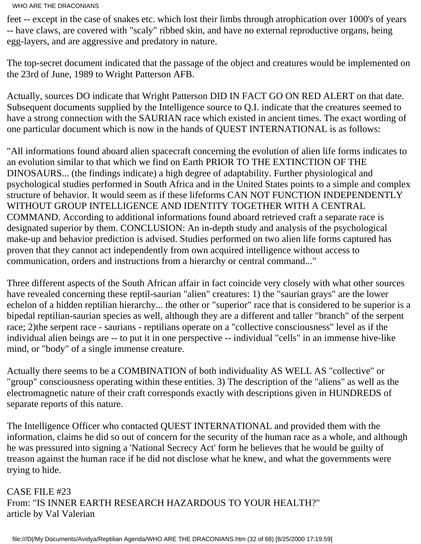feet -- except in the case of snakes etc. which lost their limbs through atrophication over 1000's of years -- have claws, are covered with "scaly" ribbed skin, and have no external reproductive organs, being egg-layers, and are aggressive and predatory in nature.

The top-secret document indicated that the passage of the object and creatures would be implemented on the 23rd of June, 1989 to Wright Patterson AFB.

Actually, sources DO indicate that Wright Patterson DID IN FACT GO ON RED ALERT on that date. Subsequent documents supplied by the Intelligence source to Q.I. indicate that the creatures seemed to have a strong connection with the SAURIAN race which existed in ancient times. The exact wording of one particular document which is now in the hands of QUEST INTERNATIONAL is as follows:

"All informations found aboard alien spacecraft concerning the evolution of alien life forms indicates to an evolution similar to that which we find on Earth PRIOR TO THE EXTINCTION OF THE DINOSAURS... (the findings indicate) a high degree of adaptability. Further physiological and psychological studies performed in South Africa and in the United States points to a simple and complex structure of behavior. It would seem as if these lifeforms CAN NOT FUNCTION INDEPENDENTLY WITHOUT GROUP INTELLIGENCE AND IDENTITY TOGETHER WITH A CENTRAL COMMAND. According to additional informations found aboard retrieved craft a separate race is designated superior by them. CONCLUSION: An in-depth study and analysis of the psychological make-up and behavior prediction is advised. Studies performed on two alien life forms captured has proven that they cannot act independently from own acquired intelligence without access to communication, orders and instructions from a hierarchy or central command..."

Three different aspects of the South African affair in fact coincide very closely with what other sources have revealed concerning these reptil-saurian "alien" creatures: 1) the "saurian grays" are the lower echelon of a hidden reptilian hierarchy... the other or "superior" race that is considered to be superior is a bipedal reptilian-saurian species as well, although they are a different and taller "branch" of the serpent race; 2)the serpent race - saurians - reptilians operate on a "collective consciousness" level as if the individual alien beings are -- to put it in one perspective -- individual "cells" in an immense hive-like mind, or "body" of a single immense creature.

Actually there seems to be a COMBINATION of both individuality AS WELL AS "collective" or "group" consciousness operating within these entities. 3) The description of the "aliens" as well as the electromagnetic nature of their craft corresponds exactly with descriptions given in HUNDREDS of separate reports of this nature.

The Intelligence Officer who contacted QUEST INTERNATIONAL and provided them with the information, claims he did so out of concern for the security of the human race as a whole, and although he was pressured into signing a 'National Secrecy Act' form he believes that he would be guilty of treason against the human race if he did not disclose what he knew, and what the governments were trying to hide.

CASE FILE #23 From: "IS INNER EARTH RESEARCH HAZARDOUS TO YOUR HEALTH?" article by Val Valerian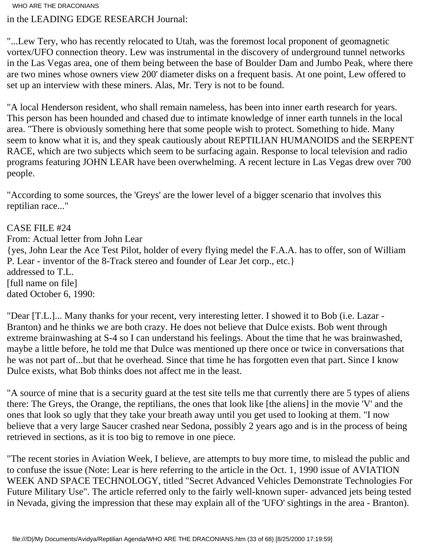### in the LEADING EDGE RESEARCH Journal:

"...Lew Tery, who has recently relocated to Utah, was the foremost local proponent of geomagnetic vortex/UFO connection theory. Lew was instrumental in the discovery of underground tunnel networks in the Las Vegas area, one of them being between the base of Boulder Dam and Jumbo Peak, where there are two mines whose owners view 200' diameter disks on a frequent basis. At one point, Lew offered to set up an interview with these miners. Alas, Mr. Tery is not to be found.

"A local Henderson resident, who shall remain nameless, has been into inner earth research for years. This person has been hounded and chased due to intimate knowledge of inner earth tunnels in the local area. "There is obviously something here that some people wish to protect. Something to hide. Many seem to know what it is, and they speak cautiously about REPTILIAN HUMANOIDS and the SERPENT RACE, which are two subjects which seem to be surfacing again. Response to local television and radio programs featuring JOHN LEAR have been overwhelming. A recent lecture in Las Vegas drew over 700 people.

"According to some sources, the 'Greys' are the lower level of a bigger scenario that involves this reptilian race..."

CASE FILE #24 From: Actual letter from John Lear {yes, John Lear the Ace Test Pilot, holder of every flying medel the F.A.A. has to offer, son of William P. Lear - inventor of the 8-Track stereo and founder of Lear Jet corp., etc.} addressed to T.L. [full name on file] dated October 6, 1990:

"Dear [T.L.]... Many thanks for your recent, very interesting letter. I showed it to Bob (i.e. Lazar - Branton) and he thinks we are both crazy. He does not believe that Dulce exists. Bob went through extreme brainwashing at S-4 so I can understand his feelings. About the time that he was brainwashed, maybe a little before, he told me that Dulce was mentioned up there once or twice in conversations that he was not part of...but that he overhead. Since that time he has forgotten even that part. Since I know Dulce exists, what Bob thinks does not affect me in the least.

"A source of mine that is a security guard at the test site tells me that currently there are 5 types of aliens there: The Greys, the Orange, the reptilians, the ones that look like [the aliens] in the movie 'V' and the ones that look so ugly that they take your breath away until you get used to looking at them. "I now believe that a very large Saucer crashed near Sedona, possibly 2 years ago and is in the process of being retrieved in sections, as it is too big to remove in one piece.

"The recent stories in Aviation Week, I believe, are attempts to buy more time, to mislead the public and to confuse the issue (Note: Lear is here referring to the article in the Oct. 1, 1990 issue of AVIATION WEEK AND SPACE TECHNOLOGY, titled "Secret Advanced Vehicles Demonstrate Technologies For Future Military Use". The article referred only to the fairly well-known super- advanced jets being tested in Nevada, giving the impression that these may explain all of the 'UFO' sightings in the area - Branton).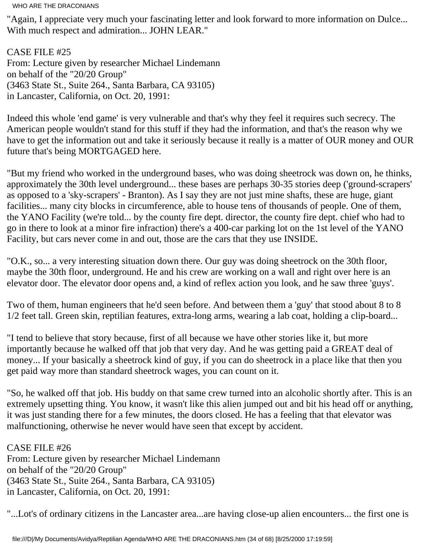"Again, I appreciate very much your fascinating letter and look forward to more information on Dulce... With much respect and admiration... JOHN LEAR."

CASE FILE #25 From: Lecture given by researcher Michael Lindemann on behalf of the "20/20 Group" (3463 State St., Suite 264., Santa Barbara, CA 93105) in Lancaster, California, on Oct. 20, 1991:

Indeed this whole 'end game' is very vulnerable and that's why they feel it requires such secrecy. The American people wouldn't stand for this stuff if they had the information, and that's the reason why we have to get the information out and take it seriously because it really is a matter of OUR money and OUR future that's being MORTGAGED here.

"But my friend who worked in the underground bases, who was doing sheetrock was down on, he thinks, approximately the 30th level underground... these bases are perhaps 30-35 stories deep ('ground-scrapers' as opposed to a 'sky-scrapers' - Branton). As I say they are not just mine shafts, these are huge, giant facilities... many city blocks in circumference, able to house tens of thousands of people. One of them, the YANO Facility (we're told... by the county fire dept. director, the county fire dept. chief who had to go in there to look at a minor fire infraction) there's a 400-car parking lot on the 1st level of the YANO Facility, but cars never come in and out, those are the cars that they use INSIDE.

"O.K., so... a very interesting situation down there. Our guy was doing sheetrock on the 30th floor, maybe the 30th floor, underground. He and his crew are working on a wall and right over here is an elevator door. The elevator door opens and, a kind of reflex action you look, and he saw three 'guys'.

Two of them, human engineers that he'd seen before. And between them a 'guy' that stood about 8 to 8 1/2 feet tall. Green skin, reptilian features, extra-long arms, wearing a lab coat, holding a clip-board...

"I tend to believe that story because, first of all because we have other stories like it, but more importantly because he walked off that job that very day. And he was getting paid a GREAT deal of money... If your basically a sheetrock kind of guy, if you can do sheetrock in a place like that then you get paid way more than standard sheetrock wages, you can count on it.

"So, he walked off that job. His buddy on that same crew turned into an alcoholic shortly after. This is an extremely upsetting thing. You know, it wasn't like this alien jumped out and bit his head off or anything, it was just standing there for a few minutes, the doors closed. He has a feeling that that elevator was malfunctioning, otherwise he never would have seen that except by accident.

CASE FILE #26 From: Lecture given by researcher Michael Lindemann on behalf of the "20/20 Group" (3463 State St., Suite 264., Santa Barbara, CA 93105) in Lancaster, California, on Oct. 20, 1991:

"...Lot's of ordinary citizens in the Lancaster area...are having close-up alien encounters... the first one is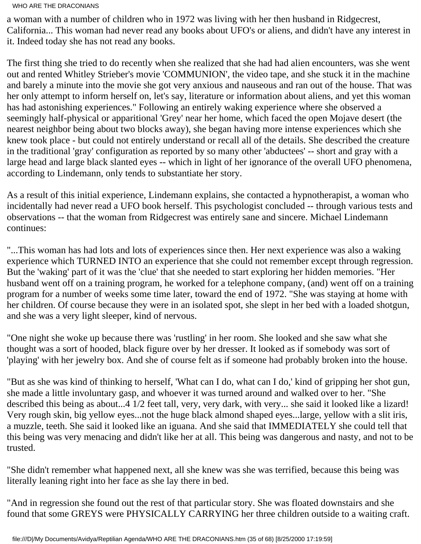a woman with a number of children who in 1972 was living with her then husband in Ridgecrest, California... This woman had never read any books about UFO's or aliens, and didn't have any interest in it. Indeed today she has not read any books.

The first thing she tried to do recently when she realized that she had had alien encounters, was she went out and rented Whitley Strieber's movie 'COMMUNION', the video tape, and she stuck it in the machine and barely a minute into the movie she got very anxious and nauseous and ran out of the house. That was her only attempt to inform herself on, let's say, literature or information about aliens, and yet this woman has had astonishing experiences." Following an entirely waking experience where she observed a seemingly half-physical or apparitional 'Grey' near her home, which faced the open Mojave desert (the nearest neighbor being about two blocks away), she began having more intense experiences which she knew took place - but could not entirely understand or recall all of the details. She described the creature in the traditional 'gray' configuration as reported by so many other 'abductees' -- short and gray with a large head and large black slanted eyes -- which in light of her ignorance of the overall UFO phenomena, according to Lindemann, only tends to substantiate her story.

As a result of this initial experience, Lindemann explains, she contacted a hypnotherapist, a woman who incidentally had never read a UFO book herself. This psychologist concluded -- through various tests and observations -- that the woman from Ridgecrest was entirely sane and sincere. Michael Lindemann continues:

"...This woman has had lots and lots of experiences since then. Her next experience was also a waking experience which TURNED INTO an experience that she could not remember except through regression. But the 'waking' part of it was the 'clue' that she needed to start exploring her hidden memories. "Her husband went off on a training program, he worked for a telephone company, (and) went off on a training program for a number of weeks some time later, toward the end of 1972. "She was staying at home with her children. Of course because they were in an isolated spot, she slept in her bed with a loaded shotgun, and she was a very light sleeper, kind of nervous.

"One night she woke up because there was 'rustling' in her room. She looked and she saw what she thought was a sort of hooded, black figure over by her dresser. It looked as if somebody was sort of 'playing' with her jewelry box. And she of course felt as if someone had probably broken into the house.

"But as she was kind of thinking to herself, 'What can I do, what can I do,' kind of gripping her shot gun, she made a little involuntary gasp, and whoever it was turned around and walked over to her. "She described this being as about...4 1/2 feet tall, very, very dark, with very... she said it looked like a lizard! Very rough skin, big yellow eyes...not the huge black almond shaped eyes...large, yellow with a slit iris, a muzzle, teeth. She said it looked like an iguana. And she said that IMMEDIATELY she could tell that this being was very menacing and didn't like her at all. This being was dangerous and nasty, and not to be trusted.

"She didn't remember what happened next, all she knew was she was terrified, because this being was literally leaning right into her face as she lay there in bed.

"And in regression she found out the rest of that particular story. She was floated downstairs and she found that some GREYS were PHYSICALLY CARRYING her three children outside to a waiting craft.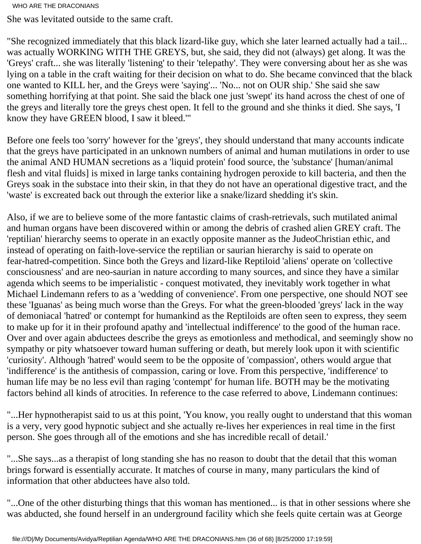She was levitated outside to the same craft.

"She recognized immediately that this black lizard-like guy, which she later learned actually had a tail... was actually WORKING WITH THE GREYS, but, she said, they did not (always) get along. It was the 'Greys' craft... she was literally 'listening' to their 'telepathy'. They were conversing about her as she was lying on a table in the craft waiting for their decision on what to do. She became convinced that the black one wanted to KILL her, and the Greys were 'saying'... 'No... not on OUR ship.' She said she saw something horrifying at that point. She said the black one just 'swept' its hand across the chest of one of the greys and literally tore the greys chest open. It fell to the ground and she thinks it died. She says, 'I know they have GREEN blood, I saw it bleed.'"

Before one feels too 'sorry' however for the 'greys', they should understand that many accounts indicate that the greys have participated in an unknown numbers of animal and human mutilations in order to use the animal AND HUMAN secretions as a 'liquid protein' food source, the 'substance' [human/animal flesh and vital fluids] is mixed in large tanks containing hydrogen peroxide to kill bacteria, and then the Greys soak in the substace into their skin, in that they do not have an operational digestive tract, and the 'waste' is excreated back out through the exterior like a snake/lizard shedding it's skin.

Also, if we are to believe some of the more fantastic claims of crash-retrievals, such mutilated animal and human organs have been discovered within or among the debris of crashed alien GREY craft. The 'reptilian' hierarchy seems to operate in an exactly opposite manner as the JudeoChristian ethic, and instead of operating on faith-love-service the reptilian or saurian hierarchy is said to operate on fear-hatred-competition. Since both the Greys and lizard-like Reptiloid 'aliens' operate on 'collective consciousness' and are neo-saurian in nature according to many sources, and since they have a similar agenda which seems to be imperialistic - conquest motivated, they inevitably work together in what Michael Lindemann refers to as a 'wedding of convenience'. From one perspective, one should NOT see these 'Iguanas' as being much worse than the Greys. For what the green-blooded 'greys' lack in the way of demoniacal 'hatred' or contempt for humankind as the Reptiloids are often seen to express, they seem to make up for it in their profound apathy and 'intellectual indifference' to the good of the human race. Over and over again abductees describe the greys as emotionless and methodical, and seemingly show no sympathy or pity whatsoever toward human suffering or death, but merely look upon it with scientific 'curiosity'. Although 'hatred' would seem to be the opposite of 'compassion', others would argue that 'indifference' is the antithesis of compassion, caring or love. From this perspective, 'indifference' to human life may be no less evil than raging 'contempt' for human life. BOTH may be the motivating factors behind all kinds of atrocities. In reference to the case referred to above, Lindemann continues:

"...Her hypnotherapist said to us at this point, 'You know, you really ought to understand that this woman is a very, very good hypnotic subject and she actually re-lives her experiences in real time in the first person. She goes through all of the emotions and she has incredible recall of detail.'

"...She says...as a therapist of long standing she has no reason to doubt that the detail that this woman brings forward is essentially accurate. It matches of course in many, many particulars the kind of information that other abductees have also told.

"...One of the other disturbing things that this woman has mentioned... is that in other sessions where she was abducted, she found herself in an underground facility which she feels quite certain was at George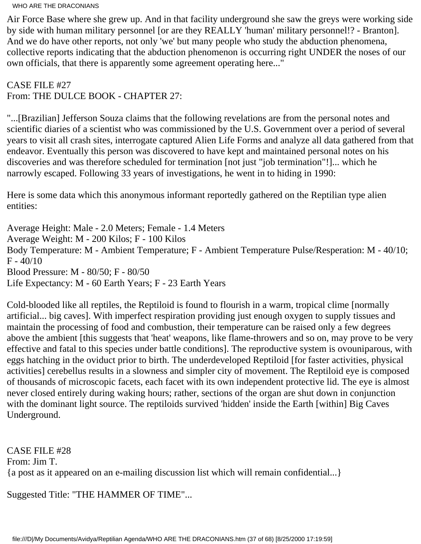Air Force Base where she grew up. And in that facility underground she saw the greys were working side by side with human military personnel [or are they REALLY 'human' military personnel!? - Branton]. And we do have other reports, not only 'we' but many people who study the abduction phenomena, collective reports indicating that the abduction phenomenon is occurring right UNDER the noses of our own officials, that there is apparently some agreement operating here..."

CASE FILE #27 From: THE DULCE BOOK - CHAPTER 27:

"...[Brazilian] Jefferson Souza claims that the following revelations are from the personal notes and scientific diaries of a scientist who was commissioned by the U.S. Government over a period of several years to visit all crash sites, interrogate captured Alien Life Forms and analyze all data gathered from that endeavor. Eventually this person was discovered to have kept and maintained personal notes on his discoveries and was therefore scheduled for termination [not just "job termination"!]... which he narrowly escaped. Following 33 years of investigations, he went in to hiding in 1990:

Here is some data which this anonymous informant reportedly gathered on the Reptilian type alien entities:

Average Height: Male - 2.0 Meters; Female - 1.4 Meters Average Weight: M - 200 Kilos; F - 100 Kilos Body Temperature: M - Ambient Temperature; F - Ambient Temperature Pulse/Resperation: M - 40/10;  $F - 40/10$ Blood Pressure: M - 80/50; F - 80/50 Life Expectancy: M - 60 Earth Years; F - 23 Earth Years

Cold-blooded like all reptiles, the Reptiloid is found to flourish in a warm, tropical clime [normally artificial... big caves]. With imperfect respiration providing just enough oxygen to supply tissues and maintain the processing of food and combustion, their temperature can be raised only a few degrees above the ambient [this suggests that 'heat' weapons, like flame-throwers and so on, may prove to be very effective and fatal to this species under battle conditions]. The reproductive system is ovouniparous, with eggs hatching in the oviduct prior to birth. The underdeveloped Reptiloid [for faster activities, physical activities] cerebellus results in a slowness and simpler city of movement. The Reptiloid eye is composed of thousands of microscopic facets, each facet with its own independent protective lid. The eye is almost never closed entirely during waking hours; rather, sections of the organ are shut down in conjunction with the dominant light source. The reptiloids survived 'hidden' inside the Earth [within] Big Caves Underground.

CASE FILE #28 From: Jim T. {a post as it appeared on an e-mailing discussion list which will remain confidential...}

Suggested Title: "THE HAMMER OF TIME"...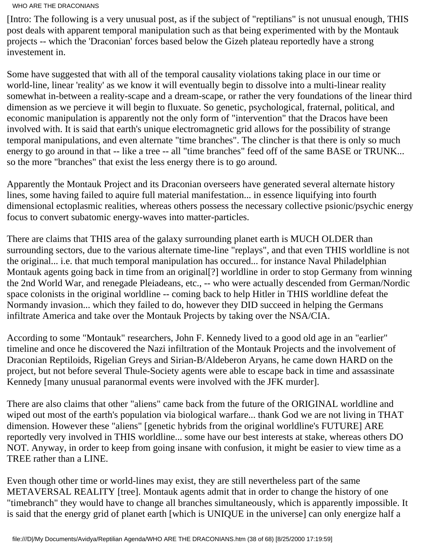[Intro: The following is a very unusual post, as if the subject of "reptilians" is not unusual enough, THIS post deals with apparent temporal manipulation such as that being experimented with by the Montauk projects -- which the 'Draconian' forces based below the Gizeh plateau reportedly have a strong investement in.

Some have suggested that with all of the temporal causality violations taking place in our time or world-line, linear 'reality' as we know it will eventually begin to dissolve into a multi-linear reality somewhat in-between a reality-scape and a dream-scape, or rather the very foundations of the linear third dimension as we percieve it will begin to fluxuate. So genetic, psychological, fraternal, political, and economic manipulation is apparently not the only form of "intervention" that the Dracos have been involved with. It is said that earth's unique electromagnetic grid allows for the possibility of strange temporal manipulations, and even alternate "time branches". The clincher is that there is only so much energy to go around in that -- like a tree -- all "time branches" feed off of the same BASE or TRUNK... so the more "branches" that exist the less energy there is to go around.

Apparently the Montauk Project and its Draconian overseers have generated several alternate history lines, some having failed to aquire full material manifestation... in essence liquifying into fourth dimensional ectoplasmic realities, whereas others possess the necessary collective psionic/psychic energy focus to convert subatomic energy-waves into matter-particles.

There are claims that THIS area of the galaxy surrounding planet earth is MUCH OLDER than surrounding sectors, due to the various alternate time-line "replays", and that even THIS worldline is not the original... i.e. that much temporal manipulation has occured... for instance Naval Philadelphian Montauk agents going back in time from an original[?] worldline in order to stop Germany from winning the 2nd World War, and renegade Pleiadeans, etc., -- who were actually descended from German/Nordic space colonists in the original worldline -- coming back to help Hitler in THIS worldline defeat the Normandy invasion... which they failed to do, however they DID succeed in helping the Germans infiltrate America and take over the Montauk Projects by taking over the NSA/CIA.

According to some "Montauk" researchers, John F. Kennedy lived to a good old age in an "earlier" timeline and once he discovered the Nazi infiltration of the Montauk Projects and the involvement of Draconian Reptiloids, Rigelian Greys and Sirian-B/Aldeberon Aryans, he came down HARD on the project, but not before several Thule-Society agents were able to escape back in time and assassinate Kennedy [many unusual paranormal events were involved with the JFK murder].

There are also claims that other "aliens" came back from the future of the ORIGINAL worldline and wiped out most of the earth's population via biological warfare... thank God we are not living in THAT dimension. However these "aliens" [genetic hybrids from the original worldline's FUTURE] ARE reportedly very involved in THIS worldline... some have our best interests at stake, whereas others DO NOT. Anyway, in order to keep from going insane with confusion, it might be easier to view time as a TREE rather than a LINE.

Even though other time or world-lines may exist, they are still nevertheless part of the same METAVERSAL REALITY [tree]. Montauk agents admit that in order to change the history of one "timebranch" they would have to change all branches simultaneously, which is apparently impossible. It is said that the energy grid of planet earth [which is UNIQUE in the universe] can only energize half a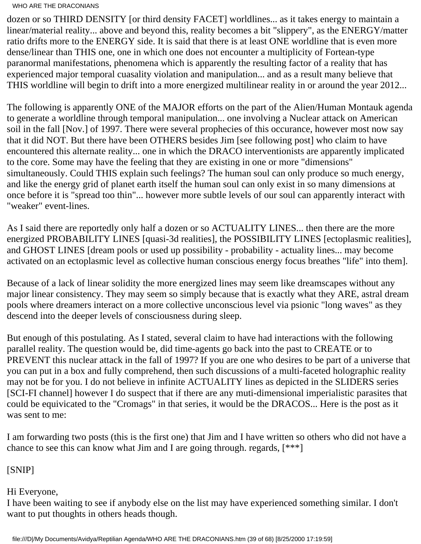dozen or so THIRD DENSITY [or third density FACET] worldlines... as it takes energy to maintain a linear/material reality... above and beyond this, reality becomes a bit "slippery", as the ENERGY/matter ratio drifts more to the ENERGY side. It is said that there is at least ONE worldline that is even more dense/linear than THIS one, one in which one does not encounter a multiplicity of Fortean-type paranormal manifestations, phenomena which is apparently the resulting factor of a reality that has experienced major temporal cuasality violation and manipulation... and as a result many believe that THIS worldline will begin to drift into a more energized multilinear reality in or around the year 2012...

The following is apparently ONE of the MAJOR efforts on the part of the Alien/Human Montauk agenda to generate a worldline through temporal manipulation... one involving a Nuclear attack on American soil in the fall [Nov.] of 1997. There were several prophecies of this occurance, however most now say that it did NOT. But there have been OTHERS besides Jim [see following post] who claim to have encountered this alternate reality... one in which the DRACO interventionists are apparently implicated to the core. Some may have the feeling that they are existing in one or more "dimensions" simultaneously. Could THIS explain such feelings? The human soul can only produce so much energy, and like the energy grid of planet earth itself the human soul can only exist in so many dimensions at once before it is "spread too thin"... however more subtle levels of our soul can apparently interact with "weaker" event-lines.

As I said there are reportedly only half a dozen or so ACTUALITY LINES... then there are the more energized PROBABILITY LINES [quasi-3d realities], the POSSIBILITY LINES [ectoplasmic realities], and GHOST LINES [dream pools or used up possibility - probability - actuality lines... may become activated on an ectoplasmic level as collective human conscious energy focus breathes "life" into them].

Because of a lack of linear solidity the more energized lines may seem like dreamscapes without any major linear consistency. They may seem so simply because that is exactly what they ARE, astral dream pools where dreamers interact on a more collective unconscious level via psionic "long waves" as they descend into the deeper levels of consciousness during sleep.

But enough of this postulating. As I stated, several claim to have had interactions with the following parallel reality. The question would be, did time-agents go back into the past to CREATE or to PREVENT this nuclear attack in the fall of 1997? If you are one who desires to be part of a universe that you can put in a box and fully comprehend, then such discussions of a multi-faceted holographic reality may not be for you. I do not believe in infinite ACTUALITY lines as depicted in the SLIDERS series [SCI-FI channel] however I do suspect that if there are any muti-dimensional imperialistic parasites that could be equivicated to the "Cromags" in that series, it would be the DRACOS... Here is the post as it was sent to me:

I am forwarding two posts (this is the first one) that Jim and I have written so others who did not have a chance to see this can know what Jim and I are going through. regards, [\*\*\*]

[SNIP]

### Hi Everyone,

I have been waiting to see if anybody else on the list may have experienced something similar. I don't want to put thoughts in others heads though.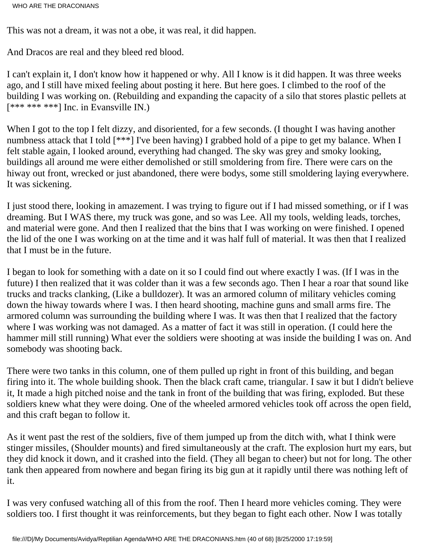This was not a dream, it was not a obe, it was real, it did happen.

And Dracos are real and they bleed red blood.

I can't explain it, I don't know how it happened or why. All I know is it did happen. It was three weeks ago, and I still have mixed feeling about posting it here. But here goes. I climbed to the roof of the building I was working on. (Rebuilding and expanding the capacity of a silo that stores plastic pellets at [\*\*\* \*\*\* \*\*\*] Inc. in Evansville IN.)

When I got to the top I felt dizzy, and disoriented, for a few seconds. (I thought I was having another numbness attack that I told [\*\*\*] I've been having) I grabbed hold of a pipe to get my balance. When I felt stable again, I looked around, everything had changed. The sky was grey and smoky looking, buildings all around me were either demolished or still smoldering from fire. There were cars on the hiway out front, wrecked or just abandoned, there were bodys, some still smoldering laying everywhere. It was sickening.

I just stood there, looking in amazement. I was trying to figure out if I had missed something, or if I was dreaming. But I WAS there, my truck was gone, and so was Lee. All my tools, welding leads, torches, and material were gone. And then I realized that the bins that I was working on were finished. I opened the lid of the one I was working on at the time and it was half full of material. It was then that I realized that I must be in the future.

I began to look for something with a date on it so I could find out where exactly I was. (If I was in the future) I then realized that it was colder than it was a few seconds ago. Then I hear a roar that sound like trucks and tracks clanking, (Like a bulldozer). It was an armored column of military vehicles coming down the hiway towards where I was. I then heard shooting, machine guns and small arms fire. The armored column was surrounding the building where I was. It was then that I realized that the factory where I was working was not damaged. As a matter of fact it was still in operation. (I could here the hammer mill still running) What ever the soldiers were shooting at was inside the building I was on. And somebody was shooting back.

There were two tanks in this column, one of them pulled up right in front of this building, and began firing into it. The whole building shook. Then the black craft came, triangular. I saw it but I didn't believe it, It made a high pitched noise and the tank in front of the building that was firing, exploded. But these soldiers knew what they were doing. One of the wheeled armored vehicles took off across the open field, and this craft began to follow it.

As it went past the rest of the soldiers, five of them jumped up from the ditch with, what I think were stinger missiles, (Shoulder mounts) and fired simultaneously at the craft. The explosion hurt my ears, but they did knock it down, and it crashed into the field. (They all began to cheer) but not for long. The other tank then appeared from nowhere and began firing its big gun at it rapidly until there was nothing left of it.

I was very confused watching all of this from the roof. Then I heard more vehicles coming. They were soldiers too. I first thought it was reinforcements, but they began to fight each other. Now I was totally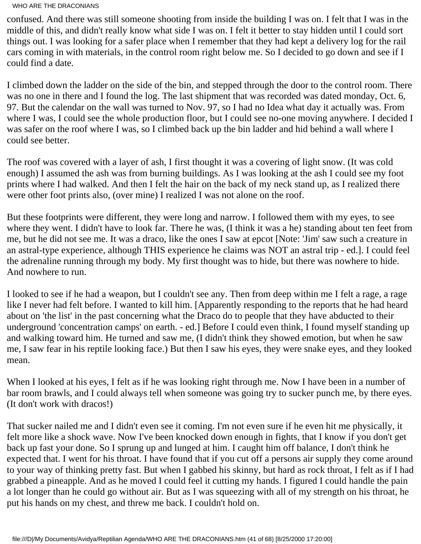confused. And there was still someone shooting from inside the building I was on. I felt that I was in the middle of this, and didn't really know what side I was on. I felt it better to stay hidden until I could sort things out. I was looking for a safer place when I remember that they had kept a delivery log for the rail cars coming in with materials, in the control room right below me. So I decided to go down and see if I could find a date.

I climbed down the ladder on the side of the bin, and stepped through the door to the control room. There was no one in there and I found the log. The last shipment that was recorded was dated monday, Oct. 6, 97. But the calendar on the wall was turned to Nov. 97, so I had no Idea what day it actually was. From where I was, I could see the whole production floor, but I could see no-one moving anywhere. I decided I was safer on the roof where I was, so I climbed back up the bin ladder and hid behind a wall where I could see better.

The roof was covered with a layer of ash, I first thought it was a covering of light snow. (It was cold enough) I assumed the ash was from burning buildings. As I was looking at the ash I could see my foot prints where I had walked. And then I felt the hair on the back of my neck stand up, as I realized there were other foot prints also, (over mine) I realized I was not alone on the roof.

But these footprints were different, they were long and narrow. I followed them with my eyes, to see where they went. I didn't have to look far. There he was, (I think it was a he) standing about ten feet from me, but he did not see me. It was a draco, like the ones I saw at epcot [Note: 'Jim' saw such a creature in an astral-type experience, although THIS experience he claims was NOT an astral trip - ed.]. I could feel the adrenaline running through my body. My first thought was to hide, but there was nowhere to hide. And nowhere to run.

I looked to see if he had a weapon, but I couldn't see any. Then from deep within me I felt a rage, a rage like I never had felt before. I wanted to kill him. [Apparently responding to the reports that he had heard about on 'the list' in the past concerning what the Draco do to people that they have abducted to their underground 'concentration camps' on earth. - ed.] Before I could even think, I found myself standing up and walking toward him. He turned and saw me, (I didn't think they showed emotion, but when he saw me, I saw fear in his reptile looking face.) But then I saw his eyes, they were snake eyes, and they looked mean.

When I looked at his eyes, I felt as if he was looking right through me. Now I have been in a number of bar room brawls, and I could always tell when someone was going try to sucker punch me, by there eyes. (It don't work with dracos!)

That sucker nailed me and I didn't even see it coming. I'm not even sure if he even hit me physically, it felt more like a shock wave. Now I've been knocked down enough in fights, that I know if you don't get back up fast your done. So I sprung up and lunged at him. I caught him off balance, I don't think he expected that. I went for his throat. I have found that if you cut off a persons air supply they come around to your way of thinking pretty fast. But when I gabbed his skinny, but hard as rock throat, I felt as if I had grabbed a pineapple. And as he moved I could feel it cutting my hands. I figured I could handle the pain a lot longer than he could go without air. But as I was squeezing with all of my strength on his throat, he put his hands on my chest, and threw me back. I couldn't hold on.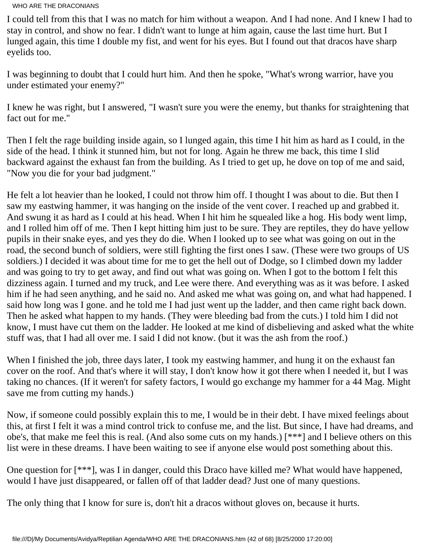I could tell from this that I was no match for him without a weapon. And I had none. And I knew I had to stay in control, and show no fear. I didn't want to lunge at him again, cause the last time hurt. But I lunged again, this time I double my fist, and went for his eyes. But I found out that dracos have sharp eyelids too.

I was beginning to doubt that I could hurt him. And then he spoke, "What's wrong warrior, have you under estimated your enemy?"

I knew he was right, but I answered, "I wasn't sure you were the enemy, but thanks for straightening that fact out for me."

Then I felt the rage building inside again, so I lunged again, this time I hit him as hard as I could, in the side of the head. I think it stunned him, but not for long. Again he threw me back, this time I slid backward against the exhaust fan from the building. As I tried to get up, he dove on top of me and said, "Now you die for your bad judgment."

He felt a lot heavier than he looked, I could not throw him off. I thought I was about to die. But then I saw my eastwing hammer, it was hanging on the inside of the vent cover. I reached up and grabbed it. And swung it as hard as I could at his head. When I hit him he squealed like a hog. His body went limp, and I rolled him off of me. Then I kept hitting him just to be sure. They are reptiles, they do have yellow pupils in their snake eyes, and yes they do die. When I looked up to see what was going on out in the road, the second bunch of soldiers, were still fighting the first ones I saw. (These were two groups of US soldiers.) I decided it was about time for me to get the hell out of Dodge, so I climbed down my ladder and was going to try to get away, and find out what was going on. When I got to the bottom I felt this dizziness again. I turned and my truck, and Lee were there. And everything was as it was before. I asked him if he had seen anything, and he said no. And asked me what was going on, and what had happened. I said how long was I gone. and he told me I had just went up the ladder, and then came right back down. Then he asked what happen to my hands. (They were bleeding bad from the cuts.) I told him I did not know, I must have cut them on the ladder. He looked at me kind of disbelieving and asked what the white stuff was, that I had all over me. I said I did not know. (but it was the ash from the roof.)

When I finished the job, three days later, I took my eastwing hammer, and hung it on the exhaust fan cover on the roof. And that's where it will stay, I don't know how it got there when I needed it, but I was taking no chances. (If it weren't for safety factors, I would go exchange my hammer for a 44 Mag. Might save me from cutting my hands.)

Now, if someone could possibly explain this to me, I would be in their debt. I have mixed feelings about this, at first I felt it was a mind control trick to confuse me, and the list. But since, I have had dreams, and obe's, that make me feel this is real. (And also some cuts on my hands.) [\*\*\*] and I believe others on this list were in these dreams. I have been waiting to see if anyone else would post something about this.

One question for [\*\*\*], was I in danger, could this Draco have killed me? What would have happened, would I have just disappeared, or fallen off of that ladder dead? Just one of many questions.

The only thing that I know for sure is, don't hit a dracos without gloves on, because it hurts.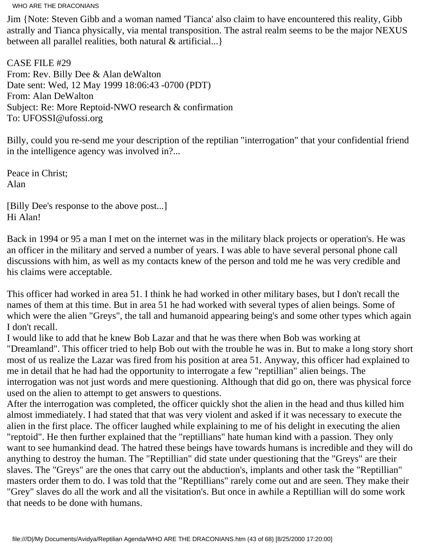Jim {Note: Steven Gibb and a woman named 'Tianca' also claim to have encountered this reality, Gibb astrally and Tianca physically, via mental transposition. The astral realm seems to be the major NEXUS between all parallel realities, both natural & artificial...}

CASE FILE #29 From: Rev. Billy Dee & Alan deWalton Date sent: Wed, 12 May 1999 18:06:43 -0700 (PDT) From: Alan DeWalton Subject: Re: More Reptoid-NWO research & confirmation To: UFOSSI@ufossi.org

Billy, could you re-send me your description of the reptilian "interrogation" that your confidential friend in the intelligence agency was involved in?...

Peace in Christ; Alan

[Billy Dee's response to the above post...] Hi Alan!

Back in 1994 or 95 a man I met on the internet was in the military black projects or operation's. He was an officer in the military and served a number of years. I was able to have several personal phone call discussions with him, as well as my contacts knew of the person and told me he was very credible and his claims were acceptable.

This officer had worked in area 51. I think he had worked in other military bases, but I don't recall the names of them at this time. But in area 51 he had worked with several types of alien beings. Some of which were the alien "Greys", the tall and humanoid appearing being's and some other types which again I don't recall.

I would like to add that he knew Bob Lazar and that he was there when Bob was working at "Dreamland". This officer tried to help Bob out with the trouble he was in. But to make a long story short most of us realize the Lazar was fired from his position at area 51. Anyway, this officer had explained to me in detail that he had had the opportunity to interrogate a few "reptillian" alien beings. The interrogation was not just words and mere questioning. Although that did go on, there was physical force used on the alien to attempt to get answers to questions.

After the interrogation was completed, the officer quickly shot the alien in the head and thus killed him almost immediately. I had stated that that was very violent and asked if it was necessary to execute the alien in the first place. The officer laughed while explaining to me of his delight in executing the alien "reptoid". He then further explained that the "reptillians" hate human kind with a passion. They only want to see humankind dead. The hatred these beings have towards humans is incredible and they will do anything to destroy the human. The "Reptillian" did state under questioning that the "Greys" are their slaves. The "Greys" are the ones that carry out the abduction's, implants and other task the "Reptillian" masters order them to do. I was told that the "Reptillians" rarely come out and are seen. They make their "Grey" slaves do all the work and all the visitation's. But once in awhile a Reptillian will do some work that needs to be done with humans.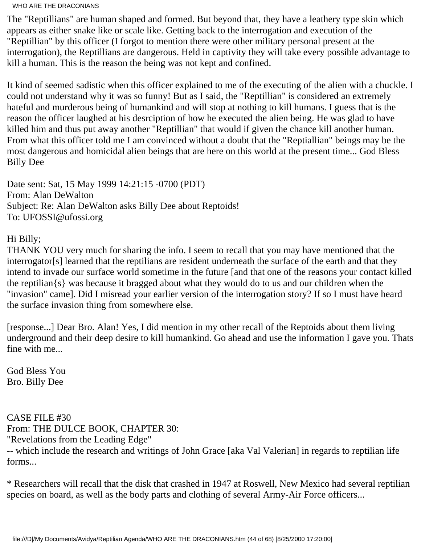The "Reptillians" are human shaped and formed. But beyond that, they have a leathery type skin which appears as either snake like or scale like. Getting back to the interrogation and execution of the "Reptillian" by this officer (I forgot to mention there were other military personal present at the interrogation), the Reptillians are dangerous. Held in captivity they will take every possible advantage to kill a human. This is the reason the being was not kept and confined.

It kind of seemed sadistic when this officer explained to me of the executing of the alien with a chuckle. I could not understand why it was so funny! But as I said, the "Reptillian" is considered an extremely hateful and murderous being of humankind and will stop at nothing to kill humans. I guess that is the reason the officer laughed at his desrciption of how he executed the alien being. He was glad to have killed him and thus put away another "Reptillian" that would if given the chance kill another human. From what this officer told me I am convinced without a doubt that the "Reptiallian" beings may be the most dangerous and homicidal alien beings that are here on this world at the present time... God Bless Billy Dee

Date sent: Sat, 15 May 1999 14:21:15 -0700 (PDT) From: Alan DeWalton Subject: Re: Alan DeWalton asks Billy Dee about Reptoids! To: UFOSSI@ufossi.org

### Hi Billy;

THANK YOU very much for sharing the info. I seem to recall that you may have mentioned that the interrogator[s] learned that the reptilians are resident underneath the surface of the earth and that they intend to invade our surface world sometime in the future [and that one of the reasons your contact killed the reptilian{s} was because it bragged about what they would do to us and our children when the "invasion" came]. Did I misread your earlier version of the interrogation story? If so I must have heard the surface invasion thing from somewhere else.

[response...] Dear Bro. Alan! Yes, I did mention in my other recall of the Reptoids about them living underground and their deep desire to kill humankind. Go ahead and use the information I gave you. Thats fine with me...

God Bless You Bro. Billy Dee

CASE FILE #30 From: THE DULCE BOOK, CHAPTER 30: "Revelations from the Leading Edge" -- which include the research and writings of John Grace [aka Val Valerian] in regards to reptilian life forms...

\* Researchers will recall that the disk that crashed in 1947 at Roswell, New Mexico had several reptilian species on board, as well as the body parts and clothing of several Army-Air Force officers...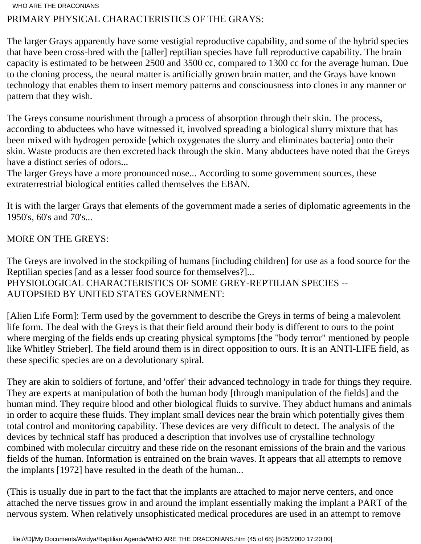### PRIMARY PHYSICAL CHARACTERISTICS OF THE GRAYS:

The larger Grays apparently have some vestigial reproductive capability, and some of the hybrid species that have been cross-bred with the [taller] reptilian species have full reproductive capability. The brain capacity is estimated to be between 2500 and 3500 cc, compared to 1300 cc for the average human. Due to the cloning process, the neural matter is artificially grown brain matter, and the Grays have known technology that enables them to insert memory patterns and consciousness into clones in any manner or pattern that they wish.

The Greys consume nourishment through a process of absorption through their skin. The process, according to abductees who have witnessed it, involved spreading a biological slurry mixture that has been mixed with hydrogen peroxide [which oxygenates the slurry and eliminates bacteria] onto their skin. Waste products are then excreted back through the skin. Many abductees have noted that the Greys have a distinct series of odors...

The larger Greys have a more pronounced nose... According to some government sources, these extraterrestrial biological entities called themselves the EBAN.

It is with the larger Grays that elements of the government made a series of diplomatic agreements in the 1950's, 60's and 70's...

### MORE ON THE GREYS:

The Greys are involved in the stockpiling of humans [including children] for use as a food source for the Reptilian species [and as a lesser food source for themselves?]... PHYSIOLOGICAL CHARACTERISTICS OF SOME GREY-REPTILIAN SPECIES -- AUTOPSIED BY UNITED STATES GOVERNMENT:

[Alien Life Form]: Term used by the government to describe the Greys in terms of being a malevolent life form. The deal with the Greys is that their field around their body is different to ours to the point where merging of the fields ends up creating physical symptoms [the "body terror" mentioned by people like Whitley Strieber]. The field around them is in direct opposition to ours. It is an ANTI-LIFE field, as these specific species are on a devolutionary spiral.

They are akin to soldiers of fortune, and 'offer' their advanced technology in trade for things they require. They are experts at manipulation of both the human body [through manipulation of the fields] and the human mind. They require blood and other biological fluids to survive. They abduct humans and animals in order to acquire these fluids. They implant small devices near the brain which potentially gives them total control and monitoring capability. These devices are very difficult to detect. The analysis of the devices by technical staff has produced a description that involves use of crystalline technology combined with molecular circuitry and these ride on the resonant emissions of the brain and the various fields of the human. Information is entrained on the brain waves. It appears that all attempts to remove the implants [1972] have resulted in the death of the human...

(This is usually due in part to the fact that the implants are attached to major nerve centers, and once attached the nerve tissues grow in and around the implant essentially making the implant a PART of the nervous system. When relatively unsophisticated medical procedures are used in an attempt to remove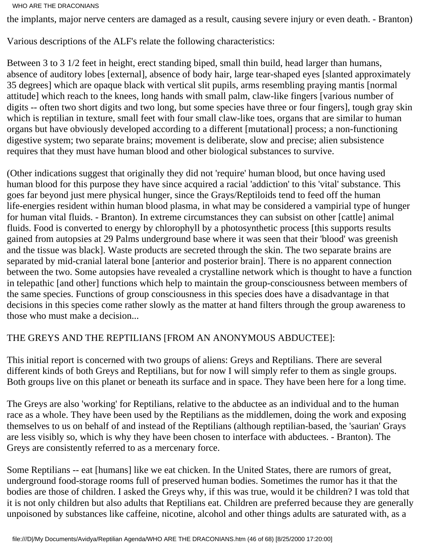the implants, major nerve centers are damaged as a result, causing severe injury or even death. - Branton)

Various descriptions of the ALF's relate the following characteristics:

Between 3 to 3 1/2 feet in height, erect standing biped, small thin build, head larger than humans, absence of auditory lobes [external], absence of body hair, large tear-shaped eyes [slanted approximately 35 degrees] which are opaque black with vertical slit pupils, arms resembling praying mantis [normal attitude] which reach to the knees, long hands with small palm, claw-like fingers [various number of digits -- often two short digits and two long, but some species have three or four fingers], tough gray skin which is reptilian in texture, small feet with four small claw-like toes, organs that are similar to human organs but have obviously developed according to a different [mutational] process; a non-functioning digestive system; two separate brains; movement is deliberate, slow and precise; alien subsistence requires that they must have human blood and other biological substances to survive.

(Other indications suggest that originally they did not 'require' human blood, but once having used human blood for this purpose they have since acquired a racial 'addiction' to this 'vital' substance. This goes far beyond just mere physical hunger, since the Grays/Reptiloids tend to feed off the human life-energies resident within human blood plasma, in what may be considered a vampirial type of hunger for human vital fluids. - Branton). In extreme circumstances they can subsist on other [cattle] animal fluids. Food is converted to energy by chlorophyll by a photosynthetic process [this supports results gained from autopsies at 29 Palms underground base where it was seen that their 'blood' was greenish and the tissue was black]. Waste products are secreted through the skin. The two separate brains are separated by mid-cranial lateral bone [anterior and posterior brain]. There is no apparent connection between the two. Some autopsies have revealed a crystalline network which is thought to have a function in telepathic [and other] functions which help to maintain the group-consciousness between members of the same species. Functions of group consciousness in this species does have a disadvantage in that decisions in this species come rather slowly as the matter at hand filters through the group awareness to those who must make a decision...

# THE GREYS AND THE REPTILIANS [FROM AN ANONYMOUS ABDUCTEE]:

This initial report is concerned with two groups of aliens: Greys and Reptilians. There are several different kinds of both Greys and Reptilians, but for now I will simply refer to them as single groups. Both groups live on this planet or beneath its surface and in space. They have been here for a long time.

The Greys are also 'working' for Reptilians, relative to the abductee as an individual and to the human race as a whole. They have been used by the Reptilians as the middlemen, doing the work and exposing themselves to us on behalf of and instead of the Reptilians (although reptilian-based, the 'saurian' Grays are less visibly so, which is why they have been chosen to interface with abductees. - Branton). The Greys are consistently referred to as a mercenary force.

Some Reptilians -- eat [humans] like we eat chicken. In the United States, there are rumors of great, underground food-storage rooms full of preserved human bodies. Sometimes the rumor has it that the bodies are those of children. I asked the Greys why, if this was true, would it be children? I was told that it is not only children but also adults that Reptilians eat. Children are preferred because they are generally unpoisoned by substances like caffeine, nicotine, alcohol and other things adults are saturated with, as a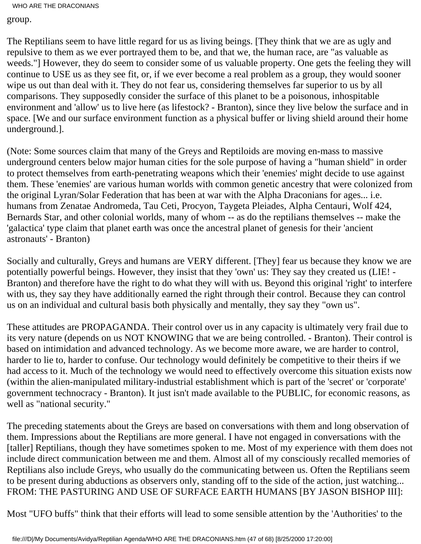group.

The Reptilians seem to have little regard for us as living beings. [They think that we are as ugly and repulsive to them as we ever portrayed them to be, and that we, the human race, are "as valuable as weeds."] However, they do seem to consider some of us valuable property. One gets the feeling they will continue to USE us as they see fit, or, if we ever become a real problem as a group, they would sooner wipe us out than deal with it. They do not fear us, considering themselves far superior to us by all comparisons. They supposedly consider the surface of this planet to be a poisonous, inhospitable environment and 'allow' us to live here (as lifestock? - Branton), since they live below the surface and in space. [We and our surface environment function as a physical buffer or living shield around their home underground.].

(Note: Some sources claim that many of the Greys and Reptiloids are moving en-mass to massive underground centers below major human cities for the sole purpose of having a "human shield" in order to protect themselves from earth-penetrating weapons which their 'enemies' might decide to use against them. These 'enemies' are various human worlds with common genetic ancestry that were colonized from the original Lyran/Solar Federation that has been at war with the Alpha Draconians for ages... i.e. humans from Zenatae Andromeda, Tau Ceti, Procyon, Taygeta Pleiades, Alpha Centauri, Wolf 424, Bernards Star, and other colonial worlds, many of whom -- as do the reptilians themselves -- make the 'galactica' type claim that planet earth was once the ancestral planet of genesis for their 'ancient astronauts' - Branton)

Socially and culturally, Greys and humans are VERY different. [They] fear us because they know we are potentially powerful beings. However, they insist that they 'own' us: They say they created us (LIE! - Branton) and therefore have the right to do what they will with us. Beyond this original 'right' to interfere with us, they say they have additionally earned the right through their control. Because they can control us on an individual and cultural basis both physically and mentally, they say they "own us".

These attitudes are PROPAGANDA. Their control over us in any capacity is ultimately very frail due to its very nature (depends on us NOT KNOWING that we are being controlled. - Branton). Their control is based on intimidation and advanced technology. As we become more aware, we are harder to control, harder to lie to, harder to confuse. Our technology would definitely be competitive to their theirs if we had access to it. Much of the technology we would need to effectively overcome this situation exists now (within the alien-manipulated military-industrial establishment which is part of the 'secret' or 'corporate' government technocracy - Branton). It just isn't made available to the PUBLIC, for economic reasons, as well as "national security."

The preceding statements about the Greys are based on conversations with them and long observation of them. Impressions about the Reptilians are more general. I have not engaged in conversations with the [taller] Reptilians, though they have sometimes spoken to me. Most of my experience with them does not include direct communication between me and them. Almost all of my consciously recalled memories of Reptilians also include Greys, who usually do the communicating between us. Often the Reptilians seem to be present during abductions as observers only, standing off to the side of the action, just watching... FROM: THE PASTURING AND USE OF SURFACE EARTH HUMANS [BY JASON BISHOP III]:

Most "UFO buffs" think that their efforts will lead to some sensible attention by the 'Authorities' to the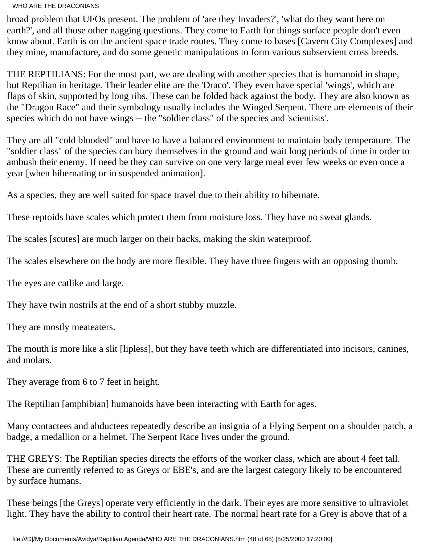broad problem that UFOs present. The problem of 'are they Invaders?', 'what do they want here on earth?', and all those other nagging questions. They come to Earth for things surface people don't even know about. Earth is on the ancient space trade routes. They come to bases [Cavern City Complexes] and they mine, manufacture, and do some genetic manipulations to form various subservient cross breeds.

THE REPTILIANS: For the most part, we are dealing with another species that is humanoid in shape, but Reptilian in heritage. Their leader elite are the 'Draco'. They even have special 'wings', which are flaps of skin, supported by long ribs. These can be folded back against the body. They are also known as the "Dragon Race" and their symbology usually includes the Winged Serpent. There are elements of their species which do not have wings -- the "soldier class" of the species and 'scientists'.

They are all "cold blooded" and have to have a balanced environment to maintain body temperature. The "soldier class" of the species can bury themselves in the ground and wait long periods of time in order to ambush their enemy. If need be they can survive on one very large meal ever few weeks or even once a year [when hibernating or in suspended animation].

As a species, they are well suited for space travel due to their ability to hibernate.

These reptoids have scales which protect them from moisture loss. They have no sweat glands.

The scales [scutes] are much larger on their backs, making the skin waterproof.

The scales elsewhere on the body are more flexible. They have three fingers with an opposing thumb.

The eyes are catlike and large.

They have twin nostrils at the end of a short stubby muzzle.

They are mostly meateaters.

The mouth is more like a slit [lipless], but they have teeth which are differentiated into incisors, canines, and molars.

They average from 6 to 7 feet in height.

The Reptilian [amphibian] humanoids have been interacting with Earth for ages.

Many contactees and abductees repeatedly describe an insignia of a Flying Serpent on a shoulder patch, a badge, a medallion or a helmet. The Serpent Race lives under the ground.

THE GREYS: The Reptilian species directs the efforts of the worker class, which are about 4 feet tall. These are currently referred to as Greys or EBE's, and are the largest category likely to be encountered by surface humans.

These beings [the Greys] operate very efficiently in the dark. Their eyes are more sensitive to ultraviolet light. They have the ability to control their heart rate. The normal heart rate for a Grey is above that of a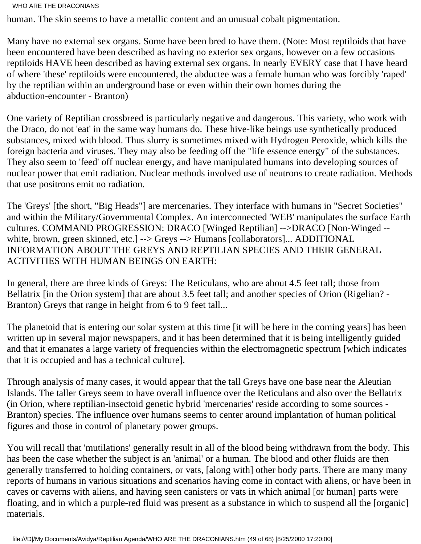human. The skin seems to have a metallic content and an unusual cobalt pigmentation.

Many have no external sex organs. Some have been bred to have them. (Note: Most reptiloids that have been encountered have been described as having no exterior sex organs, however on a few occasions reptiloids HAVE been described as having external sex organs. In nearly EVERY case that I have heard of where 'these' reptiloids were encountered, the abductee was a female human who was forcibly 'raped' by the reptilian within an underground base or even within their own homes during the abduction-encounter - Branton)

One variety of Reptilian crossbreed is particularly negative and dangerous. This variety, who work with the Draco, do not 'eat' in the same way humans do. These hive-like beings use synthetically produced substances, mixed with blood. Thus slurry is sometimes mixed with Hydrogen Peroxide, which kills the foreign bacteria and viruses. They may also be feeding off the "life essence energy" of the substances. They also seem to 'feed' off nuclear energy, and have manipulated humans into developing sources of nuclear power that emit radiation. Nuclear methods involved use of neutrons to create radiation. Methods that use positrons emit no radiation.

The 'Greys' [the short, "Big Heads"] are mercenaries. They interface with humans in "Secret Societies" and within the Military/Governmental Complex. An interconnected 'WEB' manipulates the surface Earth cultures. COMMAND PROGRESSION: DRACO [Winged Reptilian] -->DRACO [Non-Winged - white, brown, green skinned, etc.] --> Greys --> Humans [collaborators]... ADDITIONAL INFORMATION ABOUT THE GREYS AND REPTILIAN SPECIES AND THEIR GENERAL ACTIVITIES WITH HUMAN BEINGS ON EARTH:

In general, there are three kinds of Greys: The Reticulans, who are about 4.5 feet tall; those from Bellatrix [in the Orion system] that are about 3.5 feet tall; and another species of Orion (Rigelian? -Branton) Greys that range in height from 6 to 9 feet tall...

The planetoid that is entering our solar system at this time [it will be here in the coming years] has been written up in several major newspapers, and it has been determined that it is being intelligently guided and that it emanates a large variety of frequencies within the electromagnetic spectrum [which indicates that it is occupied and has a technical culture].

Through analysis of many cases, it would appear that the tall Greys have one base near the Aleutian Islands. The taller Greys seem to have overall influence over the Reticulans and also over the Bellatrix (in Orion, where reptilian-insectoid genetic hybrid 'mercenaries' reside according to some sources - Branton) species. The influence over humans seems to center around implantation of human political figures and those in control of planetary power groups.

You will recall that 'mutilations' generally result in all of the blood being withdrawn from the body. This has been the case whether the subject is an 'animal' or a human. The blood and other fluids are then generally transferred to holding containers, or vats, [along with] other body parts. There are many many reports of humans in various situations and scenarios having come in contact with aliens, or have been in caves or caverns with aliens, and having seen canisters or vats in which animal [or human] parts were floating, and in which a purple-red fluid was present as a substance in which to suspend all the [organic] materials.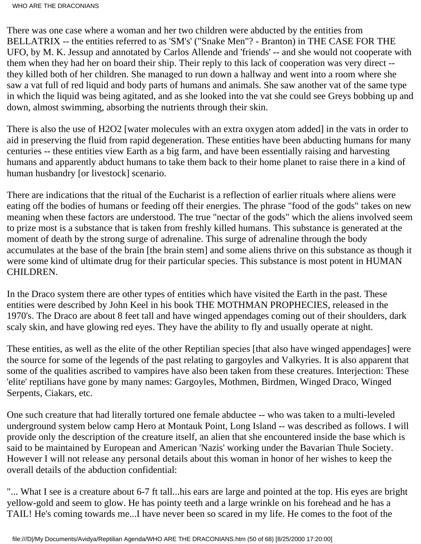There was one case where a woman and her two children were abducted by the entities from BELLATRIX -- the entities referred to as 'SM's' ("Snake Men"? - Branton) in THE CASE FOR THE UFO, by M. K. Jessup and annotated by Carlos Allende and 'friends' -- and she would not cooperate with them when they had her on board their ship. Their reply to this lack of cooperation was very direct - they killed both of her children. She managed to run down a hallway and went into a room where she saw a vat full of red liquid and body parts of humans and animals. She saw another vat of the same type in which the liquid was being agitated, and as she looked into the vat she could see Greys bobbing up and down, almost swimming, absorbing the nutrients through their skin.

There is also the use of H2O2 [water molecules with an extra oxygen atom added] in the vats in order to aid in preserving the fluid from rapid degeneration. These entities have been abducting humans for many centuries -- these entities view Earth as a big farm, and have been essentially raising and harvesting humans and apparently abduct humans to take them back to their home planet to raise there in a kind of human husbandry [or livestock] scenario.

There are indications that the ritual of the Eucharist is a reflection of earlier rituals where aliens were eating off the bodies of humans or feeding off their energies. The phrase "food of the gods" takes on new meaning when these factors are understood. The true "nectar of the gods" which the aliens involved seem to prize most is a substance that is taken from freshly killed humans. This substance is generated at the moment of death by the strong surge of adrenaline. This surge of adrenaline through the body accumulates at the base of the brain [the brain stem] and some aliens thrive on this substance as though it were some kind of ultimate drug for their particular species. This substance is most potent in HUMAN CHILDREN.

In the Draco system there are other types of entities which have visited the Earth in the past. These entities were described by John Keel in his book THE MOTHMAN PROPHECIES, released in the 1970's. The Draco are about 8 feet tall and have winged appendages coming out of their shoulders, dark scaly skin, and have glowing red eyes. They have the ability to fly and usually operate at night.

These entities, as well as the elite of the other Reptilian species [that also have winged appendages] were the source for some of the legends of the past relating to gargoyles and Valkyries. It is also apparent that some of the qualities ascribed to vampires have also been taken from these creatures. Interjection: These 'elite' reptilians have gone by many names: Gargoyles, Mothmen, Birdmen, Winged Draco, Winged Serpents, Ciakars, etc.

One such creature that had literally tortured one female abductee -- who was taken to a multi-leveled underground system below camp Hero at Montauk Point, Long Island -- was described as follows. I will provide only the description of the creature itself, an alien that she encountered inside the base which is said to be maintained by European and American 'Nazis' working under the Bavarian Thule Society. However I will not release any personal details about this woman in honor of her wishes to keep the overall details of the abduction confidential:

"... What I see is a creature about 6-7 ft tall...his ears are large and pointed at the top. His eyes are bright yellow-gold and seem to glow. He has pointy teeth and a large wrinkle on his forehead and he has a TAIL! He's coming towards me...I have never been so scared in my life. He comes to the foot of the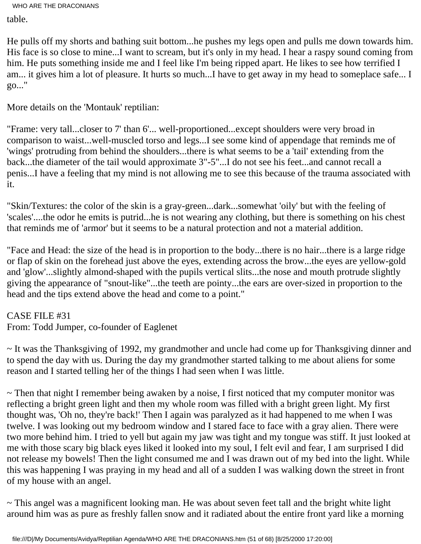table. WHO ARE THE DRACONIANS

He pulls off my shorts and bathing suit bottom...he pushes my legs open and pulls me down towards him. His face is so close to mine...I want to scream, but it's only in my head. I hear a raspy sound coming from him. He puts something inside me and I feel like I'm being ripped apart. He likes to see how terrified I am... it gives him a lot of pleasure. It hurts so much...I have to get away in my head to someplace safe... I go..."

More details on the 'Montauk' reptilian:

"Frame: very tall...closer to 7' than 6'... well-proportioned...except shoulders were very broad in comparison to waist...well-muscled torso and legs...I see some kind of appendage that reminds me of 'wings' protruding from behind the shoulders...there is what seems to be a 'tail' extending from the back...the diameter of the tail would approximate 3"-5"...I do not see his feet...and cannot recall a penis...I have a feeling that my mind is not allowing me to see this because of the trauma associated with it.

"Skin/Textures: the color of the skin is a gray-green...dark...somewhat 'oily' but with the feeling of 'scales'....the odor he emits is putrid...he is not wearing any clothing, but there is something on his chest that reminds me of 'armor' but it seems to be a natural protection and not a material addition.

"Face and Head: the size of the head is in proportion to the body...there is no hair...there is a large ridge or flap of skin on the forehead just above the eyes, extending across the brow...the eyes are yellow-gold and 'glow'...slightly almond-shaped with the pupils vertical slits...the nose and mouth protrude slightly giving the appearance of "snout-like"...the teeth are pointy...the ears are over-sized in proportion to the head and the tips extend above the head and come to a point."

# CASE FILE #31

From: Todd Jumper, co-founder of Eaglenet

~ It was the Thanksgiving of 1992, my grandmother and uncle had come up for Thanksgiving dinner and to spend the day with us. During the day my grandmother started talking to me about aliens for some reason and I started telling her of the things I had seen when I was little.

~ Then that night I remember being awaken by a noise, I first noticed that my computer monitor was reflecting a bright green light and then my whole room was filled with a bright green light. My first thought was, 'Oh no, they're back!' Then I again was paralyzed as it had happened to me when I was twelve. I was looking out my bedroom window and I stared face to face with a gray alien. There were two more behind him. I tried to yell but again my jaw was tight and my tongue was stiff. It just looked at me with those scary big black eyes liked it looked into my soul, I felt evil and fear, I am surprised I did not release my bowels! Then the light consumed me and I was drawn out of my bed into the light. While this was happening I was praying in my head and all of a sudden I was walking down the street in front of my house with an angel.

~ This angel was a magnificent looking man. He was about seven feet tall and the bright white light around him was as pure as freshly fallen snow and it radiated about the entire front yard like a morning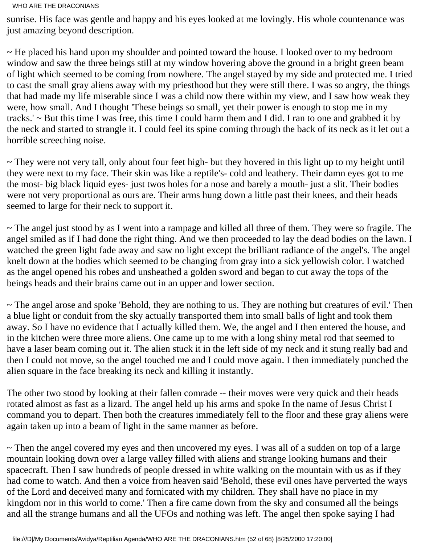sunrise. His face was gentle and happy and his eyes looked at me lovingly. His whole countenance was just amazing beyond description.

~ He placed his hand upon my shoulder and pointed toward the house. I looked over to my bedroom window and saw the three beings still at my window hovering above the ground in a bright green beam of light which seemed to be coming from nowhere. The angel stayed by my side and protected me. I tried to cast the small gray aliens away with my priesthood but they were still there. I was so angry, the things that had made my life miserable since I was a child now there within my view, and I saw how weak they were, how small. And I thought 'These beings so small, yet their power is enough to stop me in my tracks.' ~ But this time I was free, this time I could harm them and I did. I ran to one and grabbed it by the neck and started to strangle it. I could feel its spine coming through the back of its neck as it let out a horrible screeching noise.

~ They were not very tall, only about four feet high- but they hovered in this light up to my height until they were next to my face. Their skin was like a reptile's- cold and leathery. Their damn eyes got to me the most- big black liquid eyes- just twos holes for a nose and barely a mouth- just a slit. Their bodies were not very proportional as ours are. Their arms hung down a little past their knees, and their heads seemed to large for their neck to support it.

~ The angel just stood by as I went into a rampage and killed all three of them. They were so fragile. The angel smiled as if I had done the right thing. And we then proceeded to lay the dead bodies on the lawn. I watched the green light fade away and saw no light except the brilliant radiance of the angel's. The angel knelt down at the bodies which seemed to be changing from gray into a sick yellowish color. I watched as the angel opened his robes and unsheathed a golden sword and began to cut away the tops of the beings heads and their brains came out in an upper and lower section.

~ The angel arose and spoke 'Behold, they are nothing to us. They are nothing but creatures of evil.' Then a blue light or conduit from the sky actually transported them into small balls of light and took them away. So I have no evidence that I actually killed them. We, the angel and I then entered the house, and in the kitchen were three more aliens. One came up to me with a long shiny metal rod that seemed to have a laser beam coming out it. The alien stuck it in the left side of my neck and it stung really bad and then I could not move, so the angel touched me and I could move again. I then immediately punched the alien square in the face breaking its neck and killing it instantly.

The other two stood by looking at their fallen comrade -- their moves were very quick and their heads rotated almost as fast as a lizard. The angel held up his arms and spoke In the name of Jesus Christ I command you to depart. Then both the creatures immediately fell to the floor and these gray aliens were again taken up into a beam of light in the same manner as before.

~ Then the angel covered my eyes and then uncovered my eyes. I was all of a sudden on top of a large mountain looking down over a large valley filled with aliens and strange looking humans and their spacecraft. Then I saw hundreds of people dressed in white walking on the mountain with us as if they had come to watch. And then a voice from heaven said 'Behold, these evil ones have perverted the ways of the Lord and deceived many and fornicated with my children. They shall have no place in my kingdom nor in this world to come.' Then a fire came down from the sky and consumed all the beings and all the strange humans and all the UFOs and nothing was left. The angel then spoke saying I had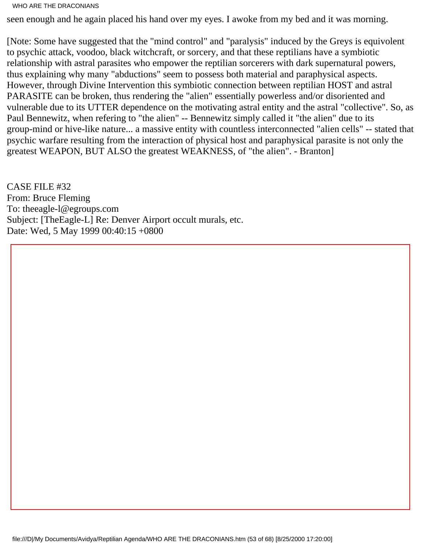seen enough and he again placed his hand over my eyes. I awoke from my bed and it was morning.

[Note: Some have suggested that the "mind control" and "paralysis" induced by the Greys is equivolent to psychic attack, voodoo, black witchcraft, or sorcery, and that these reptilians have a symbiotic relationship with astral parasites who empower the reptilian sorcerers with dark supernatural powers, thus explaining why many "abductions" seem to possess both material and paraphysical aspects. However, through Divine Intervention this symbiotic connection between reptilian HOST and astral PARASITE can be broken, thus rendering the "alien" essentially powerless and/or disoriented and vulnerable due to its UTTER dependence on the motivating astral entity and the astral "collective". So, as Paul Bennewitz, when refering to "the alien" -- Bennewitz simply called it "the alien" due to its group-mind or hive-like nature... a massive entity with countless interconnected "alien cells" -- stated that psychic warfare resulting from the interaction of physical host and paraphysical parasite is not only the greatest WEAPON, BUT ALSO the greatest WEAKNESS, of "the alien". - Branton]

CASE FILE #32 From: Bruce Fleming To: theeagle-l@egroups.com Subject: [TheEagle-L] Re: Denver Airport occult murals, etc. Date: Wed, 5 May 1999 00:40:15 +0800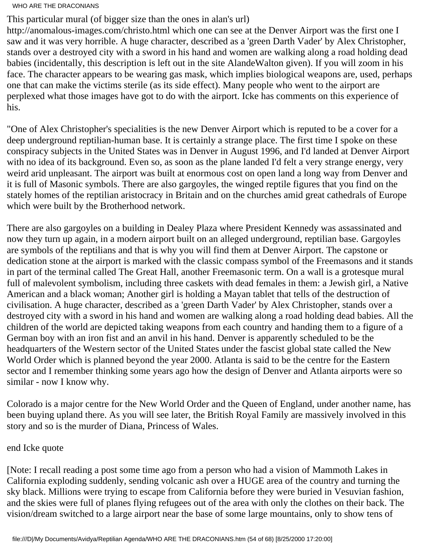# This particular mural (of bigger size than the ones in alan's url)

http://anomalous-images.com/christo.html which one can see at the Denver Airport was the first one I saw and it was very horrible. A huge character, described as a 'green Darth Vader' by Alex Christopher, stands over a destroyed city with a sword in his hand and women are walking along a road holding dead babies (incidentally, this description is left out in the site AlandeWalton given). If you will zoom in his face. The character appears to be wearing gas mask, which implies biological weapons are, used, perhaps one that can make the victims sterile (as its side effect). Many people who went to the airport are perplexed what those images have got to do with the airport. Icke has comments on this experience of his.

"One of Alex Christopher's specialities is the new Denver Airport which is reputed to be a cover for a deep underground reptilian-human base. It is certainly a strange place. The first time I spoke on these conspiracy subjects in the United States was in Denver in August 1996, and I'd landed at Denver Airport with no idea of its background. Even so, as soon as the plane landed I'd felt a very strange energy, very weird arid unpleasant. The airport was built at enormous cost on open land a long way from Denver and it is full of Masonic symbols. There are also gargoyles, the winged reptile figures that you find on the stately homes of the reptilian aristocracy in Britain and on the churches amid great cathedrals of Europe which were built by the Brotherhood network.

There are also gargoyles on a building in Dealey Plaza where President Kennedy was assassinated and now they turn up again, in a modern airport built on an alleged underground, reptilian base. Gargoyles are symbols of the reptilians and that is why you will find them at Denver Airport. The capstone or dedication stone at the airport is marked with the classic compass symbol of the Freemasons and it stands in part of the terminal called The Great Hall, another Freemasonic term. On a wall is a grotesque mural full of malevolent symbolism, including three caskets with dead females in them: a Jewish girl, a Native American and a black woman; Another girl is holding a Mayan tablet that tells of the destruction of civilisation. A huge character, described as a 'green Darth Vader' by Alex Christopher, stands over a destroyed city with a sword in his hand and women are walking along a road holding dead babies. All the children of the world are depicted taking weapons from each country and handing them to a figure of a German boy with an iron fist and an anvil in his hand. Denver is apparently scheduled to be the headquarters of the Western sector of the United States under the fascist global state called the New World Order which is planned beyond the year 2000. Atlanta is said to be the centre for the Eastern sector and I remember thinking some years ago how the design of Denver and Atlanta airports were so similar - now I know why.

Colorado is a major centre for the New World Order and the Queen of England, under another name, has been buying upland there. As you will see later, the British Royal Family are massively involved in this story and so is the murder of Diana, Princess of Wales.

### end Icke quote

[Note: I recall reading a post some time ago from a person who had a vision of Mammoth Lakes in California exploding suddenly, sending volcanic ash over a HUGE area of the country and turning the sky black. Millions were trying to escape from California before they were buried in Vesuvian fashion, and the skies were full of planes flying refugees out of the area with only the clothes on their back. The vision/dream switched to a large airport near the base of some large mountains, only to show tens of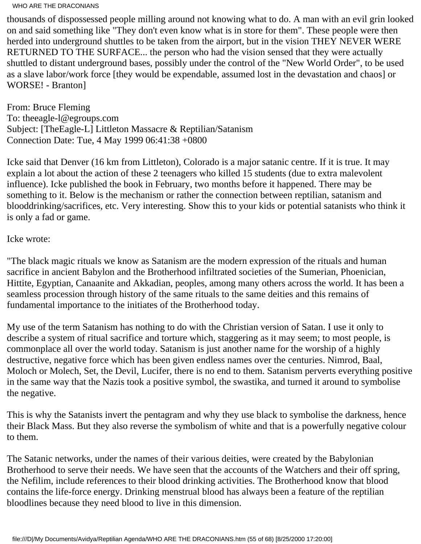thousands of dispossessed people milling around not knowing what to do. A man with an evil grin looked on and said something like "They don't even know what is in store for them". These people were then herded into underground shuttles to be taken from the airport, but in the vision THEY NEVER WERE RETURNED TO THE SURFACE... the person who had the vision sensed that they were actually shuttled to distant underground bases, possibly under the control of the "New World Order", to be used as a slave labor/work force [they would be expendable, assumed lost in the devastation and chaos] or WORSE! - Branton]

From: Bruce Fleming To: theeagle-l@egroups.com Subject: [TheEagle-L] Littleton Massacre & Reptilian/Satanism Connection Date: Tue, 4 May 1999 06:41:38 +0800

Icke said that Denver (16 km from Littleton), Colorado is a major satanic centre. If it is true. It may explain a lot about the action of these 2 teenagers who killed 15 students (due to extra malevolent influence). Icke published the book in February, two months before it happened. There may be something to it. Below is the mechanism or rather the connection between reptilian, satanism and blooddrinking/sacrifices, etc. Very interesting. Show this to your kids or potential satanists who think it is only a fad or game.

Icke wrote:

"The black magic rituals we know as Satanism are the modern expression of the rituals and human sacrifice in ancient Babylon and the Brotherhood infiltrated societies of the Sumerian, Phoenician, Hittite, Egyptian, Canaanite and Akkadian, peoples, among many others across the world. It has been a seamless procession through history of the same rituals to the same deities and this remains of fundamental importance to the initiates of the Brotherhood today.

My use of the term Satanism has nothing to do with the Christian version of Satan. I use it only to describe a system of ritual sacrifice and torture which, staggering as it may seem; to most people, is commonplace all over the world today. Satanism is just another name for the worship of a highly destructive, negative force which has been given endless names over the centuries. Nimrod, Baal, Moloch or Molech, Set, the Devil, Lucifer, there is no end to them. Satanism perverts everything positive in the same way that the Nazis took a positive symbol, the swastika, and turned it around to symbolise the negative.

This is why the Satanists invert the pentagram and why they use black to symbolise the darkness, hence their Black Mass. But they also reverse the symbolism of white and that is a powerfully negative colour to them.

The Satanic networks, under the names of their various deities, were created by the Babylonian Brotherhood to serve their needs. We have seen that the accounts of the Watchers and their off spring, the Nefilim, include references to their blood drinking activities. The Brotherhood know that blood contains the life-force energy. Drinking menstrual blood has always been a feature of the reptilian bloodlines because they need blood to live in this dimension.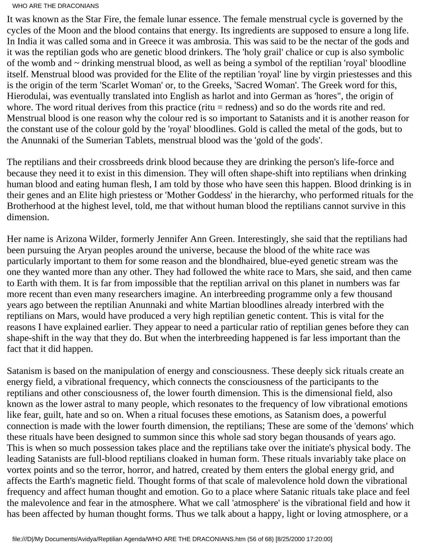It was known as the Star Fire, the female lunar essence. The female menstrual cycle is governed by the cycles of the Moon and the blood contains that energy. Its ingredients are supposed to ensure a long life. In India it was called soma and in Greece it was ambrosia. This was said to be the nectar of the gods and it was the reptilian gods who are genetic blood drinkers. The 'holy grail' chalice or cup is also symbolic of the womb and ~ drinking menstrual blood, as well as being a symbol of the reptilian 'royal' bloodline itself. Menstrual blood was provided for the Elite of the reptilian 'royal' line by virgin priestesses and this is the origin of the term 'Scarlet Woman' or, to the Greeks, 'Sacred Woman'. The Greek word for this, Hierodulai, was eventually translated into English as harlot and into German as 'hores", the origin of whore. The word ritual derives from this practice (ritu  $=$  redness) and so do the words rite and red. Menstrual blood is one reason why the colour red is so important to Satanists and it is another reason for the constant use of the colour gold by the 'royal' bloodlines. Gold is called the metal of the gods, but to the Anunnaki of the Sumerian Tablets, menstrual blood was the 'gold of the gods'.

The reptilians and their crossbreeds drink blood because they are drinking the person's life-force and because they need it to exist in this dimension. They will often shape-shift into reptilians when drinking human blood and eating human flesh, I am told by those who have seen this happen. Blood drinking is in their genes and an Elite high priestess or 'Mother Goddess' in the hierarchy, who performed rituals for the Brotherhood at the highest level, told, me that without human blood the reptilians cannot survive in this dimension.

Her name is Arizona Wilder, formerly Jennifer Ann Green. Interestingly, she said that the reptilians had been pursuing the Aryan peoples around the universe, because the blood of the white race was particularly important to them for some reason and the blondhaired, blue-eyed genetic stream was the one they wanted more than any other. They had followed the white race to Mars, she said, and then came to Earth with them. It is far from impossible that the reptilian arrival on this planet in numbers was far more recent than even many researchers imagine. An interbreeding programme only a few thousand years ago between the reptilian Anunnaki and white Martian bloodlines already interbred with the reptilians on Mars, would have produced a very high reptilian genetic content. This is vital for the reasons I have explained earlier. They appear to need a particular ratio of reptilian genes before they can shape-shift in the way that they do. But when the interbreeding happened is far less important than the fact that it did happen.

Satanism is based on the manipulation of energy and consciousness. These deeply sick rituals create an energy field, a vibrational frequency, which connects the consciousness of the participants to the reptilians and other consciousness of, the lower fourth dimension. This is the dimensional field, also known as the lower astral to many people, which resonates to the frequency of low vibrational emotions like fear, guilt, hate and so on. When a ritual focuses these emotions, as Satanism does, a powerful connection is made with the lower fourth dimension, the reptilians; These are some of the 'demons' which these rituals have been designed to summon since this whole sad story began thousands of years ago. This is when so much possession takes place and the reptilians take over the initiate's physical body. The leading Satanists are full-blood reptilians cloaked in human form. These rituals invariably take place on vortex points and so the terror, horror, and hatred, created by them enters the global energy grid, and affects the Earth's magnetic field. Thought forms of that scale of malevolence hold down the vibrational frequency and affect human thought and emotion. Go to a place where Satanic rituals take place and feel the malevolence and fear in the atmosphere. What we call 'atmosphere' is the vibrational field and how it has been affected by human thought forms. Thus we talk about a happy, light or loving atmosphere, or a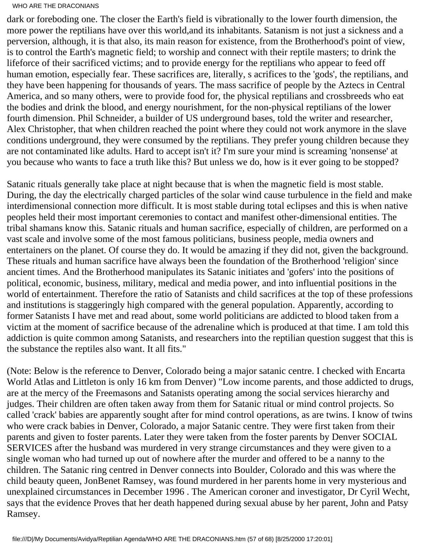dark or foreboding one. The closer the Earth's field is vibrationally to the lower fourth dimension, the more power the reptilians have over this world,and its inhabitants. Satanism is not just a sickness and a perversion, although, it is that also, its main reason for existence, from the Brotherhood's point of view, is to control the Earth's magnetic field; to worship and connect with their reptile masters; to drink the lifeforce of their sacrificed victims; and to provide energy for the reptilians who appear to feed off human emotion, especially fear. These sacrifices are, literally, s acrifices to the 'gods', the reptilians, and they have been happening for thousands of years. The mass sacrifice of people by the Aztecs in Central America, and so many others, were to provide food for, the physical reptilians and crossbreeds who eat the bodies and drink the blood, and energy nourishment, for the non-physical reptilians of the lower fourth dimension. Phil Schneider, a builder of US underground bases, told the writer and researcher, Alex Christopher, that when children reached the point where they could not work anymore in the slave conditions underground, they were consumed by the reptilians. They prefer young children because they are not contaminated like adults. Hard to accept isn't it? I'm sure your mind is screaming 'nonsense' at you because who wants to face a truth like this? But unless we do, how is it ever going to be stopped?

Satanic rituals generally take place at night because that is when the magnetic field is most stable. During, the day the electrically charged particles of the solar wind cause turbulence in the field and make interdimensional connection more difficult. It is most stable during total eclipses and this is when native peoples held their most important ceremonies to contact and manifest other-dimensional entities. The tribal shamans know this. Satanic rituals and human sacrifice, especially of children, are performed on a vast scale and involve some of the most famous politicians, business people, media owners and entertainers on the planet. Of course they do. It would be amazing if they did not, given the background. These rituals and human sacrifice have always been the foundation of the Brotherhood 'religion' since ancient times. And the Brotherhood manipulates its Satanic initiates and 'gofers' into the positions of political, economic, business, military, medical and media power, and into influential positions in the world of entertainment. Therefore the ratio of Satanists and child sacrifices at the top of these professions and institutions is staggeringly high compared with the general population. Apparently, according to former Satanists I have met and read about, some world politicians are addicted to blood taken from a victim at the moment of sacrifice because of the adrenaline which is produced at that time. I am told this addiction is quite common among Satanists, and researchers into the reptilian question suggest that this is the substance the reptiles also want. It all fits."

(Note: Below is the reference to Denver, Colorado being a major satanic centre. I checked with Encarta World Atlas and Littleton is only 16 km from Denver) "Low income parents, and those addicted to drugs, are at the mercy of the Freemasons and Satanists operating among the social services hierarchy and judges. Their children are often taken away from them for Satanic ritual or mind control projects. So called 'crack' babies are apparently sought after for mind control operations, as are twins. I know of twins who were crack babies in Denver, Colorado, a major Satanic centre. They were first taken from their parents and given to foster parents. Later they were taken from the foster parents by Denver SOCIAL SERVICES after the husband was murdered in very strange circumstances and they were given to a single woman who had turned up out of nowhere after the murder and offered to be a nanny to the children. The Satanic ring centred in Denver connects into Boulder, Colorado and this was where the child beauty queen, JonBenet Ramsey, was found murdered in her parents home in very mysterious and unexplained circumstances in December 1996 . The American coroner and investigator, Dr Cyril Wecht, says that the evidence Proves that her death happened during sexual abuse by her parent, John and Patsy Ramsey.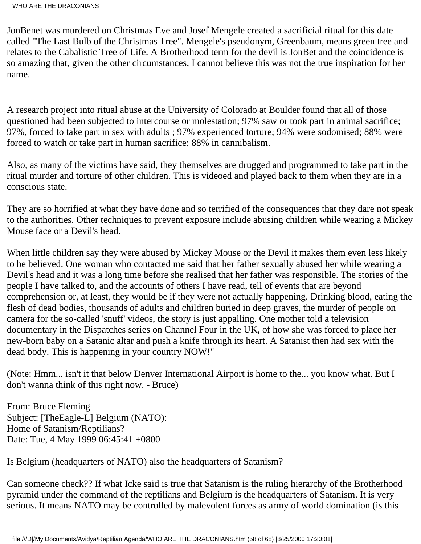JonBenet was murdered on Christmas Eve and Josef Mengele created a sacrificial ritual for this date called "The Last Bulb of the Christmas Tree". Mengele's pseudonym, Greenbaum, means green tree and relates to the Cabalistic Tree of Life. A Brotherhood term for the devil is JonBet and the coincidence is so amazing that, given the other circumstances, I cannot believe this was not the true inspiration for her name.

A research project into ritual abuse at the University of Colorado at Boulder found that all of those questioned had been subjected to intercourse or molestation; 97% saw or took part in animal sacrifice; 97%, forced to take part in sex with adults ; 97% experienced torture; 94% were sodomised; 88% were forced to watch or take part in human sacrifice; 88% in cannibalism.

Also, as many of the victims have said, they themselves are drugged and programmed to take part in the ritual murder and torture of other children. This is videoed and played back to them when they are in a conscious state.

They are so horrified at what they have done and so terrified of the consequences that they dare not speak to the authorities. Other techniques to prevent exposure include abusing children while wearing a Mickey Mouse face or a Devil's head.

When little children say they were abused by Mickey Mouse or the Devil it makes them even less likely to be believed. One woman who contacted me said that her father sexually abused her while wearing a Devil's head and it was a long time before she realised that her father was responsible. The stories of the people I have talked to, and the accounts of others I have read, tell of events that are beyond comprehension or, at least, they would be if they were not actually happening. Drinking blood, eating the flesh of dead bodies, thousands of adults and children buried in deep graves, the murder of people on camera for the so-called 'snuff' videos, the story is just appalling. One mother told a television documentary in the Dispatches series on Channel Four in the UK, of how she was forced to place her new-born baby on a Satanic altar and push a knife through its heart. A Satanist then had sex with the dead body. This is happening in your country NOW!"

(Note: Hmm... isn't it that below Denver International Airport is home to the... you know what. But I don't wanna think of this right now. - Bruce)

From: Bruce Fleming Subject: [TheEagle-L] Belgium (NATO): Home of Satanism/Reptilians? Date: Tue, 4 May 1999 06:45:41 +0800

Is Belgium (headquarters of NATO) also the headquarters of Satanism?

Can someone check?? If what Icke said is true that Satanism is the ruling hierarchy of the Brotherhood pyramid under the command of the reptilians and Belgium is the headquarters of Satanism. It is very serious. It means NATO may be controlled by malevolent forces as army of world domination (is this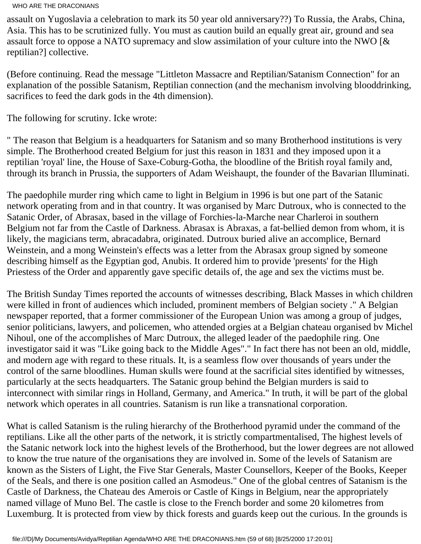assault on Yugoslavia a celebration to mark its 50 year old anniversary??) To Russia, the Arabs, China, Asia. This has to be scrutinized fully. You must as caution build an equally great air, ground and sea assault force to oppose a NATO supremacy and slow assimilation of your culture into the NWO [& reptilian?] collective.

(Before continuing. Read the message "Littleton Massacre and Reptilian/Satanism Connection" for an explanation of the possible Satanism, Reptilian connection (and the mechanism involving blooddrinking, sacrifices to feed the dark gods in the 4th dimension).

The following for scrutiny. Icke wrote:

" The reason that Belgium is a headquarters for Satanism and so many Brotherhood institutions is very simple. The Brotherhood created Belgium for just this reason in 1831 and they imposed upon it a reptilian 'royal' line, the House of Saxe-Coburg-Gotha, the bloodline of the British royal family and, through its branch in Prussia, the supporters of Adam Weishaupt, the founder of the Bavarian Illuminati.

The paedophile murder ring which came to light in Belgium in 1996 is but one part of the Satanic network operating from and in that country. It was organised by Marc Dutroux, who is connected to the Satanic Order, of Abrasax, based in the village of Forchies-la-Marche near Charleroi in southern Belgium not far from the Castle of Darkness. Abrasax is Abraxas, a fat-bellied demon from whom, it is likely, the magicians term, abracadabra, originated. Dutroux buried alive an accomplice, Bernard Weinstein, and a mong Weinstein's effects was a letter from the Abrasax group signed by someone describing himself as the Egyptian god, Anubis. It ordered him to provide 'presents' for the High Priestess of the Order and apparently gave specific details of, the age and sex the victims must be.

The British Sunday Times reported the accounts of witnesses describing, Black Masses in which children were killed in front of audiences which included, prominent members of Belgian society ." A Belgian newspaper reported, that a former commissioner of the European Union was among a group of judges, senior politicians, lawyers, and policemen, who attended orgies at a Belgian chateau organised bv Michel Nihoul, one of the accomplishes of Marc Dutroux, the alleged leader of the paedophile ring. One investigator said it was "Like going back to the Middle Ages"." In fact there has not been an old, middle, and modern age with regard to these rituals. It, is a seamless flow over thousands of years under the control of the sarne bloodlines. Human skulls were found at the sacrificial sites identified by witnesses, particularly at the sects headquarters. The Satanic group behind the Belgian murders is said to interconnect with similar rings in Holland, Germany, and America." In truth, it will be part of the global network which operates in all countries. Satanism is run like a transnational corporation.

What is called Satanism is the ruling hierarchy of the Brotherhood pyramid under the command of the reptilians. Like all the other parts of the network, it is strictly compartmentalised, The highest levels of the Satanic network lock into the highest levels of the Brotherhood, but the lower degrees are not allowed to know the true nature of the organisations they are involved in. Some of the levels of Satanism are known as the Sisters of Light, the Five Star Generals, Master Counsellors, Keeper of the Books, Keeper of the Seals, and there is one position called an Asmodeus." One of the global centres of Satanism is the Castle of Darkness, the Chateau des Amerois or Castle of Kings in Belgium, near the appropriately named village of Muno Bel. The castle is close to the French border and some 20 kilometres from Luxemburg. It is protected from view by thick forests and guards keep out the curious. In the grounds is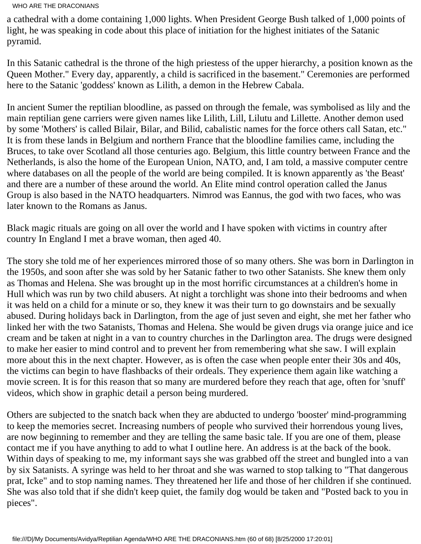a cathedral with a dome containing 1,000 lights. When President George Bush talked of 1,000 points of light, he was speaking in code about this place of initiation for the highest initiates of the Satanic pyramid.

In this Satanic cathedral is the throne of the high priestess of the upper hierarchy, a position known as the Queen Mother." Every day, apparently, a child is sacrificed in the basement." Ceremonies are performed here to the Satanic 'goddess' known as Lilith, a demon in the Hebrew Cabala.

In ancient Sumer the reptilian bloodline, as passed on through the female, was symbolised as lily and the main reptilian gene carriers were given names like Lilith, Lill, Lilutu and Lillette. Another demon used by some 'Mothers' is called Bilair, Bilar, and Bilid, cabalistic names for the force others call Satan, etc." It is from these lands in Belgium and northern France that the bloodline families came, including the Bruces, to take over Scotland all those centuries ago. Belgium, this little country between France and the Netherlands, is also the home of the European Union, NATO, and, I am told, a massive computer centre where databases on all the people of the world are being compiled. It is known apparently as 'the Beast' and there are a number of these around the world. An Elite mind control operation called the Janus Group is also based in the NATO headquarters. Nimrod was Eannus, the god with two faces, who was later known to the Romans as Janus.

Black magic rituals are going on all over the world and I have spoken with victims in country after country In England I met a brave woman, then aged 40.

The story she told me of her experiences mirrored those of so many others. She was born in Darlington in the 1950s, and soon after she was sold by her Satanic father to two other Satanists. She knew them only as Thomas and Helena. She was brought up in the most horrific circumstances at a children's home in Hull which was run by two child abusers. At night a torchlight was shone into their bedrooms and when it was held on a child for a minute or so, they knew it was their turn to go downstairs and be sexually abused. During holidays back in Darlington, from the age of just seven and eight, she met her father who linked her with the two Satanists, Thomas and Helena. She would be given drugs via orange juice and ice cream and be taken at night in a van to country churches in the Darlington area. The drugs were designed to make her easier to mind control and to prevent her from remembering what she saw. I will explain more about this in the next chapter. However, as is often the case when people enter their 30s and 40s, the victims can begin to have flashbacks of their ordeals. They experience them again like watching a movie screen. It is for this reason that so many are murdered before they reach that age, often for 'snuff' videos, which show in graphic detail a person being murdered.

Others are subjected to the snatch back when they are abducted to undergo 'booster' mind-programming to keep the memories secret. Increasing numbers of people who survived their horrendous young lives, are now beginning to remember and they are telling the same basic tale. If you are one of them, please contact me if you have anything to add to what I outline here. An address is at the back of the book. Within days of speaking to me, my informant says she was grabbed off the street and bungled into a van by six Satanists. A syringe was held to her throat and she was warned to stop talking to "That dangerous prat, Icke" and to stop naming names. They threatened her life and those of her children if she continued. She was also told that if she didn't keep quiet, the family dog would be taken and "Posted back to you in pieces".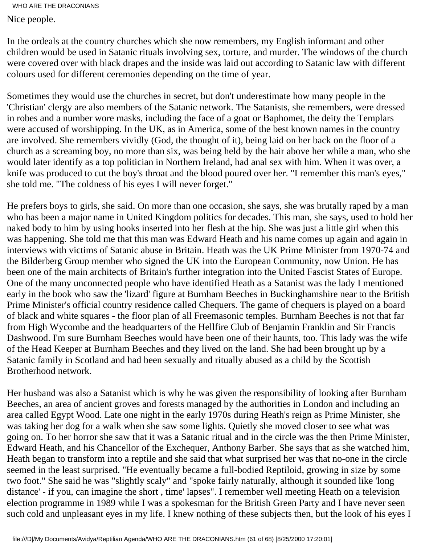Nice people.

In the ordeals at the country churches which she now remembers, my English informant and other children would be used in Satanic rituals involving sex, torture, and murder. The windows of the church were covered over with black drapes and the inside was laid out according to Satanic law with different colours used for different ceremonies depending on the time of year.

Sometimes they would use the churches in secret, but don't underestimate how many people in the 'Christian' clergy are also members of the Satanic network. The Satanists, she remembers, were dressed in robes and a number wore masks, including the face of a goat or Baphomet, the deity the Templars were accused of worshipping. In the UK, as in America, some of the best known names in the country are involved. She remembers vividly (God, the thought of it), being laid on her back on the floor of a church as a screaming boy, no more than six, was being held by the hair above her while a man, who she would later identify as a top politician in Northern Ireland, had anal sex with him. When it was over, a knife was produced to cut the boy's throat and the blood poured over her. "I remember this man's eyes," she told me. "The coldness of his eyes I will never forget."

He prefers boys to girls, she said. On more than one occasion, she says, she was brutally raped by a man who has been a major name in United Kingdom politics for decades. This man, she says, used to hold her naked body to him by using hooks inserted into her flesh at the hip. She was just a little girl when this was happening. She told me that this man was Edward Heath and his name comes up again and again in interviews with victims of Satanic abuse in Britain. Heath was the UK Prime Minister from 1970-74 and the Bilderberg Group member who signed the UK into the European Community, now Union. He has been one of the main architects of Britain's further integration into the United Fascist States of Europe. One of the many unconnected people who have identified Heath as a Satanist was the lady I mentioned early in the book who saw the 'lizard' figure at Burnham Beeches in Buckinghamshire near to the British Prime Minister's official country residence called Chequers. The game of chequers is played on a board of black and white squares - the floor plan of all Freemasonic temples. Burnham Beeches is not that far from High Wycombe and the headquarters of the Hellfire Club of Benjamin Franklin and Sir Francis Dashwood. I'm sure Burnham Beeches would have been one of their haunts, too. This lady was the wife of the Head Keeper at Burnham Beeches and they lived on the land. She had been brought up by a Satanic family in Scotland and had been sexually and ritually abused as a child by the Scottish Brotherhood network.

Her husband was also a Satanist which is why he was given the responsibility of looking after Burnham Beeches, an area of ancient groves and forests managed by the authorities in London and including an area called Egypt Wood. Late one night in the early 1970s during Heath's reign as Prime Minister, she was taking her dog for a walk when she saw some lights. Quietly she moved closer to see what was going on. To her horror she saw that it was a Satanic ritual and in the circle was the then Prime Minister, Edward Heath, and his Chancellor of the Exchequer, Anthony Barber. She says that as she watched him, Heath began to transform into a reptile and she said that what surprised her was that no-one in the circle seemed in the least surprised. "He eventually became a full-bodied Reptiloid, growing in size by some two foot." She said he was "slightly scaly" and "spoke fairly naturally, although it sounded like 'long distance' - if you, can imagine the short , time' lapses". I remember well meeting Heath on a television election programme in 1989 while I was a spokesman for the British Green Party and I have never seen such cold and unpleasant eyes in my life. I knew nothing of these subjects then, but the look of his eyes I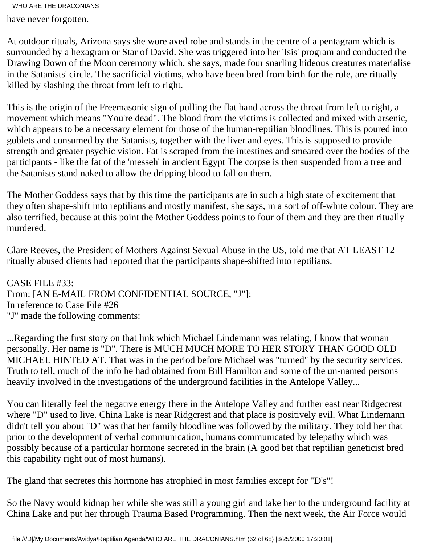have never forgotten.

At outdoor rituals, Arizona says she wore axed robe and stands in the centre of a pentagram which is surrounded by a hexagram or Star of David. She was triggered into her 'Isis' program and conducted the Drawing Down of the Moon ceremony which, she says, made four snarling hideous creatures materialise in the Satanists' circle. The sacrificial victims, who have been bred from birth for the role, are ritually killed by slashing the throat from left to right.

This is the origin of the Freemasonic sign of pulling the flat hand across the throat from left to right, a movement which means "You're dead". The blood from the victims is collected and mixed with arsenic, which appears to be a necessary element for those of the human-reptilian bloodlines. This is poured into goblets and consumed by the Satanists, together with the liver and eyes. This is supposed to provide strength and greater psychic vision. Fat is scraped from the intestines and smeared over the bodies of the participants - like the fat of the 'messeh' in ancient Egypt The corpse is then suspended from a tree and the Satanists stand naked to allow the dripping blood to fall on them.

The Mother Goddess says that by this time the participants are in such a high state of excitement that they often shape-shift into reptilians and mostly manifest, she says, in a sort of off-white colour. They are also terrified, because at this point the Mother Goddess points to four of them and they are then ritually murdered.

Clare Reeves, the President of Mothers Against Sexual Abuse in the US, told me that AT LEAST 12 ritually abused clients had reported that the participants shape-shifted into reptilians.

CASE FILE #33: From: [AN E-MAIL FROM CONFIDENTIAL SOURCE, "J"]: In reference to Case File #26 "J" made the following comments:

...Regarding the first story on that link which Michael Lindemann was relating, I know that woman personally. Her name is "D". There is MUCH MUCH MORE TO HER STORY THAN GOOD OLD MICHAEL HINTED AT. That was in the period before Michael was "turned" by the security services. Truth to tell, much of the info he had obtained from Bill Hamilton and some of the un-named persons heavily involved in the investigations of the underground facilities in the Antelope Valley...

You can literally feel the negative energy there in the Antelope Valley and further east near Ridgecrest where "D" used to live. China Lake is near Ridgcrest and that place is positively evil. What Lindemann didn't tell you about "D" was that her family bloodline was followed by the military. They told her that prior to the development of verbal communication, humans communicated by telepathy which was possibly because of a particular hormone secreted in the brain (A good bet that reptilian geneticist bred this capability right out of most humans).

The gland that secretes this hormone has atrophied in most families except for "D's"!

So the Navy would kidnap her while she was still a young girl and take her to the underground facility at China Lake and put her through Trauma Based Programming. Then the next week, the Air Force would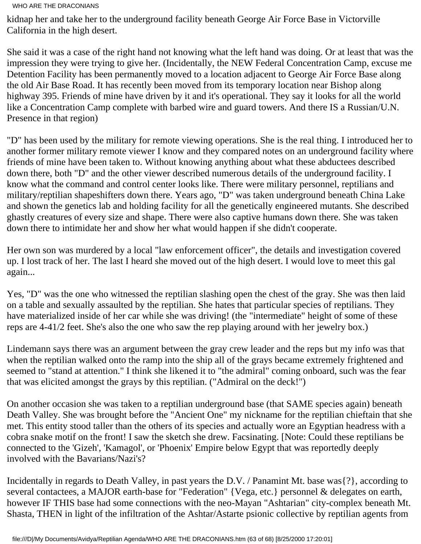kidnap her and take her to the underground facility beneath George Air Force Base in Victorville California in the high desert.

She said it was a case of the right hand not knowing what the left hand was doing. Or at least that was the impression they were trying to give her. (Incidentally, the NEW Federal Concentration Camp, excuse me Detention Facility has been permanently moved to a location adjacent to George Air Force Base along the old Air Base Road. It has recently been moved from its temporary location near Bishop along highway 395. Friends of mine have driven by it and it's operational. They say it looks for all the world like a Concentration Camp complete with barbed wire and guard towers. And there IS a Russian/U.N. Presence in that region)

"D" has been used by the military for remote viewing operations. She is the real thing. I introduced her to another former military remote viewer I know and they compared notes on an underground facility where friends of mine have been taken to. Without knowing anything about what these abductees described down there, both "D" and the other viewer described numerous details of the underground facility. I know what the command and control center looks like. There were military personnel, reptilians and military/reptilian shapeshifters down there. Years ago, "D" was taken underground beneath China Lake and shown the genetics lab and holding facility for all the genetically engineered mutants. She described ghastly creatures of every size and shape. There were also captive humans down there. She was taken down there to intimidate her and show her what would happen if she didn't cooperate.

Her own son was murdered by a local "law enforcement officer", the details and investigation covered up. I lost track of her. The last I heard she moved out of the high desert. I would love to meet this gal again...

Yes, "D" was the one who witnessed the reptilian slashing open the chest of the gray. She was then laid on a table and sexually assaulted by the reptilian. She hates that particular species of reptilians. They have materialized inside of her car while she was driving! (the "intermediate" height of some of these reps are 4-41/2 feet. She's also the one who saw the rep playing around with her jewelry box.)

Lindemann says there was an argument between the gray crew leader and the reps but my info was that when the reptilian walked onto the ramp into the ship all of the grays became extremely frightened and seemed to "stand at attention." I think she likened it to "the admiral" coming onboard, such was the fear that was elicited amongst the grays by this reptilian. ("Admiral on the deck!")

On another occasion she was taken to a reptilian underground base (that SAME species again) beneath Death Valley. She was brought before the "Ancient One" my nickname for the reptilian chieftain that she met. This entity stood taller than the others of its species and actually wore an Egyptian headress with a cobra snake motif on the front! I saw the sketch she drew. Facsinating. [Note: Could these reptilians be connected to the 'Gizeh', 'Kamagol', or 'Phoenix' Empire below Egypt that was reportedly deeply involved with the Bavarians/Nazi's?

Incidentally in regards to Death Valley, in past years the D.V. / Panamint Mt. base was{?}, according to several contactees, a MAJOR earth-base for "Federation" {Vega, etc.} personnel & delegates on earth, however IF THIS base had some connections with the neo-Mayan "Ashtarian" city-complex beneath Mt. Shasta, THEN in light of the infiltration of the Ashtar/Astarte psionic collective by reptilian agents from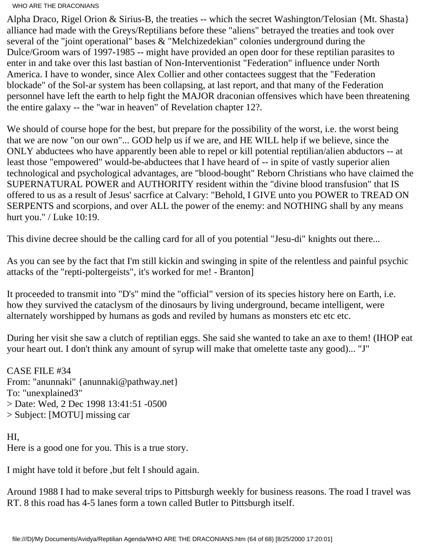Alpha Draco, Rigel Orion & Sirius-B, the treaties -- which the secret Washington/Telosian {Mt. Shasta} alliance had made with the Greys/Reptilians before these "aliens" betrayed the treaties and took over several of the "joint operational" bases & "Melchizedekian" colonies underground during the Dulce/Groom wars of 1997-1985 -- might have provided an open door for these reptilian parasites to enter in and take over this last bastian of Non-Interventionist "Federation" influence under North America. I have to wonder, since Alex Collier and other contactees suggest that the "Federation blockade" of the Sol-ar system has been collapsing, at last report, and that many of the Federation personnel have left the earth to help fight the MAJOR draconian offensives which have been threatening the entire galaxy -- the "war in heaven" of Revelation chapter 12?.

We should of course hope for the best, but prepare for the possibility of the worst, i.e. the worst being that we are now "on our own"... GOD help us if we are, and HE WILL help if we believe, since the ONLY abductees who have apparently been able to repel or kill potential reptilian/alien abductors -- at least those "empowered" would-be-abductees that I have heard of -- in spite of vastly superior alien technological and psychological advantages, are "blood-bought" Reborn Christians who have claimed the SUPERNATURAL POWER and AUTHORITY resident within the "divine blood transfusion" that IS offered to us as a result of Jesus' sacrfice at Calvary: "Behold, I GIVE unto you POWER to TREAD ON SERPENTS and scorpions, and over ALL the power of the enemy: and NOTHING shall by any means hurt you." / Luke 10:19.

This divine decree should be the calling card for all of you potential "Jesu-di" knights out there...

As you can see by the fact that I'm still kickin and swinging in spite of the relentless and painful psychic attacks of the "repti-poltergeists", it's worked for me! - Branton]

It proceeded to transmit into "D's" mind the "official" version of its species history here on Earth, i.e. how they survived the cataclysm of the dinosaurs by living underground, became intelligent, were alternately worshipped by humans as gods and reviled by humans as monsters etc etc etc.

During her visit she saw a clutch of reptilian eggs. She said she wanted to take an axe to them! (IHOP eat your heart out. I don't think any amount of syrup will make that omelette taste any good)... "J"

CASE FILE #34 From: "anunnaki" {anunnaki@pathway.net} To: "unexplained3" > Date: Wed, 2 Dec 1998 13:41:51 -0500 > Subject: [MOTU] missing car

HI, Here is a good one for you. This is a true story.

I might have told it before ,but felt I should again.

Around 1988 I had to make several trips to Pittsburgh weekly for business reasons. The road I travel was RT. 8 this road has 4-5 lanes form a town called Butler to Pittsburgh itself.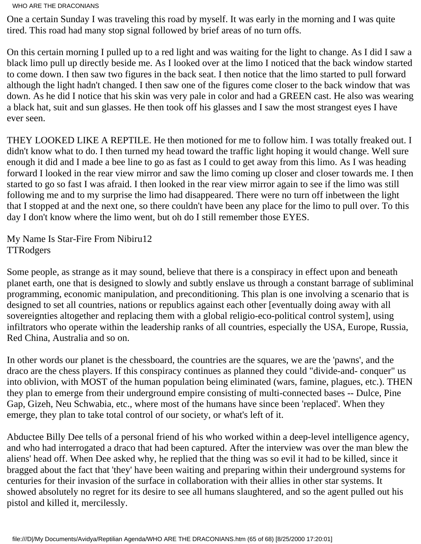One a certain Sunday I was traveling this road by myself. It was early in the morning and I was quite tired. This road had many stop signal followed by brief areas of no turn offs.

On this certain morning I pulled up to a red light and was waiting for the light to change. As I did I saw a black limo pull up directly beside me. As I looked over at the limo I noticed that the back window started to come down. I then saw two figures in the back seat. I then notice that the limo started to pull forward although the light hadn't changed. I then saw one of the figures come closer to the back window that was down. As he did I notice that his skin was very pale in color and had a GREEN cast. He also was wearing a black hat, suit and sun glasses. He then took off his glasses and I saw the most strangest eyes I have ever seen.

THEY LOOKED LIKE A REPTILE. He then motioned for me to follow him. I was totally freaked out. I didn't know what to do. I then turned my head toward the traffic light hoping it would change. Well sure enough it did and I made a bee line to go as fast as I could to get away from this limo. As I was heading forward I looked in the rear view mirror and saw the limo coming up closer and closer towards me. I then started to go so fast I was afraid. I then looked in the rear view mirror again to see if the limo was still following me and to my surprise the limo had disappeared. There were no turn off inbetween the light that I stopped at and the next one, so there couldn't have been any place for the limo to pull over. To this day I don't know where the limo went, but oh do I still remember those EYES.

My Name Is Star-Fire From Nibiru12 **TTRodgers** 

Some people, as strange as it may sound, believe that there is a conspiracy in effect upon and beneath planet earth, one that is designed to slowly and subtly enslave us through a constant barrage of subliminal programming, economic manipulation, and preconditioning. This plan is one involving a scenario that is designed to set all countries, nations or republics against each other [eventually doing away with all sovereignties altogether and replacing them with a global religio-eco-political control system], using infiltrators who operate within the leadership ranks of all countries, especially the USA, Europe, Russia, Red China, Australia and so on.

In other words our planet is the chessboard, the countries are the squares, we are the 'pawns', and the draco are the chess players. If this conspiracy continues as planned they could "divide-and- conquer" us into oblivion, with MOST of the human population being eliminated (wars, famine, plagues, etc.). THEN they plan to emerge from their underground empire consisting of multi-connected bases -- Dulce, Pine Gap, Gizeh, Neu Schwabia, etc., where most of the humans have since been 'replaced'. When they emerge, they plan to take total control of our society, or what's left of it.

Abductee Billy Dee tells of a personal friend of his who worked within a deep-level intelligence agency, and who had interrogated a draco that had been captured. After the interview was over the man blew the aliens' head off. When Dee asked why, he replied that the thing was so evil it had to be killed, since it bragged about the fact that 'they' have been waiting and preparing within their underground systems for centuries for their invasion of the surface in collaboration with their allies in other star systems. It showed absolutely no regret for its desire to see all humans slaughtered, and so the agent pulled out his pistol and killed it, mercilessly.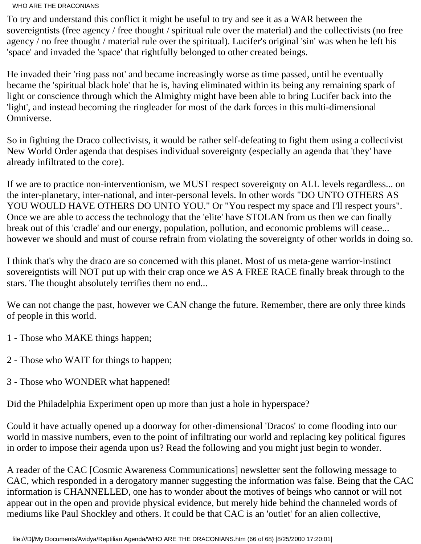To try and understand this conflict it might be useful to try and see it as a WAR between the sovereigntists (free agency / free thought / spiritual rule over the material) and the collectivists (no free agency / no free thought / material rule over the spiritual). Lucifer's original 'sin' was when he left his 'space' and invaded the 'space' that rightfully belonged to other created beings.

He invaded their 'ring pass not' and became increasingly worse as time passed, until he eventually became the 'spiritual black hole' that he is, having eliminated within its being any remaining spark of light or conscience through which the Almighty might have been able to bring Lucifer back into the 'light', and instead becoming the ringleader for most of the dark forces in this multi-dimensional Omniverse.

So in fighting the Draco collectivists, it would be rather self-defeating to fight them using a collectivist New World Order agenda that despises individual sovereignty (especially an agenda that 'they' have already infiltrated to the core).

If we are to practice non-interventionism, we MUST respect sovereignty on ALL levels regardless... on the inter-planetary, inter-national, and inter-personal levels. In other words "DO UNTO OTHERS AS YOU WOULD HAVE OTHERS DO UNTO YOU." Or "You respect my space and I'll respect yours". Once we are able to access the technology that the 'elite' have STOLAN from us then we can finally break out of this 'cradle' and our energy, population, pollution, and economic problems will cease... however we should and must of course refrain from violating the sovereignty of other worlds in doing so.

I think that's why the draco are so concerned with this planet. Most of us meta-gene warrior-instinct sovereigntists will NOT put up with their crap once we AS A FREE RACE finally break through to the stars. The thought absolutely terrifies them no end...

We can not change the past, however we CAN change the future. Remember, there are only three kinds of people in this world.

- 1 Those who MAKE things happen;
- 2 Those who WAIT for things to happen;
- 3 Those who WONDER what happened!

Did the Philadelphia Experiment open up more than just a hole in hyperspace?

Could it have actually opened up a doorway for other-dimensional 'Dracos' to come flooding into our world in massive numbers, even to the point of infiltrating our world and replacing key political figures in order to impose their agenda upon us? Read the following and you might just begin to wonder.

A reader of the CAC [Cosmic Awareness Communications] newsletter sent the following message to CAC, which responded in a derogatory manner suggesting the information was false. Being that the CAC information is CHANNELLED, one has to wonder about the motives of beings who cannot or will not appear out in the open and provide physical evidence, but merely hide behind the channeled words of mediums like Paul Shockley and others. It could be that CAC is an 'outlet' for an alien collective,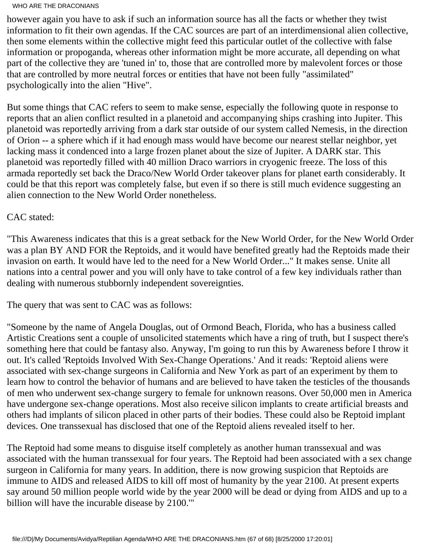however again you have to ask if such an information source has all the facts or whether they twist information to fit their own agendas. If the CAC sources are part of an interdimensional alien collective, then some elements within the collective might feed this particular outlet of the collective with false information or propoganda, whereas other information might be more accurate, all depending on what part of the collective they are 'tuned in' to, those that are controlled more by malevolent forces or those that are controlled by more neutral forces or entities that have not been fully "assimilated" psychologically into the alien "Hive".

But some things that CAC refers to seem to make sense, especially the following quote in response to reports that an alien conflict resulted in a planetoid and accompanying ships crashing into Jupiter. This planetoid was reportedly arriving from a dark star outside of our system called Nemesis, in the direction of Orion -- a sphere which if it had enough mass would have become our nearest stellar neighbor, yet lacking mass it condenced into a large frozen planet about the size of Jupiter. A DARK star. This planetoid was reportedly filled with 40 million Draco warriors in cryogenic freeze. The loss of this armada reportedly set back the Draco/New World Order takeover plans for planet earth considerably. It could be that this report was completely false, but even if so there is still much evidence suggesting an alien connection to the New World Order nonetheless.

### CAC stated:

"This Awareness indicates that this is a great setback for the New World Order, for the New World Order was a plan BY AND FOR the Reptoids, and it would have benefited greatly had the Reptoids made their invasion on earth. It would have led to the need for a New World Order..." It makes sense. Unite all nations into a central power and you will only have to take control of a few key individuals rather than dealing with numerous stubbornly independent sovereignties.

The query that was sent to CAC was as follows:

"Someone by the name of Angela Douglas, out of Ormond Beach, Florida, who has a business called Artistic Creations sent a couple of unsolicited statements which have a ring of truth, but I suspect there's something here that could be fantasy also. Anyway, I'm going to run this by Awareness before I throw it out. It's called 'Reptoids Involved With Sex-Change Operations.' And it reads: 'Reptoid aliens were associated with sex-change surgeons in California and New York as part of an experiment by them to learn how to control the behavior of humans and are believed to have taken the testicles of the thousands of men who underwent sex-change surgery to female for unknown reasons. Over 50,000 men in America have undergone sex-change operations. Most also receive silicon implants to create artificial breasts and others had implants of silicon placed in other parts of their bodies. These could also be Reptoid implant devices. One transsexual has disclosed that one of the Reptoid aliens revealed itself to her.

The Reptoid had some means to disguise itself completely as another human transsexual and was associated with the human transsexual for four years. The Reptoid had been associated with a sex change surgeon in California for many years. In addition, there is now growing suspicion that Reptoids are immune to AIDS and released AIDS to kill off most of humanity by the year 2100. At present experts say around 50 million people world wide by the year 2000 will be dead or dying from AIDS and up to a billion will have the incurable disease by 2100.'"